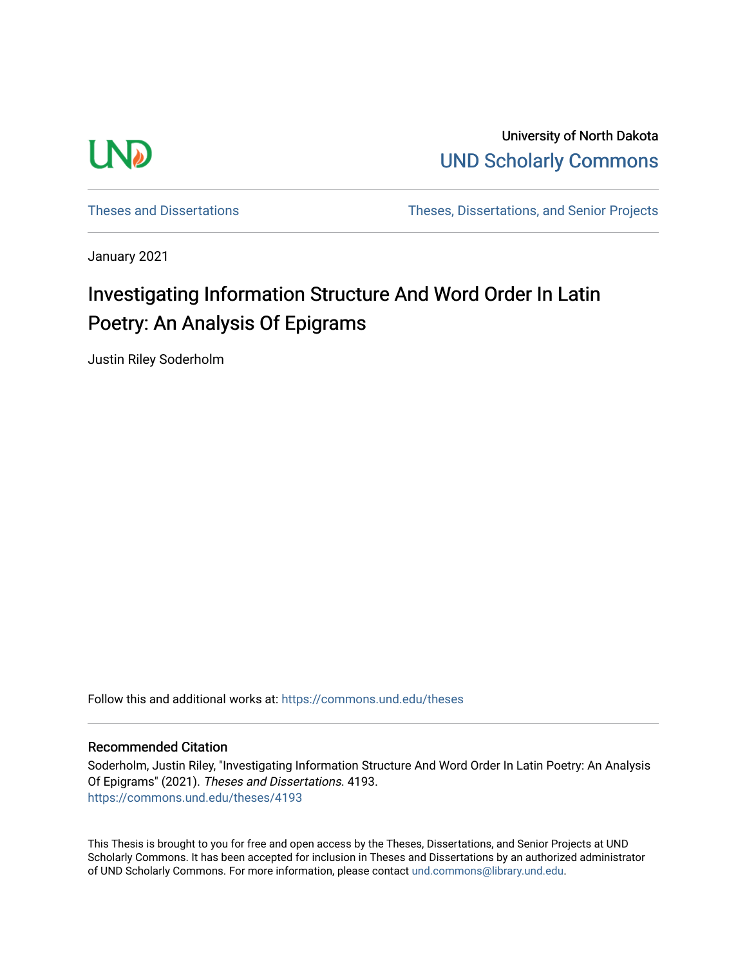

University of North Dakota [UND Scholarly Commons](https://commons.und.edu/) 

[Theses and Dissertations](https://commons.und.edu/theses) [Theses, Dissertations, and Senior Projects](https://commons.und.edu/etds) 

January 2021

# Investigating Information Structure And Word Order In Latin Poetry: An Analysis Of Epigrams

Justin Riley Soderholm

Follow this and additional works at: [https://commons.und.edu/theses](https://commons.und.edu/theses?utm_source=commons.und.edu%2Ftheses%2F4193&utm_medium=PDF&utm_campaign=PDFCoverPages)

#### Recommended Citation

Soderholm, Justin Riley, "Investigating Information Structure And Word Order In Latin Poetry: An Analysis Of Epigrams" (2021). Theses and Dissertations. 4193. [https://commons.und.edu/theses/4193](https://commons.und.edu/theses/4193?utm_source=commons.und.edu%2Ftheses%2F4193&utm_medium=PDF&utm_campaign=PDFCoverPages) 

This Thesis is brought to you for free and open access by the Theses, Dissertations, and Senior Projects at UND Scholarly Commons. It has been accepted for inclusion in Theses and Dissertations by an authorized administrator of UND Scholarly Commons. For more information, please contact [und.commons@library.und.edu](mailto:und.commons@library.und.edu).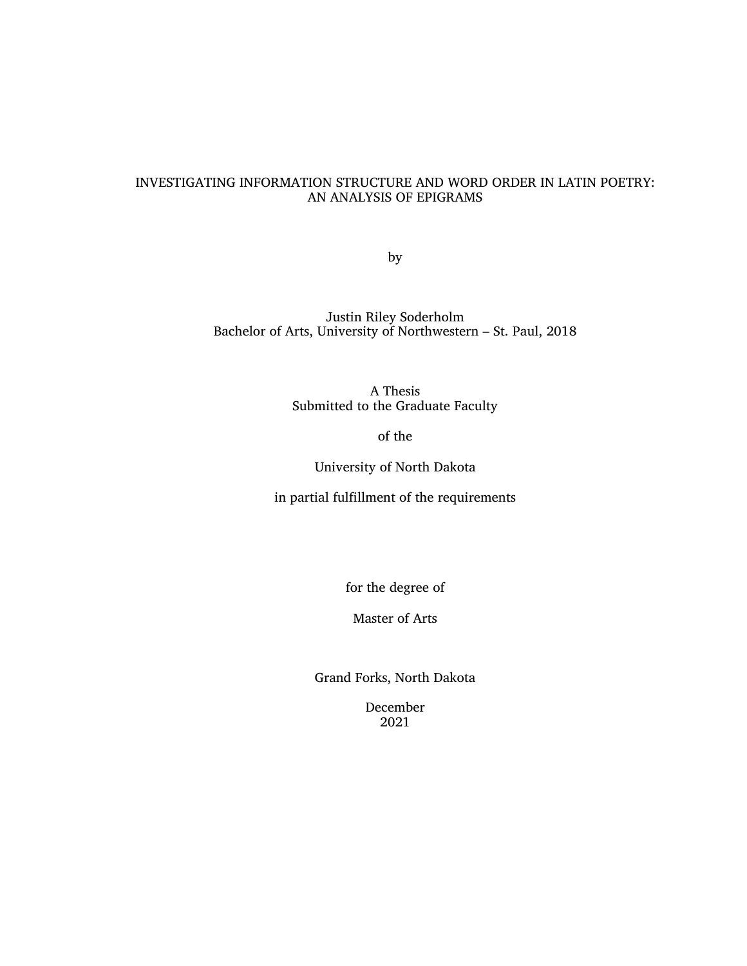## INVESTIGATING INFORMATION STRUCTURE AND WORD ORDER IN LATIN POETRY: AN ANALYSIS OF EPIGRAMS

by

Justin Riley Soderholm Bachelor of Arts, University of Northwestern – St. Paul, 2018

> A Thesis Submitted to the Graduate Faculty

> > of the

University of North Dakota

in partial fulfillment of the requirements

for the degree of

Master of Arts

Grand Forks, North Dakota

December 2021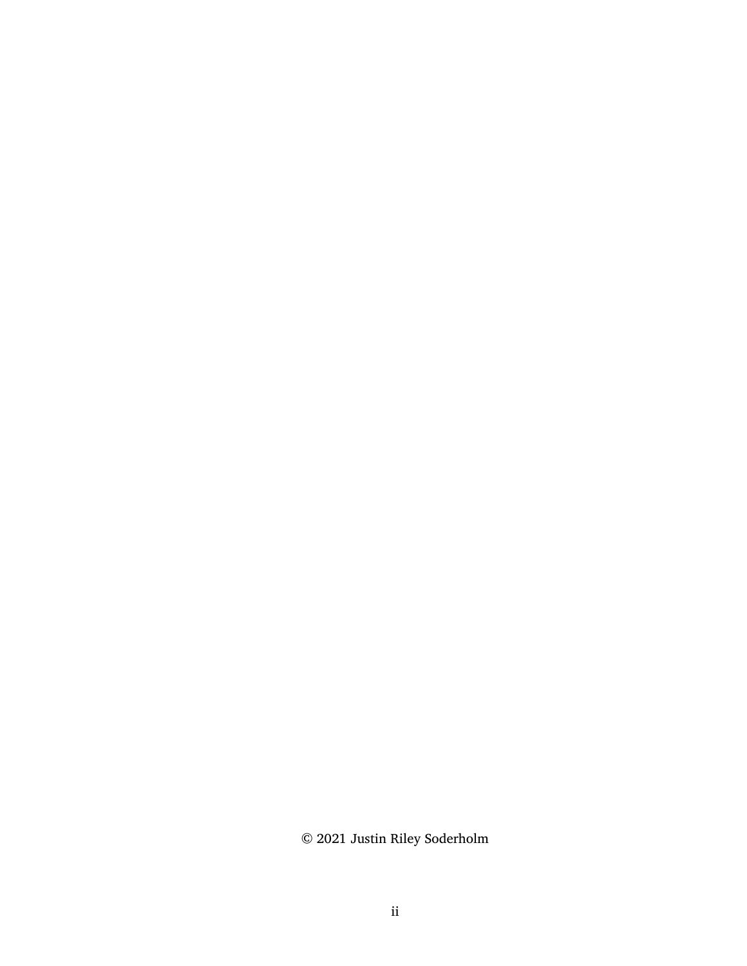© 2021 Justin Riley Soderholm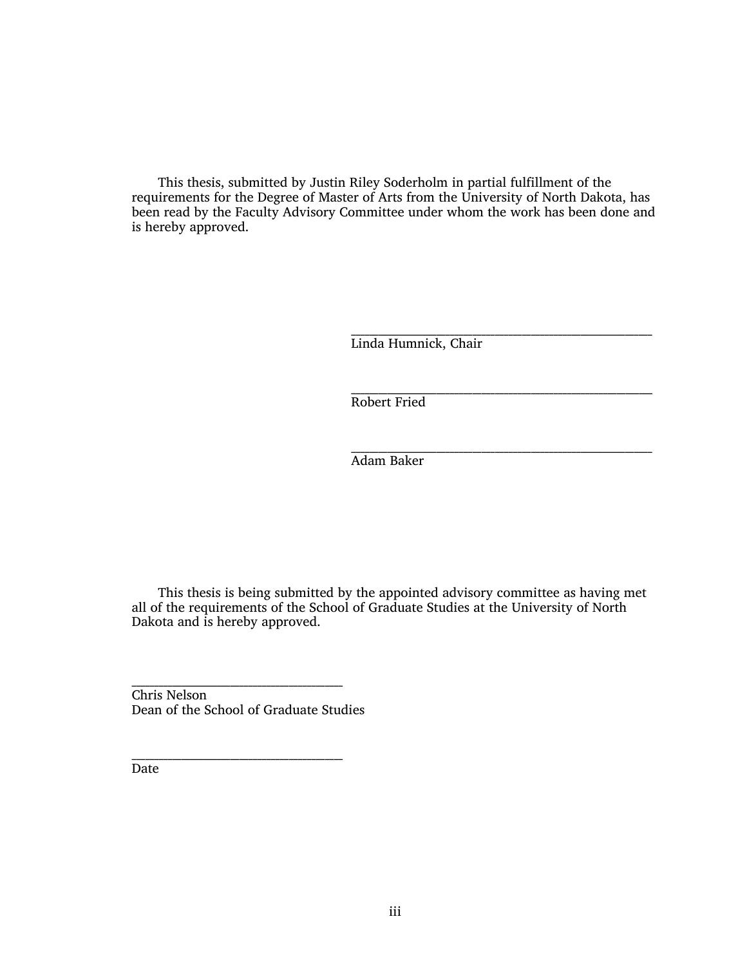This thesis, submitted by Justin Riley Soderholm in partial fulfillment of the requirements for the Degree of Master of Arts from the University of North Dakota, has been read by the Faculty Advisory Committee under whom the work has been done and is hereby approved.

> \_\_\_\_\_\_\_\_\_\_\_\_\_\_\_\_\_\_\_\_\_\_\_\_\_\_\_\_\_\_\_\_\_\_\_\_\_\_\_\_\_\_\_\_\_\_\_\_\_\_\_\_\_\_\_\_\_\_\_\_\_\_\_\_\_\_\_ Linda Humnick, Chair

> \_\_\_\_\_\_\_\_\_\_\_\_\_\_\_\_\_\_\_\_\_\_\_\_\_\_\_\_\_\_\_\_\_\_\_\_\_\_\_\_\_\_\_\_\_\_\_\_\_\_\_\_\_\_\_\_\_\_\_\_\_\_\_\_\_\_\_ Robert Fried

> \_\_\_\_\_\_\_\_\_\_\_\_\_\_\_\_\_\_\_\_\_\_\_\_\_\_\_\_\_\_\_\_\_\_\_\_\_\_\_\_\_\_\_\_\_\_\_\_\_\_\_\_\_\_\_\_\_\_\_\_\_\_\_\_\_\_\_ Adam Baker

This thesis is being submitted by the appointed advisory committee as having met all of the requirements of the School of Graduate Studies at the University of North Dakota and is hereby approved.

\_\_\_\_\_\_\_\_\_\_\_\_\_\_\_\_\_\_\_\_\_\_\_\_\_\_\_\_\_\_\_\_\_\_\_\_\_\_\_\_\_\_\_\_\_\_\_ Chris Nelson Dean of the School of Graduate Studies

\_\_\_\_\_\_\_\_\_\_\_\_\_\_\_\_\_\_\_\_\_\_\_\_\_\_\_\_\_\_\_\_\_\_\_\_\_\_\_\_\_\_\_\_\_\_\_

**Date**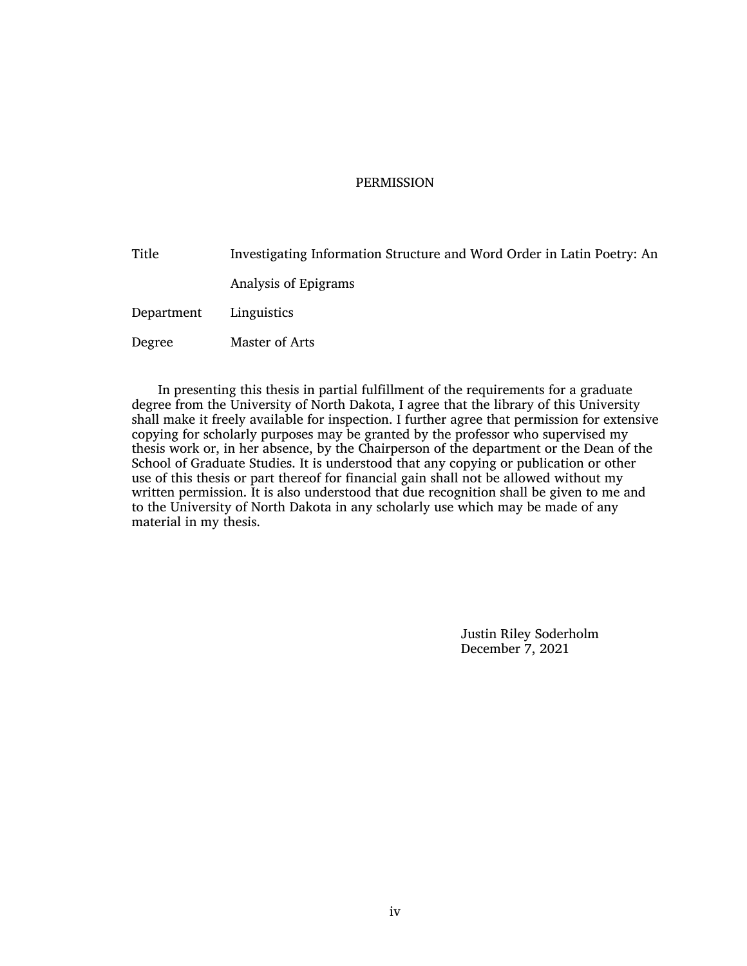#### **PERMISSION**

Title Investigating Information Structure and Word Order in Latin Poetry: An Analysis of Epigrams Department Linguistics Degree Master of Arts

In presenting this thesis in partial fulfillment of the requirements for a graduate degree from the University of North Dakota, I agree that the library of this University shall make it freely available for inspection. I further agree that permission for extensive copying for scholarly purposes may be granted by the professor who supervised my thesis work or, in her absence, by the Chairperson of the department or the Dean of the School of Graduate Studies. It is understood that any copying or publication or other use of this thesis or part thereof for financial gain shall not be allowed without my written permission. It is also understood that due recognition shall be given to me and to the University of North Dakota in any scholarly use which may be made of any material in my thesis.

> Justin Riley Soderholm December 7, 2021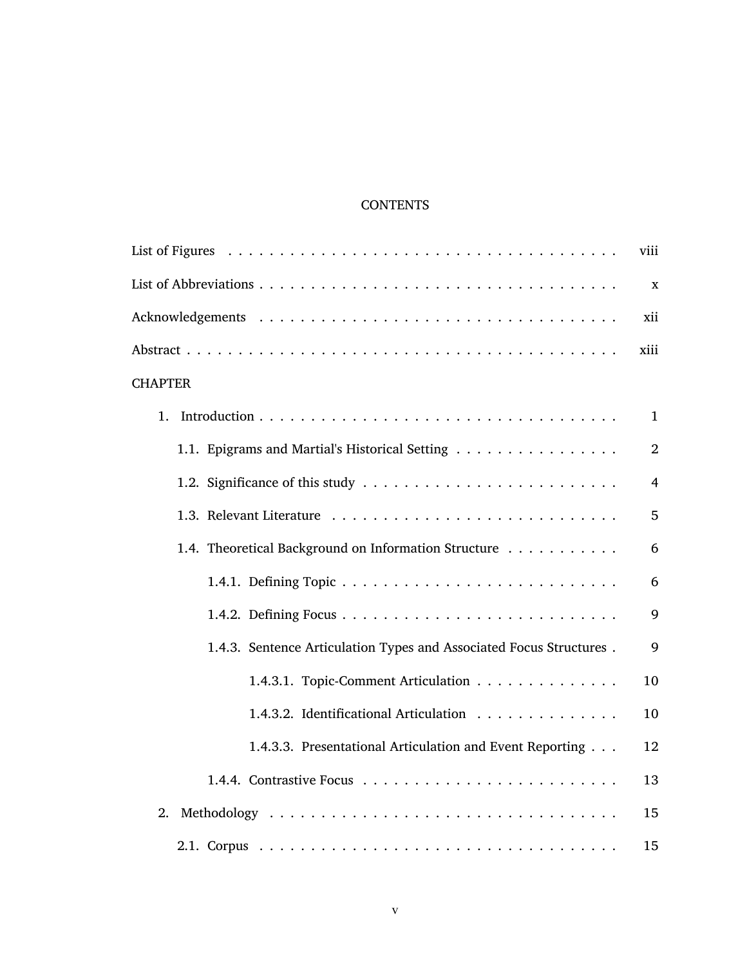## **CONTENTS**

|                                                                     | viii           |
|---------------------------------------------------------------------|----------------|
|                                                                     | X              |
|                                                                     | xii            |
|                                                                     | xiii           |
| <b>CHAPTER</b>                                                      |                |
| 1.                                                                  | $\mathbf{1}$   |
| 1.1. Epigrams and Martial's Historical Setting                      | $\overline{2}$ |
|                                                                     | $\overline{4}$ |
|                                                                     | 5              |
| 1.4. Theoretical Background on Information Structure                | 6              |
|                                                                     | 6              |
|                                                                     | 9              |
| 1.4.3. Sentence Articulation Types and Associated Focus Structures. | 9              |
| 1.4.3.1. Topic-Comment Articulation                                 | 10             |
| 1.4.3.2. Identificational Articulation                              | 10             |
| 1.4.3.3. Presentational Articulation and Event Reporting            | 12             |
|                                                                     | 13             |
| 2.                                                                  | 15             |
|                                                                     | 15             |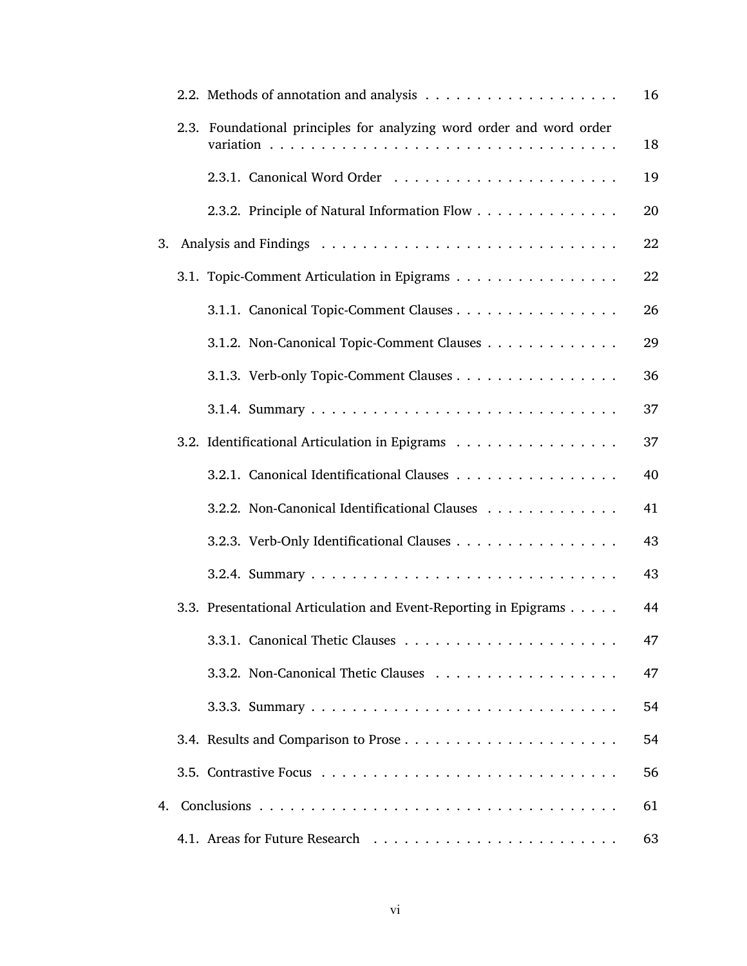|    |                                                                      | 16 |
|----|----------------------------------------------------------------------|----|
|    | 2.3. Foundational principles for analyzing word order and word order | 18 |
|    |                                                                      | 19 |
|    | 2.3.2. Principle of Natural Information Flow                         | 20 |
| 3. |                                                                      | 22 |
|    | 3.1. Topic-Comment Articulation in Epigrams                          | 22 |
|    | 3.1.1. Canonical Topic-Comment Clauses                               | 26 |
|    | 3.1.2. Non-Canonical Topic-Comment Clauses                           | 29 |
|    | 3.1.3. Verb-only Topic-Comment Clauses                               | 36 |
|    |                                                                      | 37 |
|    | 3.2. Identificational Articulation in Epigrams                       | 37 |
|    | 3.2.1. Canonical Identificational Clauses                            | 40 |
|    | 3.2.2. Non-Canonical Identificational Clauses                        | 41 |
|    | 3.2.3. Verb-Only Identificational Clauses                            | 43 |
|    |                                                                      | 43 |
|    | 3.3. Presentational Articulation and Event-Reporting in Epigrams     | 44 |
|    |                                                                      | 47 |
|    |                                                                      | 47 |
|    |                                                                      | 54 |
|    |                                                                      | 54 |
|    |                                                                      | 56 |
|    |                                                                      | 61 |
|    |                                                                      | 63 |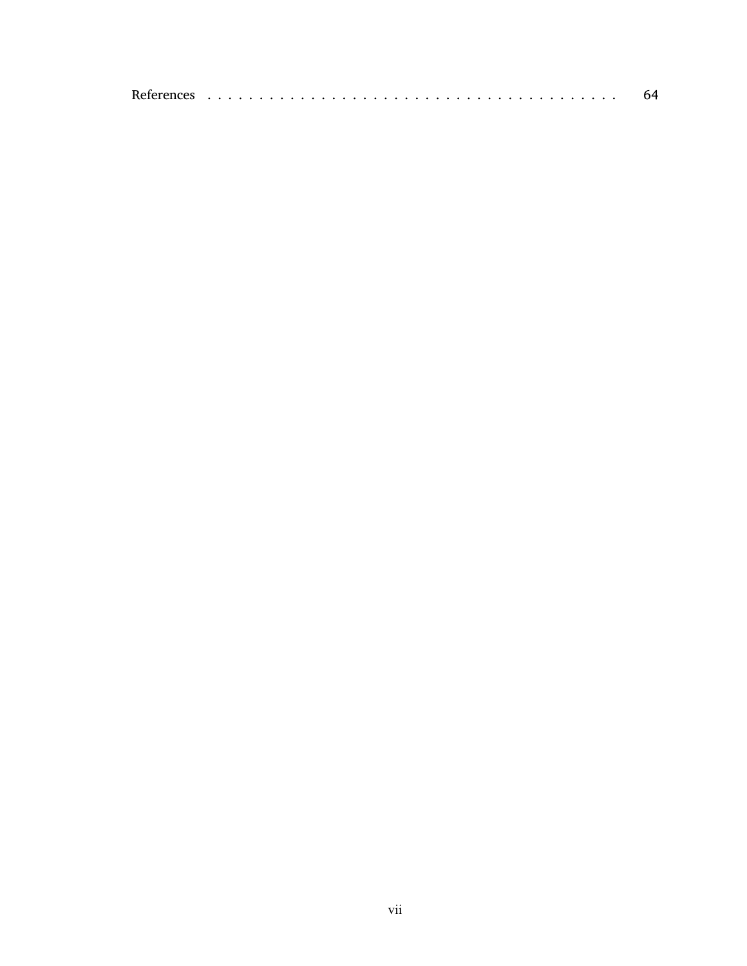|--|--|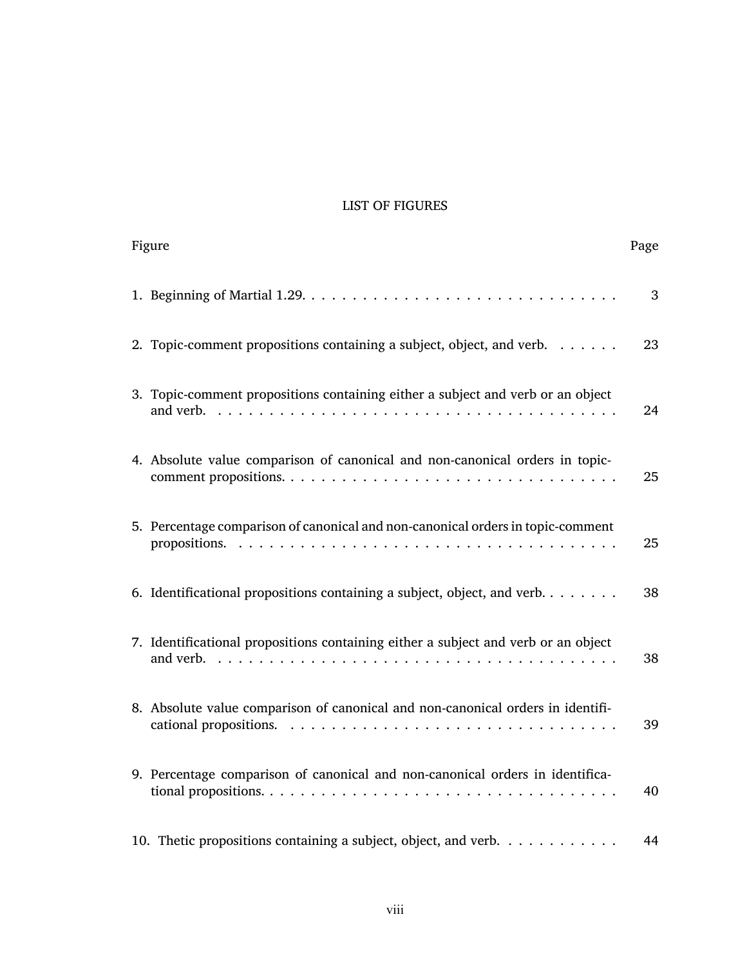## <span id="page-8-0"></span>LIST OF FIGURES

| Figure                                                                              | Page |
|-------------------------------------------------------------------------------------|------|
|                                                                                     | 3    |
| 2. Topic-comment propositions containing a subject, object, and verb. $\dots \dots$ | 23   |
| 3. Topic-comment propositions containing either a subject and verb or an object     | 24   |
| 4. Absolute value comparison of canonical and non-canonical orders in topic-        | 25   |
| 5. Percentage comparison of canonical and non-canonical orders in topic-comment     | 25   |
| 6. Identificational propositions containing a subject, object, and verb.            | 38   |
| 7. Identificational propositions containing either a subject and verb or an object  | 38   |
| 8. Absolute value comparison of canonical and non-canonical orders in identifi-     | 39   |
| 9. Percentage comparison of canonical and non-canonical orders in identifica-       | 40   |
| 10. Thetic propositions containing a subject, object, and verb.                     | 44   |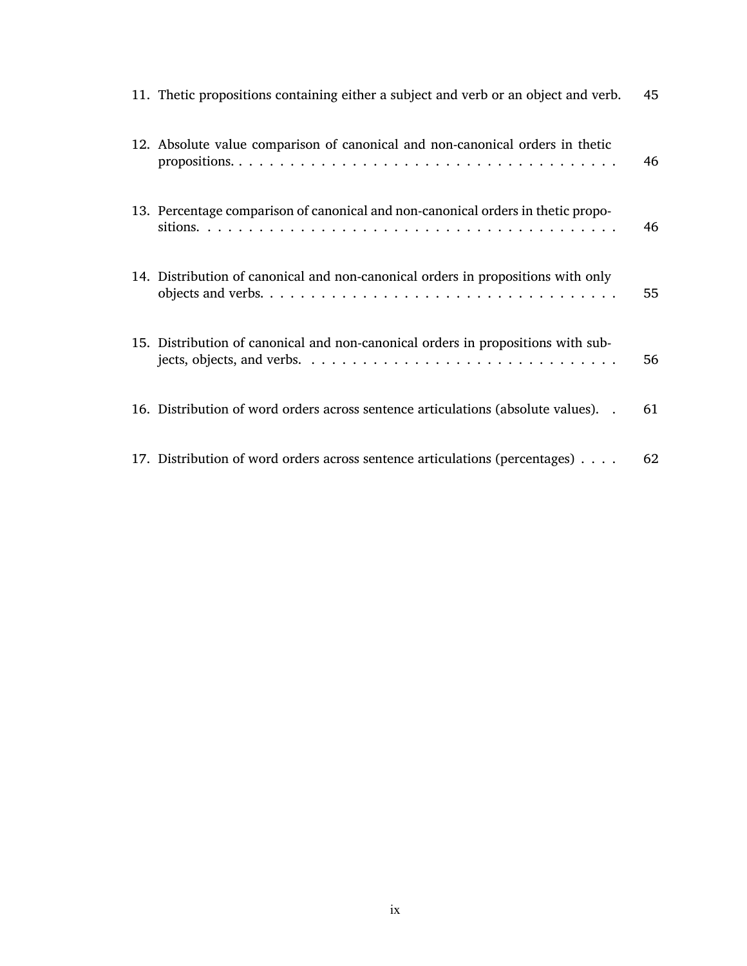| 11. The tic propositions containing either a subject and verb or an object and verb.                                                                                                     | 45 |
|------------------------------------------------------------------------------------------------------------------------------------------------------------------------------------------|----|
| 12. Absolute value comparison of canonical and non-canonical orders in thetic                                                                                                            | 46 |
| 13. Percentage comparison of canonical and non-canonical orders in thetic propo-                                                                                                         | 46 |
| 14. Distribution of canonical and non-canonical orders in propositions with only                                                                                                         | 55 |
| 15. Distribution of canonical and non-canonical orders in propositions with sub-<br>jects, objects, and verbs. $\dots \dots \dots \dots \dots \dots \dots \dots \dots \dots \dots \dots$ | 56 |
| 16. Distribution of word orders across sentence articulations (absolute values). .                                                                                                       | 61 |
| 17. Distribution of word orders across sentence articulations (percentages)                                                                                                              | 62 |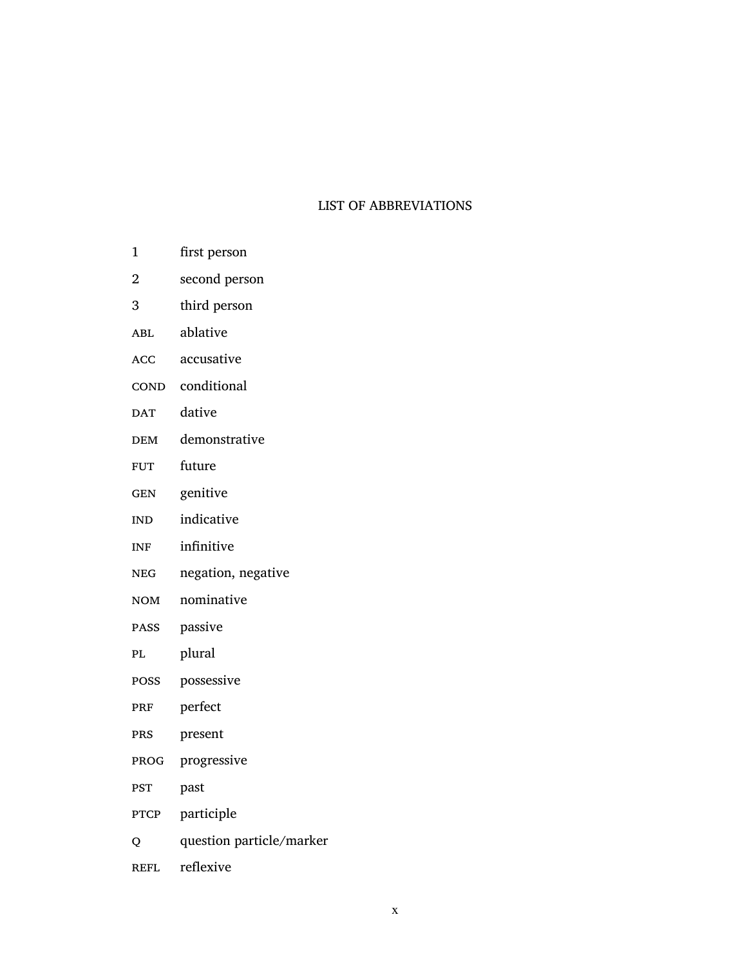#### <span id="page-10-0"></span>LIST OF ABBREVIATIONS

- 1 first person
- 2 second person
- 3 third person
- ABL ablative
- acc accusative
- COND conditional
- DAT dative
- DEM demonstrative
- FUT future
- GEN genitive
- IND indicative
- INF infinitive
- neg negation, negative
- NOM nominative
- passive
- PL plural
- possessive
- PRF perfect
- prs present
- prog progressive
- pst past
- PTCP participle
- q question particle/marker
- REFL reflexive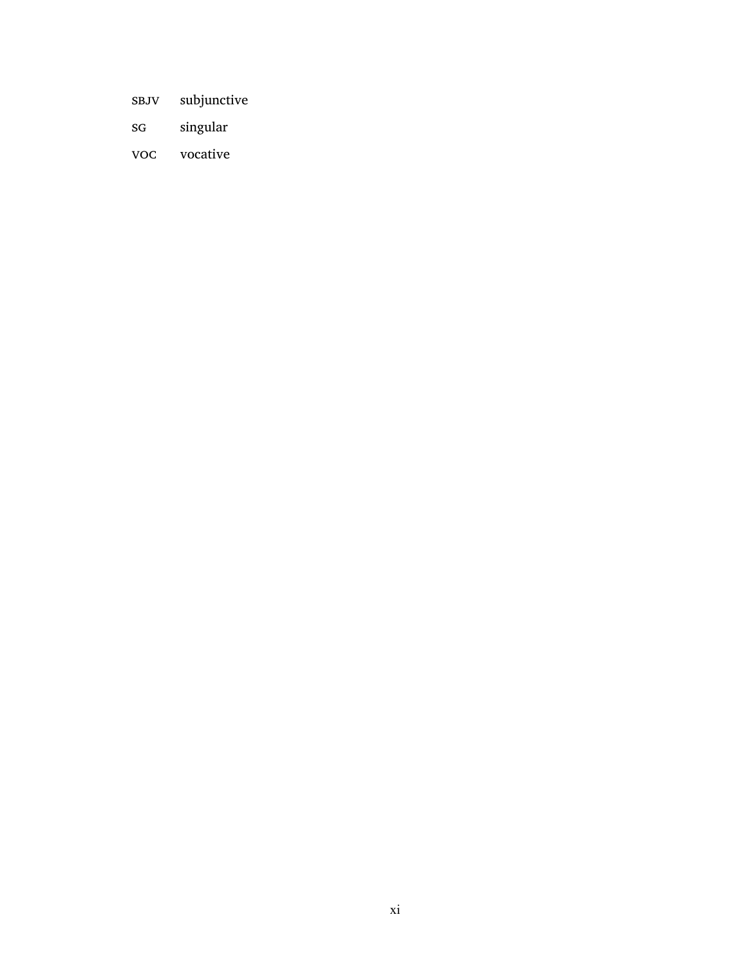- sbJv subjunctive
- sg singular
- voc vocative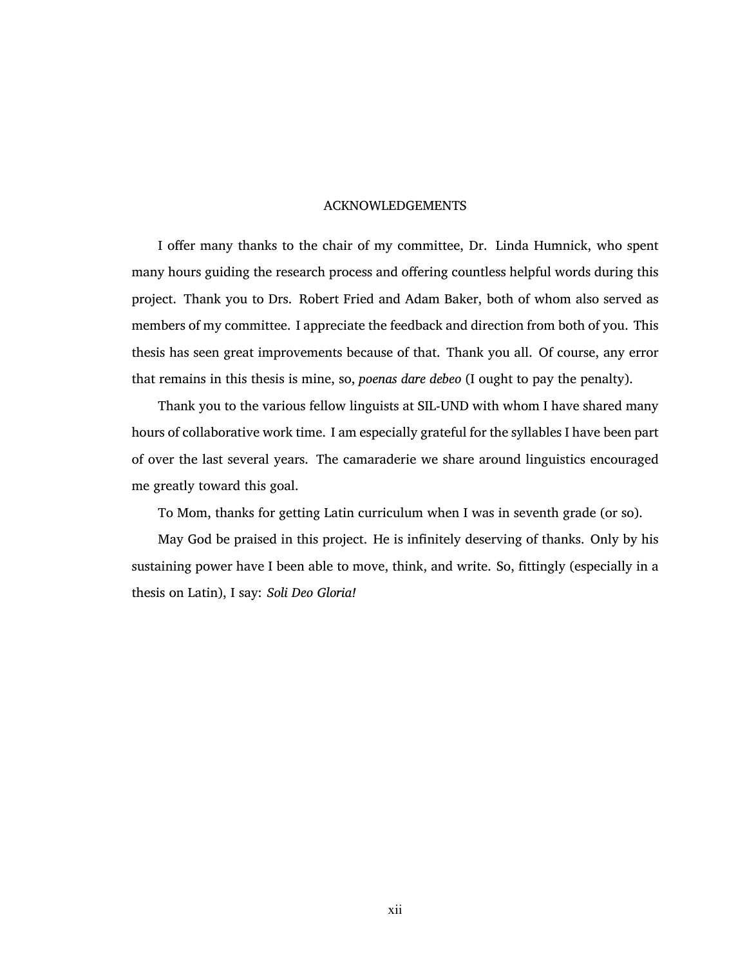#### <span id="page-12-0"></span>ACKNOWLEDGEMENTS

I offer many thanks to the chair of my committee, Dr. Linda Humnick, who spent many hours guiding the research process and offering countless helpful words during this project. Thank you to Drs. Robert Fried and Adam Baker, both of whom also served as members of my committee. I appreciate the feedback and direction from both of you. This thesis has seen great improvements because of that. Thank you all. Of course, any error that remains in this thesis is mine, so, *poenas dare debeo* (I ought to pay the penalty).

Thank you to the various fellow linguists at SIL-UND with whom I have shared many hours of collaborative work time. I am especially grateful for the syllables I have been part of over the last several years. The camaraderie we share around linguistics encouraged me greatly toward this goal.

To Mom, thanks for getting Latin curriculum when I was in seventh grade (or so).

May God be praised in this project. He is infinitely deserving of thanks. Only by his sustaining power have I been able to move, think, and write. So, fittingly (especially in a thesis on Latin), I say: *Soli Deo Gloria!*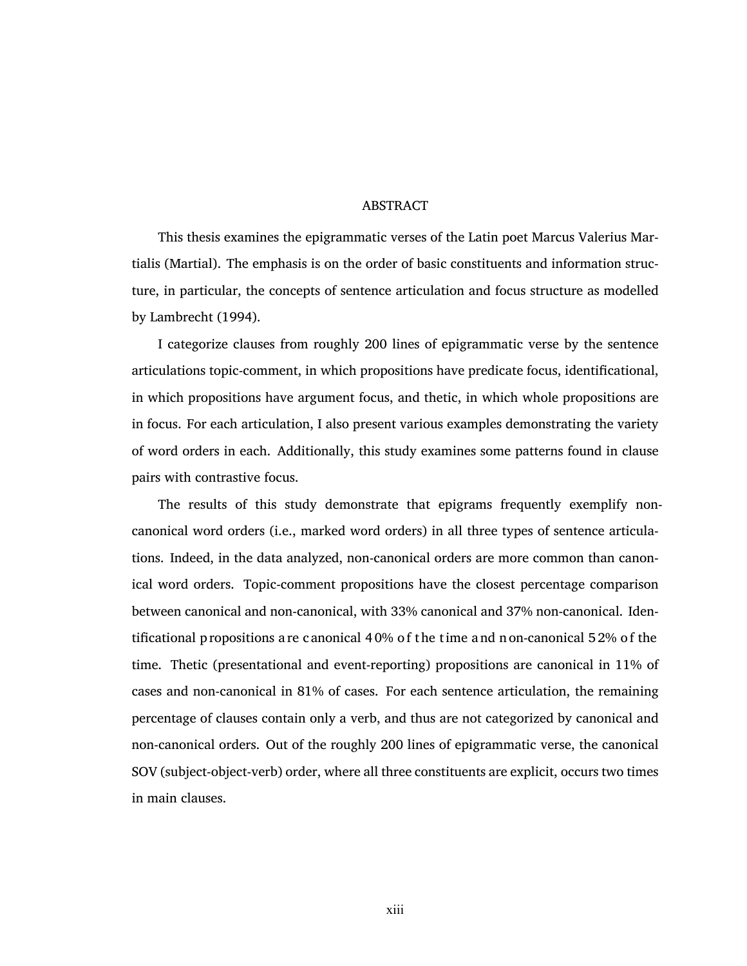#### <span id="page-13-0"></span>ABSTRACT

This thesis examines the epigrammatic verses of the Latin poet Marcus Valerius Martialis (Martial). The emphasis is on the order of basic constituents and information structure, in particular, the concepts of sentence articulation and focus structure as modelled by [Lambrecht](#page-77-1) (1994).

I categorize clauses from roughly 200 lines of epigrammatic verse by the sentence articulations topic-comment, in which propositions have predicate focus, identificational, in which propositions have argument focus, and thetic, in which whole propositions are in focus. For each articulation, I also present various examples demonstrating the variety of word orders in each. Additionally, this study examines some patterns found in clause pairs with contrastive focus.

The results of this study demonstrate that epigrams frequently exemplify noncanonical word orders (i.e., marked word orders) in all three types of sentence articulations. Indeed, in the data analyzed, non-canonical orders are more common than canonical word orders. Topic-comment propositions have the closest percentage comparison between canonical and non-canonical, with 33% canonical and 37% non-canonical. Identificational p ropositions a re c anonical 4 0% o f t he t ime a nd n on-canonical 5 2% o f the time. Thetic (presentational and event-reporting) propositions are canonical in 11% of cases and non-canonical in 81% of cases. For each sentence articulation, the remaining percentage of clauses contain only a verb, and thus are not categorized by canonical and non-canonical orders. Out of the roughly 200 lines of epigrammatic verse, the canonical SOV (subject-object-verb) order, where all three constituents are explicit, occurs two times in main clauses.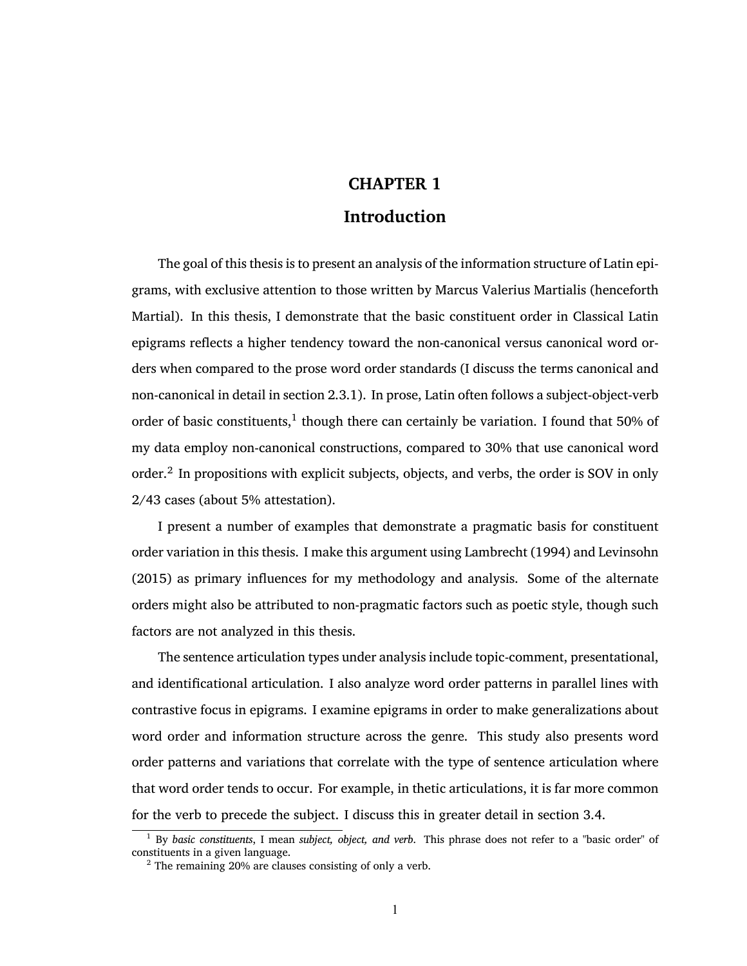# <span id="page-14-0"></span>**CHAPTER 1**

# **Introduction**

The goal of this thesis is to present an analysis of the information structure of Latin epigrams, with exclusive attention to those written by Marcus Valerius Martialis (henceforth Martial). In this thesis, I demonstrate that the basic constituent order in Classical Latin epigrams reflects a higher tendency toward the non-canonical versus canonical word orders when compared to the prose word order standards (I discuss the terms canonical and non-canonical in detail in section [2.3.1](#page-32-0)). In prose, Latin often follows a subject-object-verb order of basic constituents,<sup>1</sup> though there can certainly be variation. I found that 50% of my data employ non-canonical constructions, compared to 30% that use canonical word order.<sup>2</sup> In propositions with explicit subjects, objects, and verbs, the order is SOV in only 2/43 cases (about 5% attestation).

I present a number of examples that demonstrate a pragmatic basis for constituent order variation in this thesis. I make this argument using [Lambrecht \(1994\)](#page-77-1) and [Levinsohn](#page-77-2) [\(2015\)](#page-77-2) as primary influences for my methodology and analysis. Some of the alternate orders might also be attributed to non-pragmatic factors such as poetic style, though such factors are not analyzed in this thesis.

The sentence articulation types under analysis include topic-comment, presentational, and identificational articulation. I also analyze word order patterns in parallel lines with contrastive focus in epigrams. I examine epigrams in order to make generalizations about word order and information structure across the genre. This study also presents word order patterns and variations that correlate with the type of sentence articulation where that word order tends to occur. For example, in thetic articulations, it is far more common for the verb to precede the subject. I discuss this in greater detail in section [3.4.](#page-67-1)

<sup>1</sup> By *basic constituents*, I mean *subject, object, and verb*. This phrase does not refer to a "basic order" of constituents in a given language.

<sup>&</sup>lt;sup>2</sup> The remaining 20% are clauses consisting of only a verb.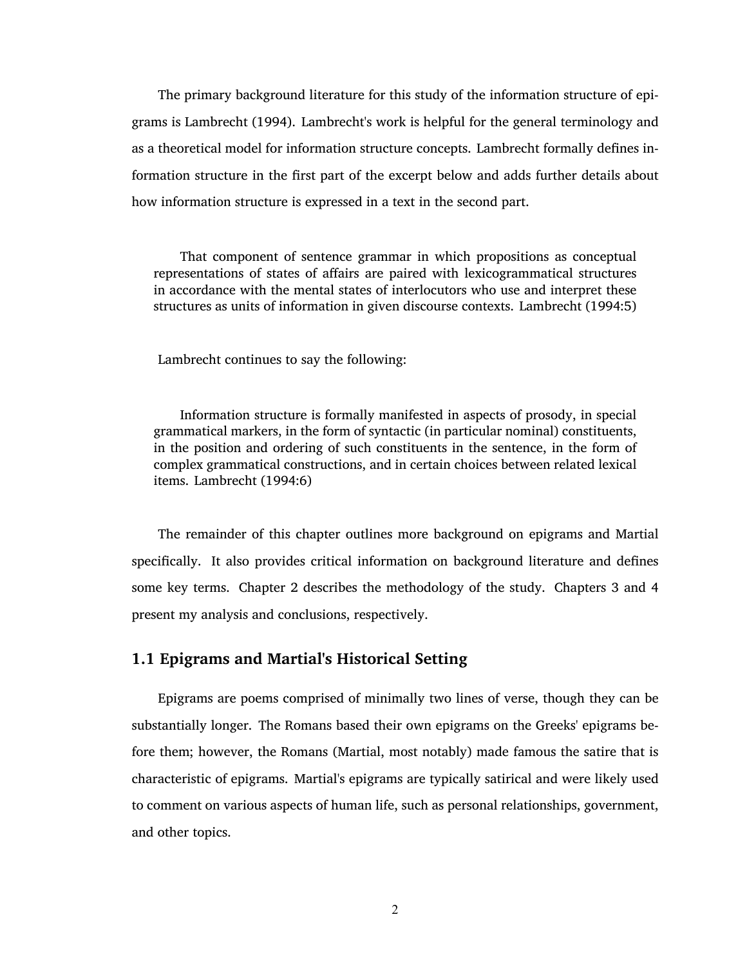The primary background literature for this study of the information structure of epigrams is [Lambrecht \(1994\)](#page-77-1). Lambrecht's work is helpful for the general terminology and as a theoretical model for information structure concepts. Lambrecht formally defines information structure in the first part of the excerpt below and adds further details about how information structure is expressed in a text in the second part.

That component of sentence grammar in which propositions as conceptual representations of states of affairs are paired with lexicogrammatical structures in accordance with the mental states of interlocutors who use and interpret these structures as units of information in given discourse contexts. [Lambrecht \(1994:5\)](#page-77-1)

Lambrecht continues to say the following:

Information structure is formally manifested in aspects of prosody, in special grammatical markers, in the form of syntactic (in particular nominal) constituents, in the position and ordering of such constituents in the sentence, in the form of complex grammatical constructions, and in certain choices between related lexical items. [Lambrecht \(1994:6\)](#page-77-1)

The remainder of this chapter outlines more background on epigrams and Martial specifically. It also provides critical information on background literature and defines some key terms. Chapter [2](#page-28-0) describes the methodology of the study. Chapters [3](#page-35-0) and [4](#page-74-0) present my analysis and conclusions, respectively.

## <span id="page-15-0"></span>**1.1 Epigrams and Martial's Historical Setting**

Epigrams are poems comprised of minimally two lines of verse, though they can be substantially longer. The Romans based their own epigrams on the Greeks' epigrams before them; however, the Romans (Martial, most notably) made famous the satire that is characteristic of epigrams. Martial's epigrams are typically satirical and were likely used to comment on various aspects of human life, such as personal relationships, government, and other topics.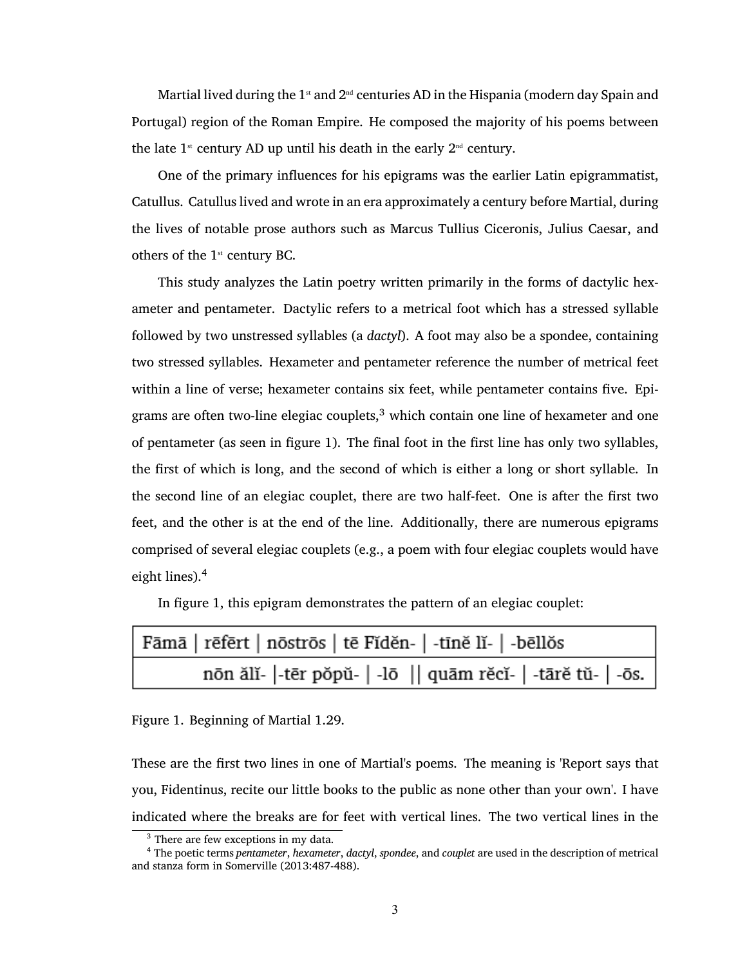Martial lived during the  $1<sup>st</sup>$  and  $2<sup>nd</sup>$  centuries AD in the Hispania (modern day Spain and Portugal) region of the Roman Empire. He composed the majority of his poems between the late  $1^{\text{st}}$  century AD up until his death in the early  $2^{\text{nd}}$  century.

One of the primary influences for his epigrams was the earlier Latin epigrammatist, Catullus. Catullus lived and wrote in an era approximately a century before Martial, during the lives of notable prose authors such as Marcus Tullius Ciceronis, Julius Caesar, and others of the  $1<sup>st</sup>$  century BC.

This study analyzes the Latin poetry written primarily in the forms of dactylic hexameter and pentameter. Dactylic refers to a metrical foot which has a stressed syllable followed by two unstressed syllables (a *dactyl*). A foot may also be a spondee, containing two stressed syllables. Hexameter and pentameter reference the number of metrical feet within a line of verse; hexameter contains six feet, while pentameter contains five. Epigrams are often two-line elegiac couplets, $3$  which contain one line of hexameter and one of pentameter (as seen in figure [1](#page-16-0)). The final foot in the first line has only two syllables, the first of which is long, and the second of which is either a long or short syllable. In the second line of an elegiac couplet, there are two half-feet. One is after the first two feet, and the other is at the end of the line. Additionally, there are numerous epigrams comprised of several elegiac couplets (e.g., a poem with four elegiac couplets would have eight lines).<sup>4</sup>

In figure [1,](#page-16-0) this epigram demonstrates the pattern of an elegiac couplet:

| Fāmā   rēfērt   nōstrōs   tē Fĭdĕn-   -tīnĕ lĭ-   -bēllŏs   |
|-------------------------------------------------------------|
| nōn ălĭ-  -tēr pŏpŭ-   -lō    quām rĕcĭ-   -tārĕ tŭ-   -ōs. |

<span id="page-16-0"></span>Figure 1. Beginning of Martial 1.29.

These are the first two lines in one of Martial's poems. The meaning is 'Report says that you, Fidentinus, recite our little books to the public as none other than your own'. I have indicated where the breaks are for feet with vertical lines. The two vertical lines in the

<sup>&</sup>lt;sup>3</sup> There are few exceptions in my data.

<sup>4</sup> The poetic terms *pentameter*, *hexameter*, *dactyl*, *spondee*, and *couplet* are used in the description of metrical and stanza form in [Somerville \(2013:487-488\)](#page-78-0).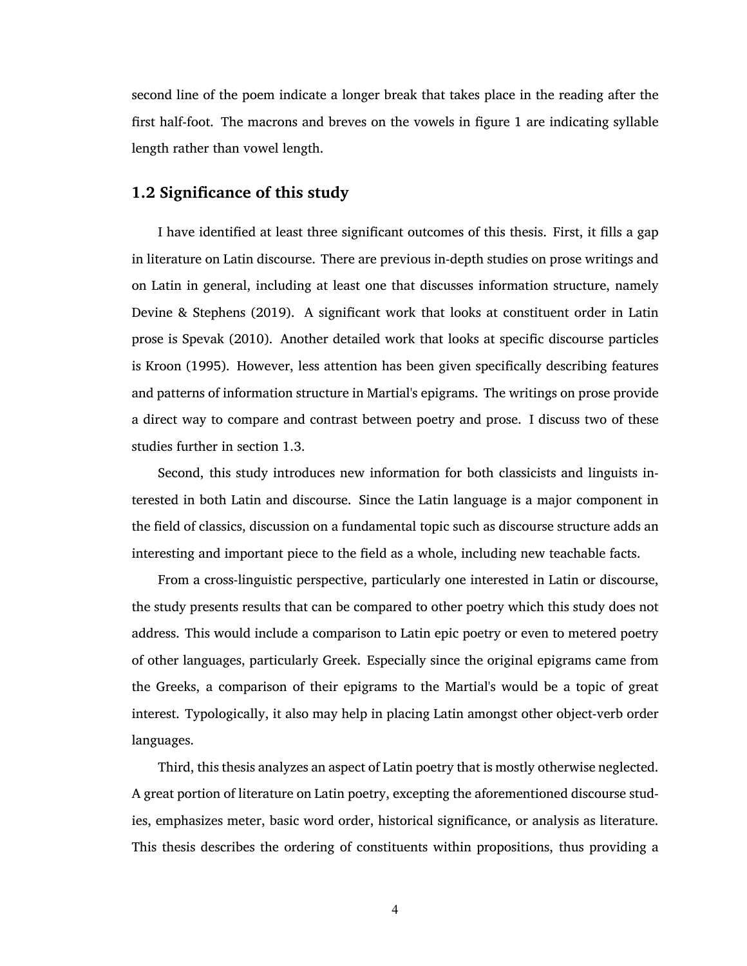second line of the poem indicate a longer break that takes place in the reading after the first half-foot. The macrons and breves on the vowels in figure [1](#page-16-0) are indicating syllable length rather than vowel length.

## <span id="page-17-0"></span>**1.2 Significance of this study**

I have identified at least three significant outcomes of this thesis. First, it fills a gap in literature on Latin discourse. There are previous in-depth studies on prose writings and on Latin in general, including at least one that discusses information structure, namely [Devine & Stephens \(2019\).](#page-77-3) A significant work that looks at constituent order in Latin prose is [Spevak \(2010\).](#page-78-1) Another detailed work that looks at specific discourse particles is [Kroon \(1995\)](#page-77-4). However, less attention has been given specifically describing features and patterns of information structure in Martial's epigrams. The writings on prose provide a direct way to compare and contrast between poetry and prose. I discuss two of these studies further in section [1.3](#page-18-0).

Second, this study introduces new information for both classicists and linguists interested in both Latin and discourse. Since the Latin language is a major component in the field of classics, discussion on a fundamental topic such as discourse structure adds an interesting and important piece to the field as a whole, including new teachable facts.

From a cross-linguistic perspective, particularly one interested in Latin or discourse, the study presents results that can be compared to other poetry which this study does not address. This would include a comparison to Latin epic poetry or even to metered poetry of other languages, particularly Greek. Especially since the original epigrams came from the Greeks, a comparison of their epigrams to the Martial's would be a topic of great interest. Typologically, it also may help in placing Latin amongst other object-verb order languages.

Third, this thesis analyzes an aspect of Latin poetry that is mostly otherwise neglected. A great portion of literature on Latin poetry, excepting the aforementioned discourse studies, emphasizes meter, basic word order, historical significance, or analysis as literature. This thesis describes the ordering of constituents within propositions, thus providing a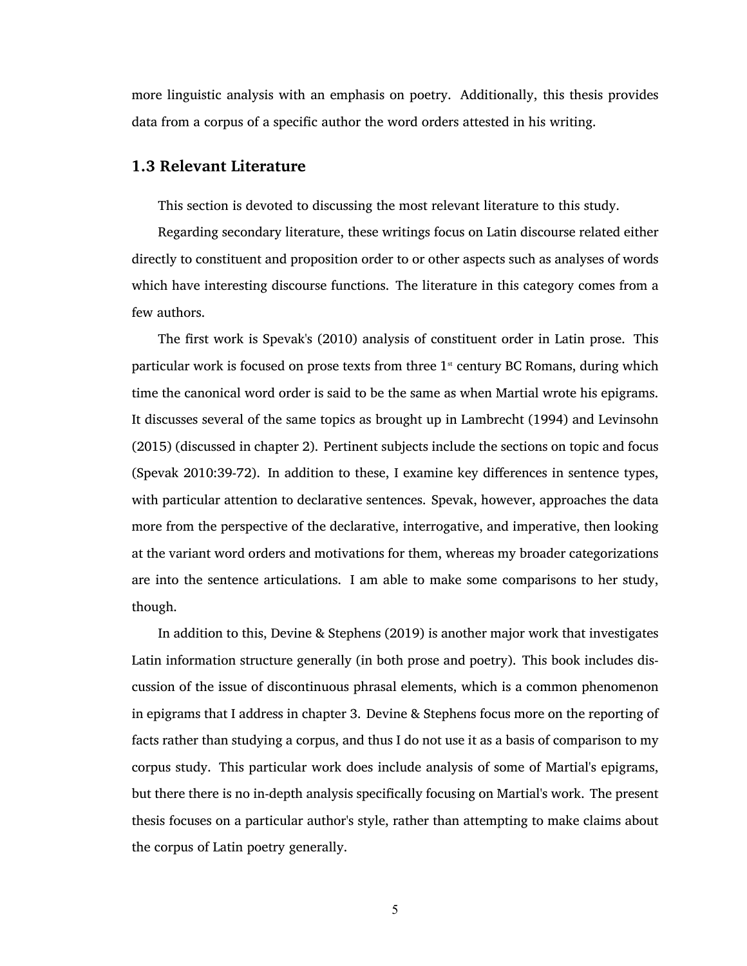more linguistic analysis with an emphasis on poetry. Additionally, this thesis provides data from a corpus of a specific author the word orders attested in his writing.

#### <span id="page-18-0"></span>**1.3 Relevant Literature**

This section is devoted to discussing the most relevant literature to this study.

Regarding secondary literature, these writings focus on Latin discourse related either directly to constituent and proposition order to or other aspects such as analyses of words which have interesting discourse functions. The literature in this category comes from a few authors.

The first work is Spevak's [\(2010\)](#page-78-1) analysis of constituent order in Latin prose. This particular work is focused on prose texts from three  $1<sup>st</sup>$  century BC Romans, during which time the canonical word order is said to be the same as when Martial wrote his epigrams. It discusses several of the same topics as brought up in [Lambrecht \(1994\)](#page-77-1) and [Levinsohn](#page-77-2) [\(2015\)](#page-77-2) (discussed in chapter [2\)](#page-28-0). Pertinent subjects include the sections on topic and focus [\(Spevak 2010:39-72\)](#page-78-1). In addition to these, I examine key differences in sentence types, with particular attention to declarative sentences. Spevak, however, approaches the data more from the perspective of the declarative, interrogative, and imperative, then looking at the variant word orders and motivations for them, whereas my broader categorizations are into the sentence articulations. I am able to make some comparisons to her study, though.

In addition to this, [Devine & Stephens \(2019\)](#page-77-3) is another major work that investigates Latin information structure generally (in both prose and poetry). This book includes discussion of the issue of discontinuous phrasal elements, which is a common phenomenon in epigrams that I address in chapter [3](#page-35-0). Devine & Stephens focus more on the reporting of facts rather than studying a corpus, and thus I do not use it as a basis of comparison to my corpus study. This particular work does include analysis of some of Martial's epigrams, but there there is no in-depth analysis specifically focusing on Martial's work. The present thesis focuses on a particular author's style, rather than attempting to make claims about the corpus of Latin poetry generally.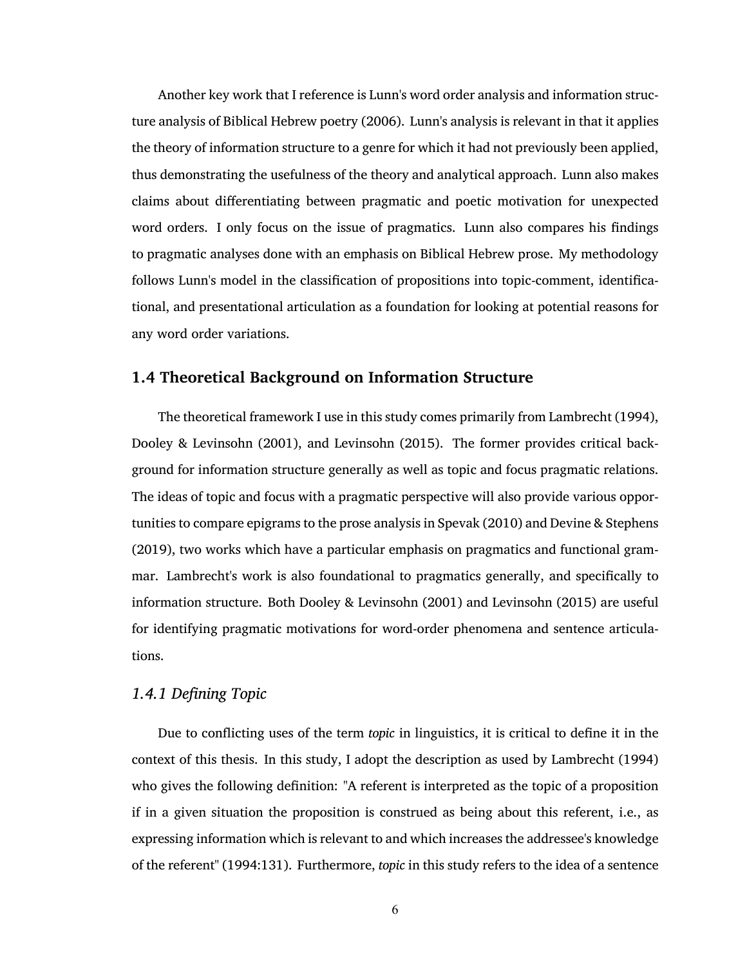Another key work that I reference is Lunn's word order analysis and information structure analysis of Biblical Hebrew poetry [\(2006\)](#page-77-5). Lunn's analysis is relevant in that it applies the theory of information structure to a genre for which it had not previously been applied, thus demonstrating the usefulness of the theory and analytical approach. Lunn also makes claims about differentiating between pragmatic and poetic motivation for unexpected word orders. I only focus on the issue of pragmatics. Lunn also compares his findings to pragmatic analyses done with an emphasis on Biblical Hebrew prose. My methodology follows Lunn's model in the classification of propositions into topic-comment, identificational, and presentational articulation as a foundation for looking at potential reasons for any word order variations.

## <span id="page-19-0"></span>**1.4 Theoretical Background on Information Structure**

The theoretical framework I use in this study comes primarily from [Lambrecht \(1994\),](#page-77-1) [Dooley & Levinsohn \(2001\),](#page-77-6) and [Levinsohn \(2015\).](#page-77-2) The former provides critical background for information structure generally as well as topic and focus pragmatic relations. The ideas of topic and focus with a pragmatic perspective will also provide various opportunities to compare epigrams to the prose analysis in [Spevak \(2010\)](#page-78-1) and [Devine & Stephens](#page-77-3) [\(2019\),](#page-77-3) two works which have a particular emphasis on pragmatics and functional grammar. Lambrecht's work is also foundational to pragmatics generally, and specifically to information structure. Both [Dooley & Levinsohn \(2001\)](#page-77-6) and [Levinsohn \(2015\)](#page-77-2) are useful for identifying pragmatic motivations for word-order phenomena and sentence articulations.

## <span id="page-19-1"></span>*1.4.1 Defining Topic*

Due to conflicting uses of the term *topic* in linguistics, it is critical to define it in the context of this thesis. In this study, I adopt the description as used by [Lambrecht \(1994\)](#page-77-1) who gives the following definition: "A referent is interpreted as the topic of a proposition if in a given situation the proposition is construed as being about this referent, i.e., as expressing information which is relevant to and which increases the addressee's knowledge of the referent" [\(1994:131\).](#page-77-1) Furthermore, *topic* in this study refers to the idea of a sentence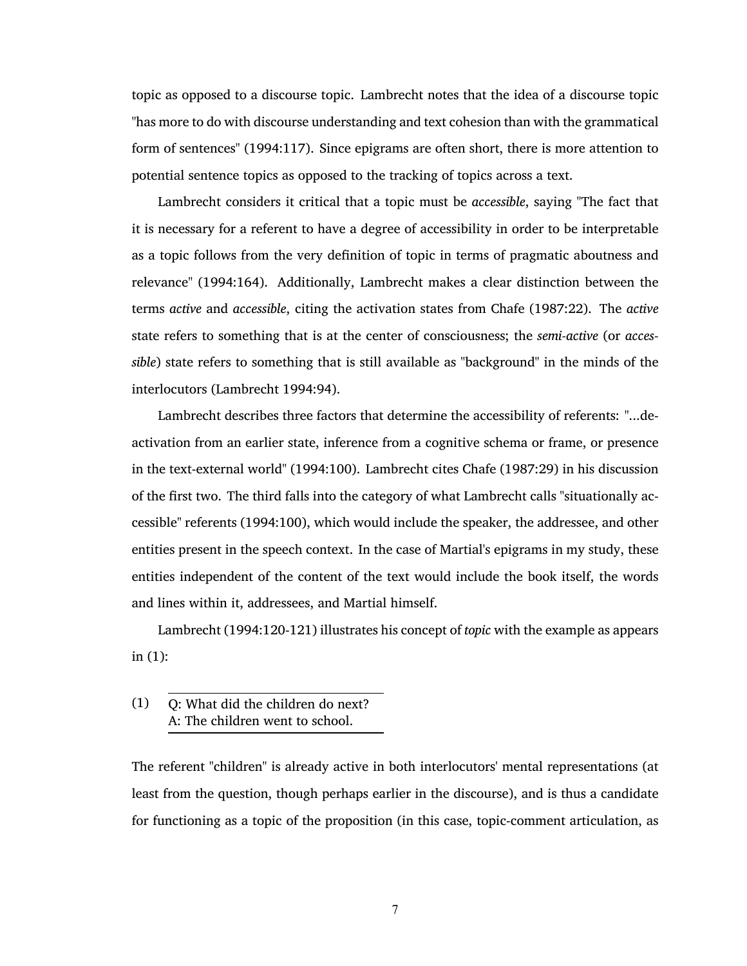topic as opposed to a discourse topic. Lambrecht notes that the idea of a discourse topic "has more to do with discourse understanding and text cohesion than with the grammatical form of sentences" [\(1994:117\).](#page-77-1) Since epigrams are often short, there is more attention to potential sentence topics as opposed to the tracking of topics across a text.

Lambrecht considers it critical that a topic must be *accessible*, saying "The fact that it is necessary for a referent to have a degree of accessibility in order to be interpretable as a topic follows from the very definition of topic in terms of pragmatic aboutness and relevance" [\(1994:164\).](#page-77-1) Additionally, Lambrecht makes a clear distinction between the terms *active* and *accessible*, citing the activation states from [Chafe \(1987:22\)](#page-77-7). The *active* state refers to something that is at the center of consciousness; the *semi-active* (or *accessible*) state refers to something that is still available as "background" in the minds of the interlocutors [\(Lambrecht 1994:94\)](#page-77-1).

Lambrecht describes three factors that determine the accessibility of referents: "...deactivation from an earlier state, inference from a cognitive schema or frame, or presence in the text-external world" [\(1994:100\).](#page-77-1) Lambrecht cites [Chafe \(1987:29\)](#page-77-7) in his discussion of the first two. The third falls into the category of what Lambrecht calls "situationally accessible" referents [\(1994:100\),](#page-77-1) which would include the speaker, the addressee, and other entities present in the speech context. In the case of Martial's epigrams in my study, these entities independent of the content of the text would include the book itself, the words and lines within it, addressees, and Martial himself.

Lambrecht [\(1994:120-121\)](#page-77-1) illustrates his concept of *topic* with the example as appears in [\(1\)](#page-20-0):

The referent "children" is already active in both interlocutors' mental representations (at least from the question, though perhaps earlier in the discourse), and is thus a candidate for functioning as a topic of the proposition (in this case, topic-comment articulation, as

<span id="page-20-0"></span><sup>(1)</sup> Q: What did the children do next? A: The children went to school.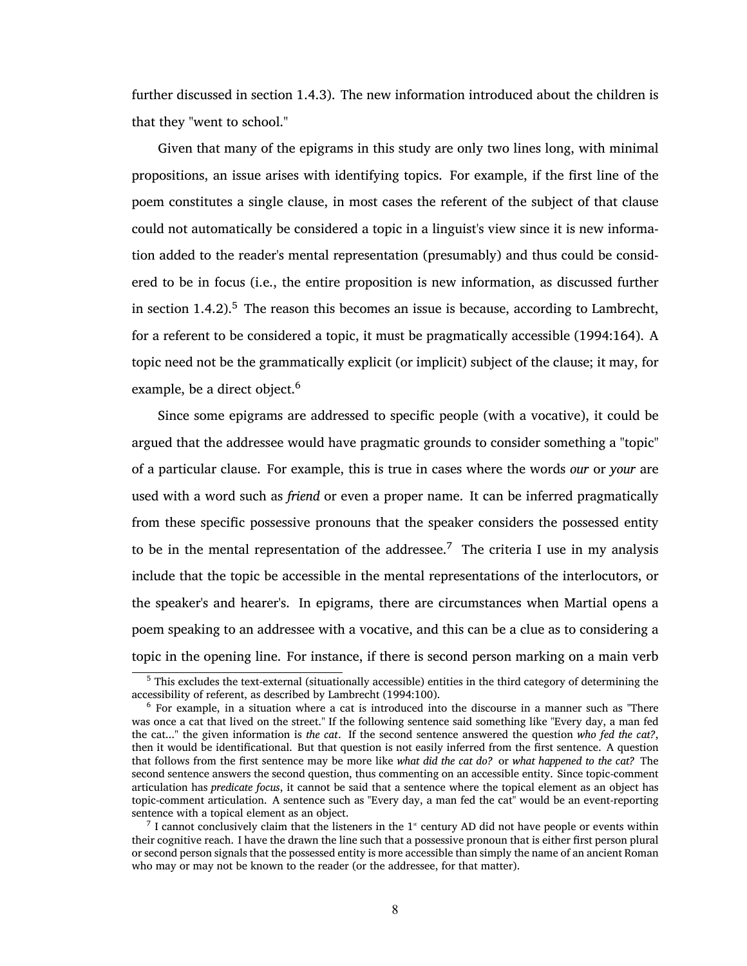further discussed in section [1.4.3\)](#page-22-1). The new information introduced about the children is that they "went to school."

Given that many of the epigrams in this study are only two lines long, with minimal propositions, an issue arises with identifying topics. For example, if the first line of the poem constitutes a single clause, in most cases the referent of the subject of that clause could not automatically be considered a topic in a linguist's view since it is new information added to the reader's mental representation (presumably) and thus could be considered to be in focus (i.e., the entire proposition is new information, as discussed further in section  $1.4.2$ ).<sup>5</sup> The reason this becomes an issue is because, according to Lambrecht, for a referent to be considered a topic, it must be pragmatically accessible [\(1994:164\)](#page-77-1). A topic need not be the grammatically explicit (or implicit) subject of the clause; it may, for example, be a direct object.<sup>6</sup>

Since some epigrams are addressed to specific people (with a vocative), it could be argued that the addressee would have pragmatic grounds to consider something a "topic" of a particular clause. For example, this is true in cases where the words *our* or *your* are used with a word such as *friend* or even a proper name. It can be inferred pragmatically from these specific possessive pronouns that the speaker considers the possessed entity to be in the mental representation of the addressee.<sup>7</sup> The criteria I use in my analysis include that the topic be accessible in the mental representations of the interlocutors, or the speaker's and hearer's. In epigrams, there are circumstances when Martial opens a poem speaking to an addressee with a vocative, and this can be a clue as to considering a topic in the opening line. For instance, if there is second person marking on a main verb

<sup>5</sup> This excludes the text-external (situationally accessible) entities in the third category of determining the accessibility of referent, as described by [Lambrecht \(1994:100\)](#page-77-1).

<sup>6</sup> For example, in a situation where a cat is introduced into the discourse in a manner such as "There was once a cat that lived on the street." If the following sentence said something like "Every day, a man fed the cat..." the given information is *the cat*. If the second sentence answered the question *who fed the cat?*, then it would be identificational. But that question is not easily inferred from the first sentence. A question that follows from the first sentence may be more like *what did the cat do?* or *what happened to the cat?* The second sentence answers the second question, thus commenting on an accessible entity. Since topic-comment articulation has *predicate focus*, it cannot be said that a sentence where the topical element as an object has topic-comment articulation. A sentence such as "Every day, a man fed the cat" would be an event-reporting sentence with a topical element as an object.

 $^7$  I cannot conclusively claim that the listeners in the  $1^*$  century AD did not have people or events within their cognitive reach. I have the drawn the line such that a possessive pronoun that is either first person plural or second person signals that the possessed entity is more accessible than simply the name of an ancient Roman who may or may not be known to the reader (or the addressee, for that matter).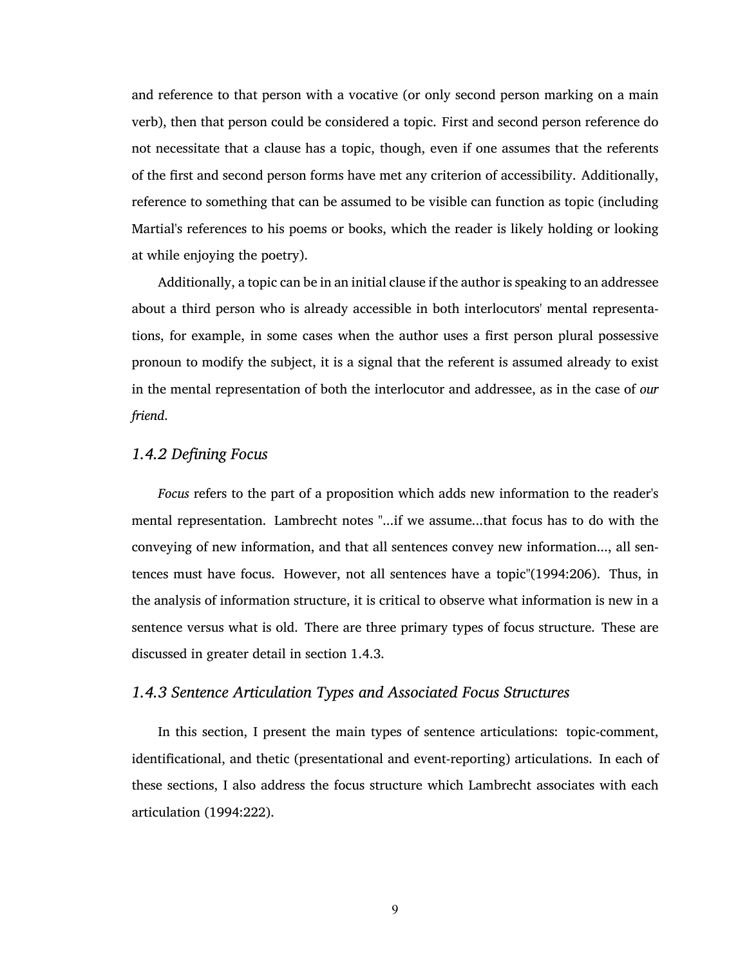and reference to that person with a vocative (or only second person marking on a main verb), then that person could be considered a topic. First and second person reference do not necessitate that a clause has a topic, though, even if one assumes that the referents of the first and second person forms have met any criterion of accessibility. Additionally, reference to something that can be assumed to be visible can function as topic (including Martial's references to his poems or books, which the reader is likely holding or looking at while enjoying the poetry).

Additionally, a topic can be in an initial clause if the author is speaking to an addressee about a third person who is already accessible in both interlocutors' mental representations, for example, in some cases when the author uses a first person plural possessive pronoun to modify the subject, it is a signal that the referent is assumed already to exist in the mental representation of both the interlocutor and addressee, as in the case of *our friend*.

### <span id="page-22-0"></span>*1.4.2 Defining Focus*

*Focus* refers to the part of a proposition which adds new information to the reader's mental representation. Lambrecht notes "...if we assume...that focus has to do with the conveying of new information, and that all sentences convey new information..., all sentences must have focus. However, not all sentences have a topic"[\(1994:206\)](#page-77-1). Thus, in the analysis of information structure, it is critical to observe what information is new in a sentence versus what is old. There are three primary types of focus structure. These are discussed in greater detail in section [1.4.3](#page-22-1).

## <span id="page-22-1"></span>*1.4.3 Sentence Articulation Types and Associated Focus Structures*

In this section, I present the main types of sentence articulations: topic-comment, identificational, and thetic (presentational and event-reporting) articulations. In each of these sections, I also address the focus structure which Lambrecht associates with each articulation [\(1994:222\)](#page-77-1).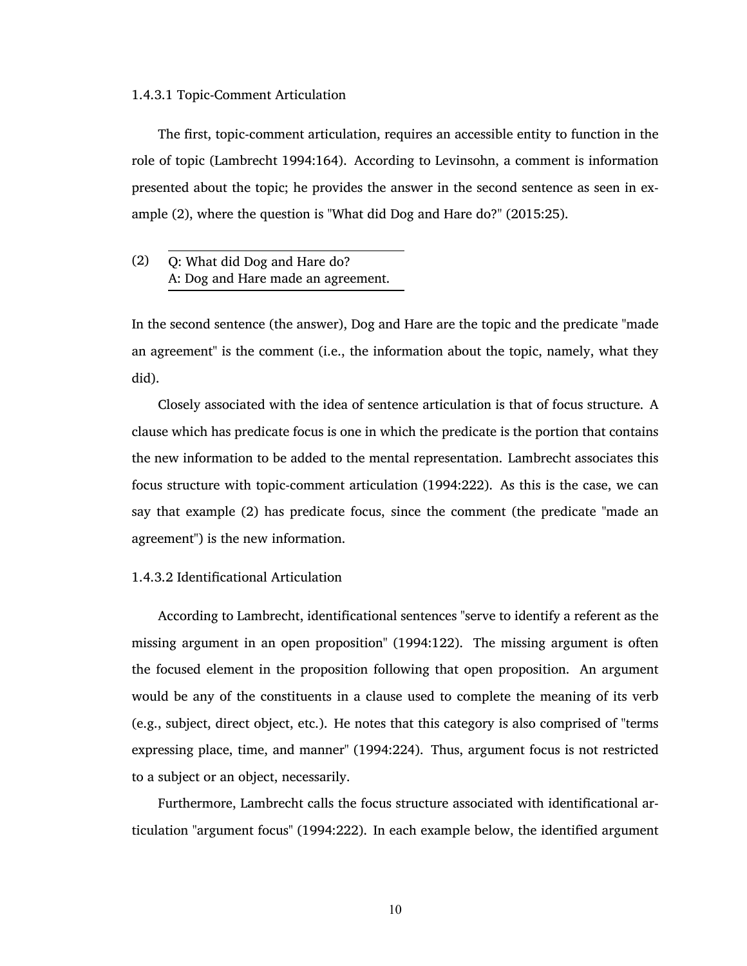#### <span id="page-23-0"></span>1.4.3.1 Topic-Comment Articulation

The first, topic-comment articulation, requires an accessible entity to function in the role of topic [\(Lambrecht 1994:164\).](#page-77-1) According to Levinsohn, a comment is information presented about the topic; he provides the answer in the second sentence as seen in example [\(2\)](#page-23-2), where the question is "What did Dog and Hare do?" [\(2015:25\)](#page-77-2).

<span id="page-23-2"></span>(2) Q: What did Dog and Hare do? A: Dog and Hare made an agreement.

In the second sentence (the answer), Dog and Hare are the topic and the predicate "made an agreement" is the comment (i.e., the information about the topic, namely, what they did).

Closely associated with the idea of sentence articulation is that of focus structure. A clause which has predicate focus is one in which the predicate is the portion that contains the new information to be added to the mental representation. Lambrecht associates this focus structure with topic-comment articulation [\(1994:222\)](#page-77-1). As this is the case, we can say that example [\(2\)](#page-23-2) has predicate focus, since the comment (the predicate "made an agreement") is the new information.

#### <span id="page-23-1"></span>1.4.3.2 Identificational Articulation

According to Lambrecht, identificational sentences "serve to identify a referent as the missing argument in an open proposition" [\(1994:122\).](#page-77-1) The missing argument is often the focused element in the proposition following that open proposition. An argument would be any of the constituents in a clause used to complete the meaning of its verb (e.g., subject, direct object, etc.). He notes that this category is also comprised of "terms expressing place, time, and manner" [\(1994:224\)](#page-77-1). Thus, argument focus is not restricted to a subject or an object, necessarily.

Furthermore, Lambrecht calls the focus structure associated with identificational articulation "argument focus" [\(1994:222\)](#page-77-1). In each example below, the identified argument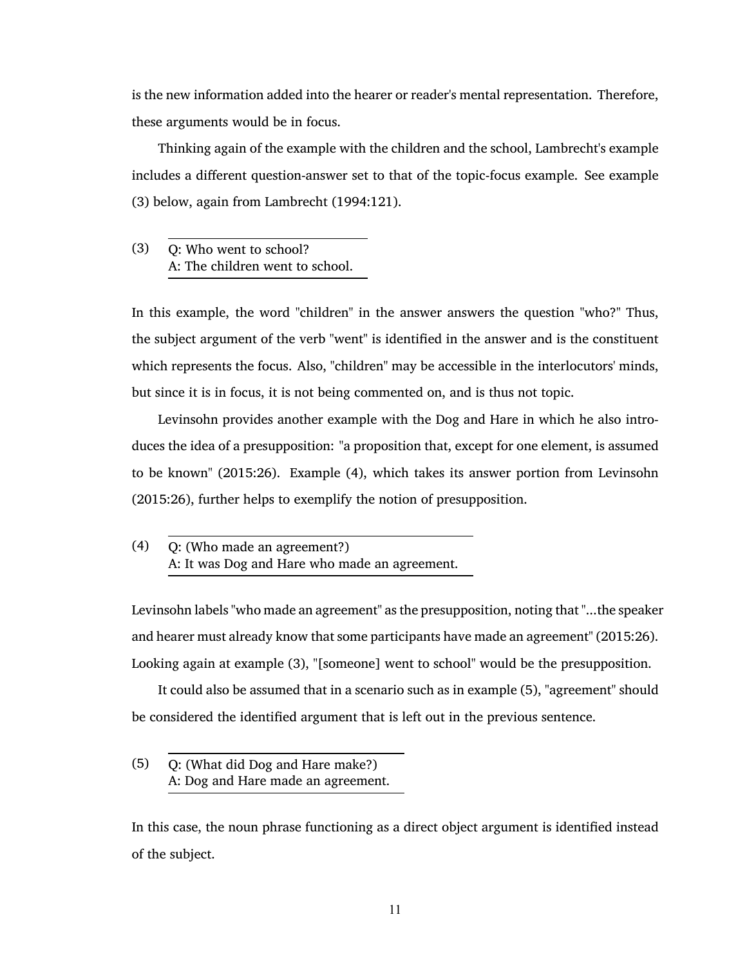is the new information added into the hearer or reader's mental representation. Therefore, these arguments would be in focus.

Thinking again of the example with the children and the school, Lambrecht's example includes a different question-answer set to that of the topic-focus example. See example [\(3\)](#page-24-0) below, again from [Lambrecht \(1994:121\)](#page-77-1).

<span id="page-24-0"></span>(3) Q: Who went to school? A: The children went to school.

In this example, the word "children" in the answer answers the question "who?" Thus, the subject argument of the verb "went" is identified in the answer and is the constituent which represents the focus. Also, "children" may be accessible in the interlocutors' minds, but since it is in focus, it is not being commented on, and is thus not topic.

Levinsohn provides another example with the Dog and Hare in which he also introduces the idea of a presupposition: "a proposition that, except for one element, is assumed to be known" [\(2015:26\).](#page-77-2) Example [\(4\),](#page-24-1) which takes its answer portion from [Levinsohn](#page-77-2) [\(2015:26\)](#page-77-2), further helps to exemplify the notion of presupposition.

Levinsohn labels "who made an agreement" as the presupposition, noting that "...the speaker and hearer must already know that some participants have made an agreement" [\(2015:26\).](#page-77-2) Looking again at example [\(3\)](#page-24-0), "[someone] went to school" would be the presupposition.

It could also be assumed that in a scenario such as in example [\(5\),](#page-24-2) "agreement" should be considered the identified argument that is left out in the previous sentence.

<span id="page-24-2"></span>(5) Q: (What did Dog and Hare make?) A: Dog and Hare made an agreement.

In this case, the noun phrase functioning as a direct object argument is identified instead of the subject.

<span id="page-24-1"></span><sup>(4)</sup> Q: (Who made an agreement?) A: It was Dog and Hare who made an agreement.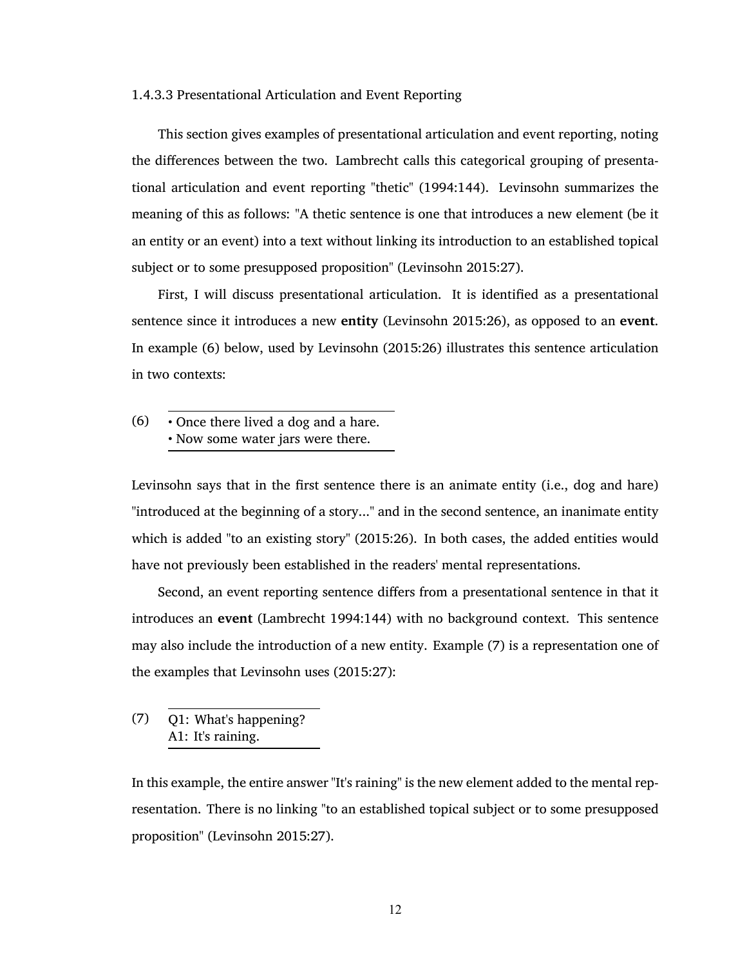#### <span id="page-25-0"></span>1.4.3.3 Presentational Articulation and Event Reporting

This section gives examples of presentational articulation and event reporting, noting the differences between the two. Lambrecht calls this categorical grouping of presentational articulation and event reporting "thetic" [\(1994:144\).](#page-77-1) Levinsohn summarizes the meaning of this as follows: "A thetic sentence is one that introduces a new element (be it an entity or an event) into a text without linking its introduction to an established topical subject or to some presupposed proposition" [\(Levinsohn 2015:27\).](#page-77-2)

First, I will discuss presentational articulation. It is identified as a presentational sentence since it introduces a new **entity** [\(Levinsohn 2015:26\)](#page-77-2), as opposed to an **event**. In example [\(6\)](#page-25-1) below, used by [Levinsohn \(2015:26\)](#page-77-2) illustrates this sentence articulation in two contexts:

<span id="page-25-1"></span>(6) • Once there lived a dog and a hare. • Now some water jars were there.

Levinsohn says that in the first sentence there is an animate entity (i.e., dog and hare) "introduced at the beginning of a story..." and in the second sentence, an inanimate entity which is added "to an existing story" [\(2015:26\)](#page-77-2). In both cases, the added entities would have not previously been established in the readers' mental representations.

Second, an event reporting sentence differs from a presentational sentence in that it introduces an **event** [\(Lambrecht 1994:144\)](#page-77-1) with no background context. This sentence may also include the introduction of a new entity. Example [\(7\)](#page-25-2) is a representation one of the examples that Levinsohn uses [\(2015:27\):](#page-77-2)

<span id="page-25-2"></span>(7) Q1: What's happening? A1: It's raining.

In this example, the entire answer "It's raining" is the new element added to the mental representation. There is no linking "to an established topical subject or to some presupposed proposition" [\(Levinsohn 2015:27\)](#page-77-2).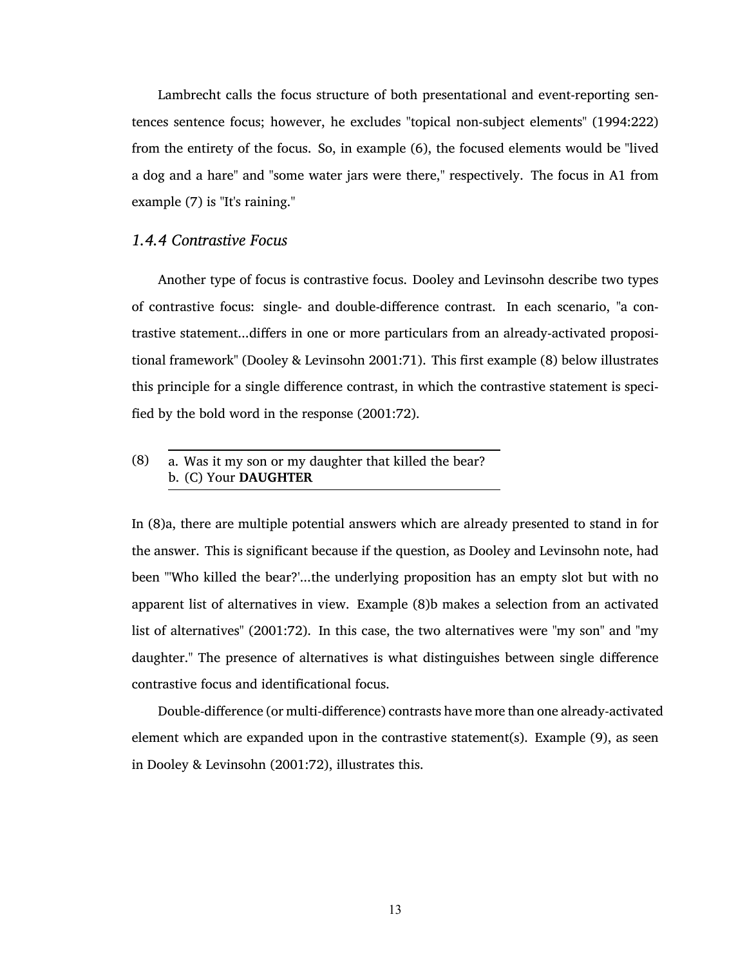Lambrecht calls the focus structure of both presentational and event-reporting sentences sentence focus; however, he excludes "topical non-subject elements" [\(1994:222\)](#page-77-1) from the entirety of the focus. So, in example [\(6\),](#page-25-1) the focused elements would be "lived a dog and a hare" and "some water jars were there," respectively. The focus in A1 from example [\(7\)](#page-25-2) is "It's raining."

#### <span id="page-26-0"></span>*1.4.4 Contrastive Focus*

Another type of focus is contrastive focus. Dooley and Levinsohn describe two types of contrastive focus: single- and double-difference contrast. In each scenario, "a contrastive statement...differs in one or more particulars from an already-activated propositional framework" [\(Dooley & Levinsohn 2001:71\).](#page-77-6) This first example [\(8\)](#page-26-1) below illustrates this principle for a single difference contrast, in which the contrastive statement is specified by the bold word in the response [\(2001:72\)](#page-77-6).

<span id="page-26-1"></span>(8) a. Was it my son or my daughter that killed the bear? b. (C) Your **DAUGHTER**

In [\(8\)a](#page-26-1), there are multiple potential answers which are already presented to stand in for the answer. This is significant because if the question, as Dooley and Levinsohn note, had been "'Who killed the bear?'...the underlying proposition has an empty slot but with no apparent list of alternatives in view. Example [\(8\)b](#page-26-1) makes a selection from an activated list of alternatives" [\(2001:72\)](#page-77-6). In this case, the two alternatives were "my son" and "my daughter." The presence of alternatives is what distinguishes between single difference contrastive focus and identificational focus.

Double-difference (or multi-difference) contrasts have more than one already-activated element which are expanded upon in the contrastive statement(s). Example [\(9\)](#page-27-0), as seen in [Dooley & Levinsohn \(2001:72\),](#page-77-6) illustrates this.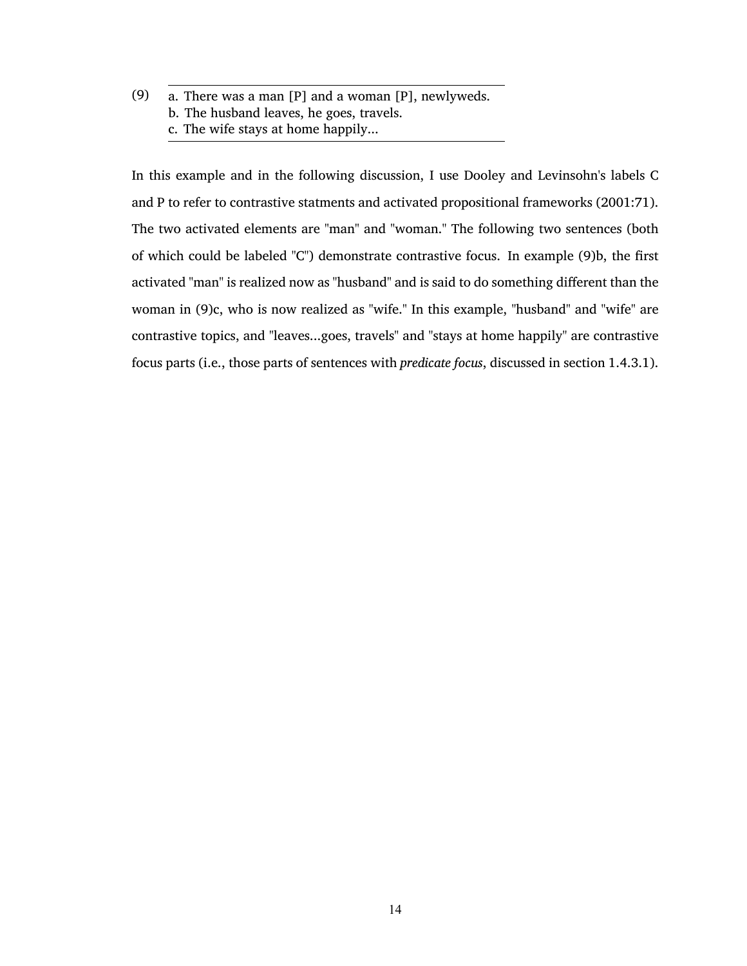<span id="page-27-0"></span>(9) a. There was a man [P] and a woman [P], newlyweds. b. The husband leaves, he goes, travels. c. The wife stays at home happily...

In this example and in the following discussion, I use Dooley and Levinsohn's labels C and P to refer to contrastive statments and activated propositional frameworks [\(2001:71\).](#page-77-6) The two activated elements are "man" and "woman." The following two sentences (both of which could be labeled "C") demonstrate contrastive focus. In example [\(9\)b](#page-27-0), the first activated "man" is realized now as "husband" and is said to do something different than the woman in [\(9\)c](#page-27-0), who is now realized as "wife." In this example, "husband" and "wife" are contrastive topics, and "leaves...goes, travels" and "stays at home happily" are contrastive focus parts (i.e., those parts of sentences with *predicate focus*, discussed in section [1.4.3.1\)](#page-23-0).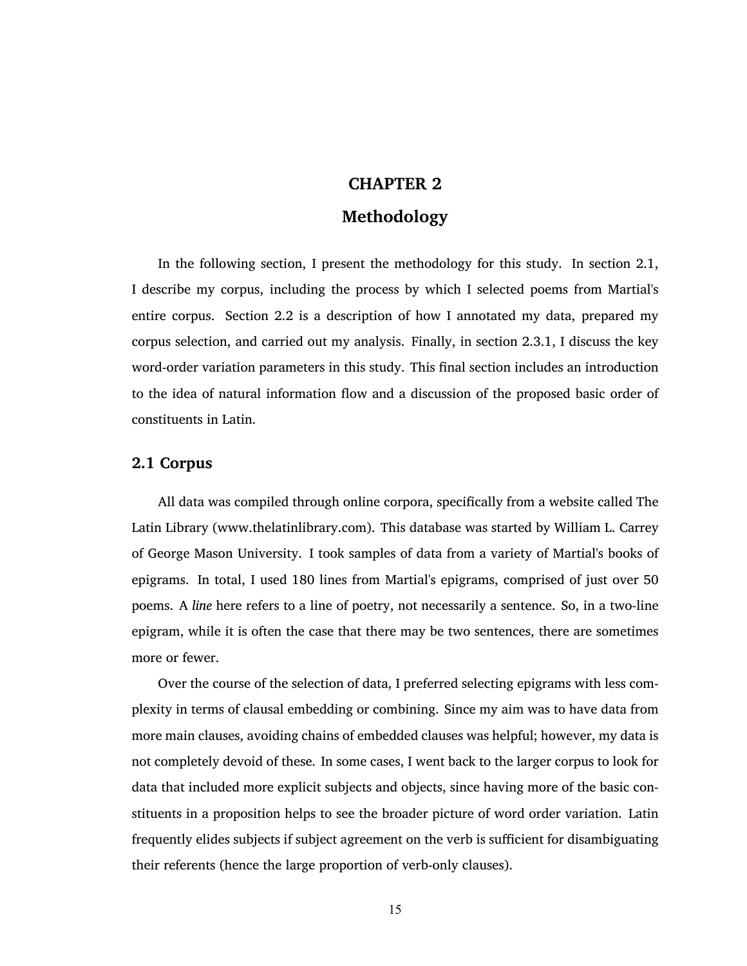# <span id="page-28-0"></span>**CHAPTER 2**

## **Methodology**

In the following section, I present the methodology for this study. In section [2.1,](#page-28-1) I describe my corpus, including the process by which I selected poems from Martial's entire corpus. Section [2.2](#page-29-0) is a description of how I annotated my data, prepared my corpus selection, and carried out my analysis. Finally, in section [2.3.1,](#page-32-0) I discuss the key word-order variation parameters in this study. This final section includes an introduction to the idea of natural information flow and a discussion of the proposed basic order of constituents in Latin.

#### <span id="page-28-1"></span>**2.1 Corpus**

All data was compiled through online corpora, specifically from a website called The Latin Library (www.thelatinlibrary.com). This database was started by William L. Carrey of George Mason University. I took samples of data from a variety of Martial's books of epigrams. In total, I used 180 lines from Martial's epigrams, comprised of just over 50 poems. A *line* here refers to a line of poetry, not necessarily a sentence. So, in a two-line epigram, while it is often the case that there may be two sentences, there are sometimes more or fewer.

Over the course of the selection of data, I preferred selecting epigrams with less complexity in terms of clausal embedding or combining. Since my aim was to have data from more main clauses, avoiding chains of embedded clauses was helpful; however, my data is not completely devoid of these. In some cases, I went back to the larger corpus to look for data that included more explicit subjects and objects, since having more of the basic constituents in a proposition helps to see the broader picture of word order variation. Latin frequently elides subjects if subject agreement on the verb is sufficient for disambiguating their referents (hence the large proportion of verb-only clauses).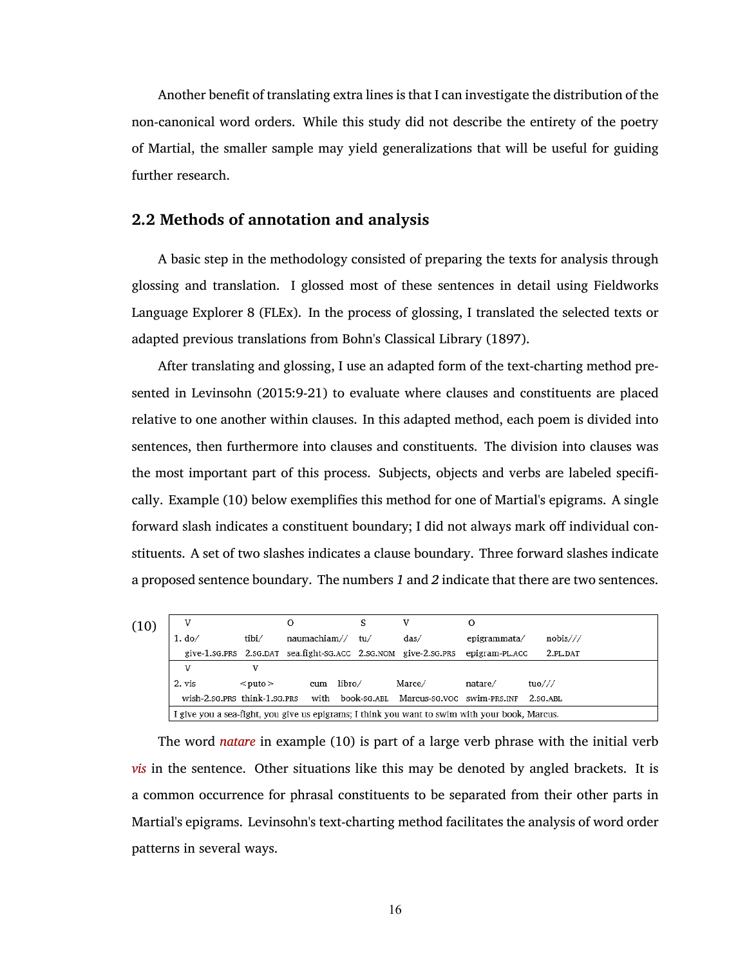Another benefit of translating extra lines is that I can investigate the distribution of the non-canonical word orders. While this study did not describe the entirety of the poetry of Martial, the smaller sample may yield generalizations that will be useful for guiding further research.

## <span id="page-29-0"></span>**2.2 Methods of annotation and analysis**

A basic step in the methodology consisted of preparing the texts for analysis through glossing and translation. I glossed most of these sentences in detail using Fieldworks Language Explorer 8 (FLEx). In the process of glossing, I translated the selected texts or adapted previous translations from Bohn's Classical Library [\(1897\)](#page-77-8).

After translating and glossing, I use an adapted form of the text-charting method presented in [Levinsohn \(2015:9-21\)](#page-77-2) to evaluate where clauses and constituents are placed relative to one another within clauses. In this adapted method, each poem is divided into sentences, then furthermore into clauses and constituents. The division into clauses was the most important part of this process. Subjects, objects and verbs are labeled specifically. Example [\(10\)](#page-29-1) below exemplifies this method for one of Martial's epigrams. A single forward slash indicates a constituent boundary; I did not always mark off individual constituents. A set of two slashes indicates a clause boundary. Three forward slashes indicate a proposed sentence boundary. The numbers *1* and *2* indicate that there are two sentences.

<span id="page-29-1"></span>

| (10) |                                                                                                |              | О            |        |     |                                                                |                |          |
|------|------------------------------------------------------------------------------------------------|--------------|--------------|--------|-----|----------------------------------------------------------------|----------------|----------|
|      | $1. d_0/$                                                                                      | tibi/        | naumachiam// |        | tu/ | das/                                                           | epigrammata/   | nobis/// |
|      |                                                                                                |              |              |        |     | give-1.sg.prs 2.sg.pat sea.fight-sg.acc 2.sg.nom give-2.sg.prs | epigram-PL.ACC | 2.PL.DAT |
|      | v                                                                                              |              |              |        |     |                                                                |                |          |
|      | 2. vis                                                                                         | $<$ puto $>$ | cum          | libro/ |     | Marce/                                                         | natare/        | tuo///   |
|      | wish-2.sg.prs_think-1.sg.prs                                                                   |              | with         |        |     | book-sg.ABL Marcus-sg.voc swim-PRS.INF                         |                | 2.SG.ABL |
|      | I give you a sea-fight, you give us epigrams; I think you want to swim with your book, Marcus. |              |              |        |     |                                                                |                |          |

The word *natare* in example [\(10\)](#page-29-1) is part of a large verb phrase with the initial verb *vis* in the sentence. Other situations like this may be denoted by angled brackets. It is a common occurrence for phrasal constituents to be separated from their other parts in Martial's epigrams. Levinsohn's text-charting method facilitates the analysis of word order patterns in several ways.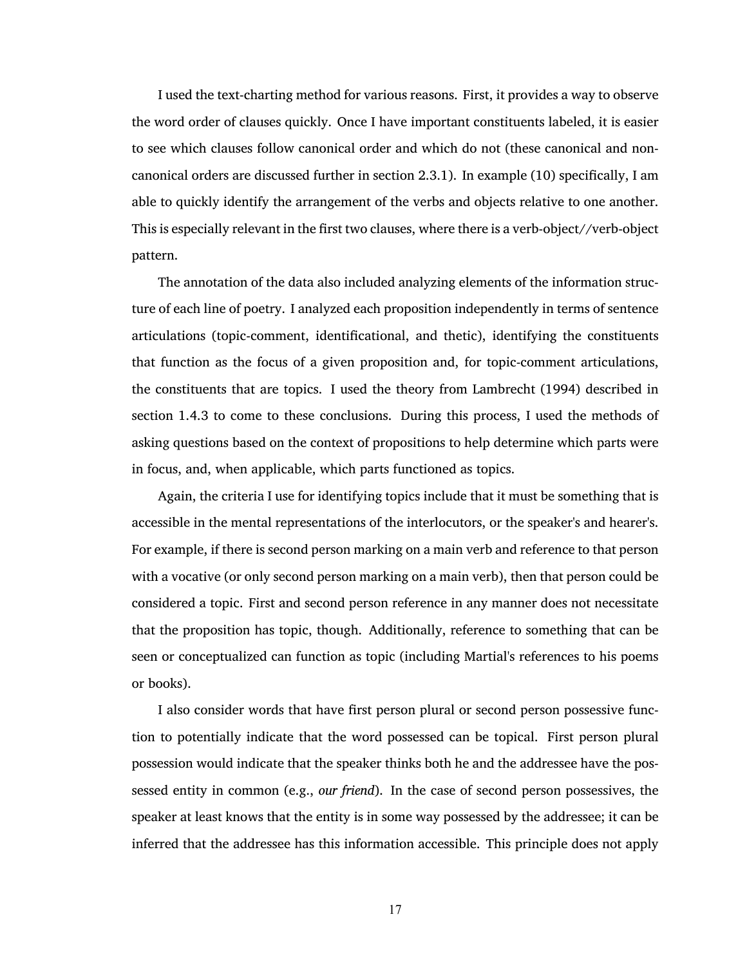I used the text-charting method for various reasons. First, it provides a way to observe the word order of clauses quickly. Once I have important constituents labeled, it is easier to see which clauses follow canonical order and which do not (these canonical and noncanonical orders are discussed further in section [2.3.1\)](#page-32-0). In example [\(10\)](#page-29-1) specifically, I am able to quickly identify the arrangement of the verbs and objects relative to one another. This is especially relevant in the first two clauses, where there is a verb-object//verb-object pattern.

The annotation of the data also included analyzing elements of the information structure of each line of poetry. I analyzed each proposition independently in terms of sentence articulations (topic-comment, identificational, and thetic), identifying the constituents that function as the focus of a given proposition and, for topic-comment articulations, the constituents that are topics. I used the theory from [Lambrecht \(1994\)](#page-77-1) described in section [1.4.3](#page-22-1) to come to these conclusions. During this process, I used the methods of asking questions based on the context of propositions to help determine which parts were in focus, and, when applicable, which parts functioned as topics.

Again, the criteria I use for identifying topics include that it must be something that is accessible in the mental representations of the interlocutors, or the speaker's and hearer's. For example, if there is second person marking on a main verb and reference to that person with a vocative (or only second person marking on a main verb), then that person could be considered a topic. First and second person reference in any manner does not necessitate that the proposition has topic, though. Additionally, reference to something that can be seen or conceptualized can function as topic (including Martial's references to his poems or books).

I also consider words that have first person plural or second person possessive function to potentially indicate that the word possessed can be topical. First person plural possession would indicate that the speaker thinks both he and the addressee have the possessed entity in common (e.g., *our friend*). In the case of second person possessives, the speaker at least knows that the entity is in some way possessed by the addressee; it can be inferred that the addressee has this information accessible. This principle does not apply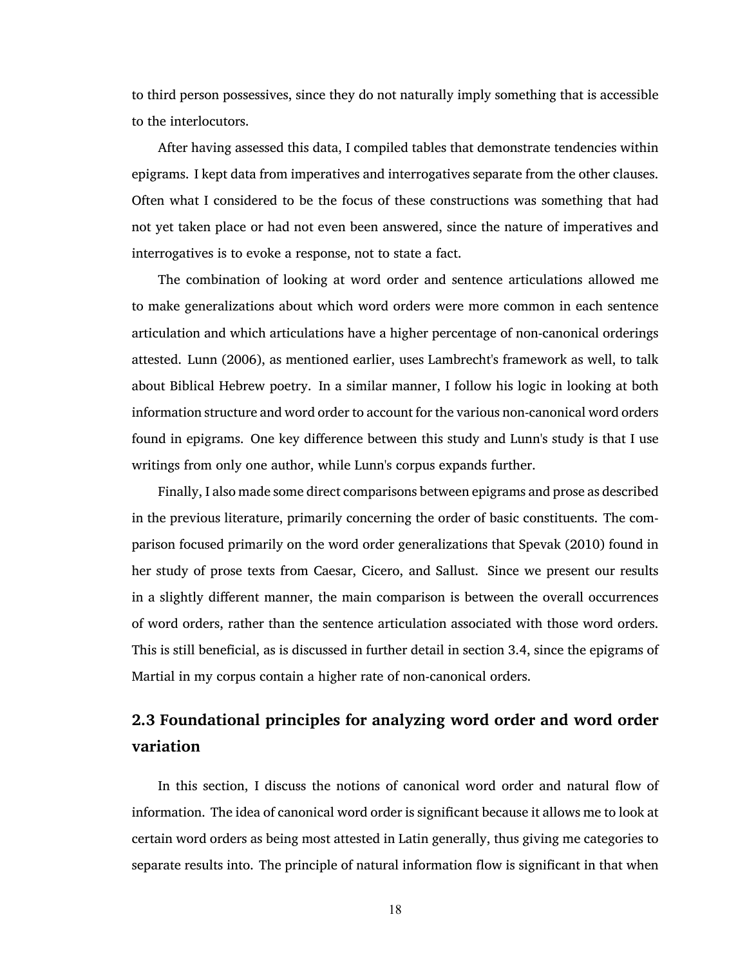to third person possessives, since they do not naturally imply something that is accessible to the interlocutors.

After having assessed this data, I compiled tables that demonstrate tendencies within epigrams. I kept data from imperatives and interrogatives separate from the other clauses. Often what I considered to be the focus of these constructions was something that had not yet taken place or had not even been answered, since the nature of imperatives and interrogatives is to evoke a response, not to state a fact.

The combination of looking at word order and sentence articulations allowed me to make generalizations about which word orders were more common in each sentence articulation and which articulations have a higher percentage of non-canonical orderings attested. [Lunn \(2006\),](#page-77-5) as mentioned earlier, uses Lambrecht's framework as well, to talk about Biblical Hebrew poetry. In a similar manner, I follow his logic in looking at both information structure and word order to account for the various non-canonical word orders found in epigrams. One key difference between this study and Lunn's study is that I use writings from only one author, while Lunn's corpus expands further.

Finally, I also made some direct comparisons between epigrams and prose as described in the previous literature, primarily concerning the order of basic constituents. The comparison focused primarily on the word order generalizations that Spevak [\(2010\)](#page-78-1) found in her study of prose texts from Caesar, Cicero, and Sallust. Since we present our results in a slightly different manner, the main comparison is between the overall occurrences of word orders, rather than the sentence articulation associated with those word orders. This is still beneficial, as is discussed in further detail in section [3.4,](#page-67-1) since the epigrams of Martial in my corpus contain a higher rate of non-canonical orders.

# <span id="page-31-0"></span>**2.3 Foundational principles for analyzing word order and word order variation**

In this section, I discuss the notions of canonical word order and natural flow of information. The idea of canonical word order is significant because it allows me to look at certain word orders as being most attested in Latin generally, thus giving me categories to separate results into. The principle of natural information flow is significant in that when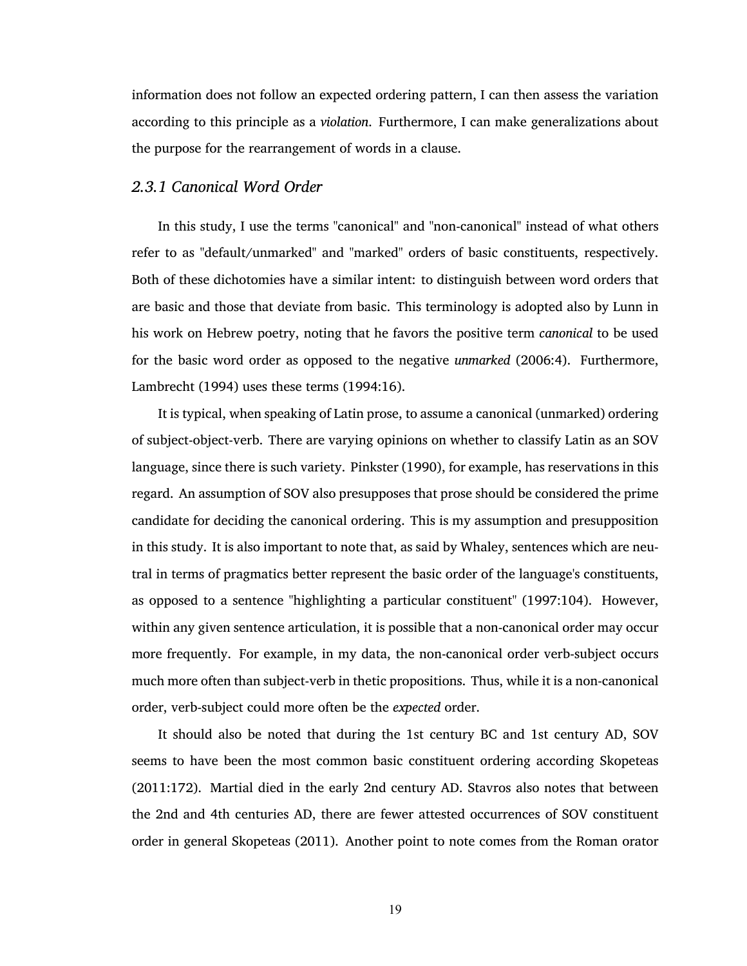information does not follow an expected ordering pattern, I can then assess the variation according to this principle as a *violation*. Furthermore, I can make generalizations about the purpose for the rearrangement of words in a clause.

#### <span id="page-32-0"></span>*2.3.1 Canonical Word Order*

In this study, I use the terms "canonical" and "non-canonical" instead of what others refer to as "default/unmarked" and "marked" orders of basic constituents, respectively. Both of these dichotomies have a similar intent: to distinguish between word orders that are basic and those that deviate from basic. This terminology is adopted also by Lunn in his work on Hebrew poetry, noting that he favors the positive term *canonical* to be used for the basic word order as opposed to the negative *unmarked* [\(2006:4\)](#page-77-5). Furthermore, [Lambrecht \(1994\)](#page-77-1) uses these terms [\(1994:16\)](#page-77-1).

It is typical, when speaking of Latin prose, to assume a canonical (unmarked) ordering of subject-object-verb. There are varying opinions on whether to classify Latin as an SOV language, since there is such variety. [Pinkster \(1990\)](#page-77-9), for example, has reservations in this regard. An assumption of SOV also presupposes that prose should be considered the prime candidate for deciding the canonical ordering. This is my assumption and presupposition in this study. It is also important to note that, as said by Whaley, sentences which are neutral in terms of pragmatics better represent the basic order of the language's constituents, as opposed to a sentence "highlighting a particular constituent" [\(1997:104\).](#page-78-2) However, within any given sentence articulation, it is possible that a non-canonical order may occur more frequently. For example, in my data, the non-canonical order verb-subject occurs much more often than subject-verb in thetic propositions. Thus, while it is a non-canonical order, verb-subject could more often be the *expected* order.

It should also be noted that during the 1st century BC and 1st century AD, SOV seems to have been the most common basic constituent ordering according [Skopeteas](#page-78-3) [\(2011:172\)](#page-78-3). Martial died in the early 2nd century AD. Stavros also notes that between the 2nd and 4th centuries AD, there are fewer attested occurrences of SOV constituent order in general [Skopeteas \(2011\).](#page-78-3) Another point to note comes from the Roman orator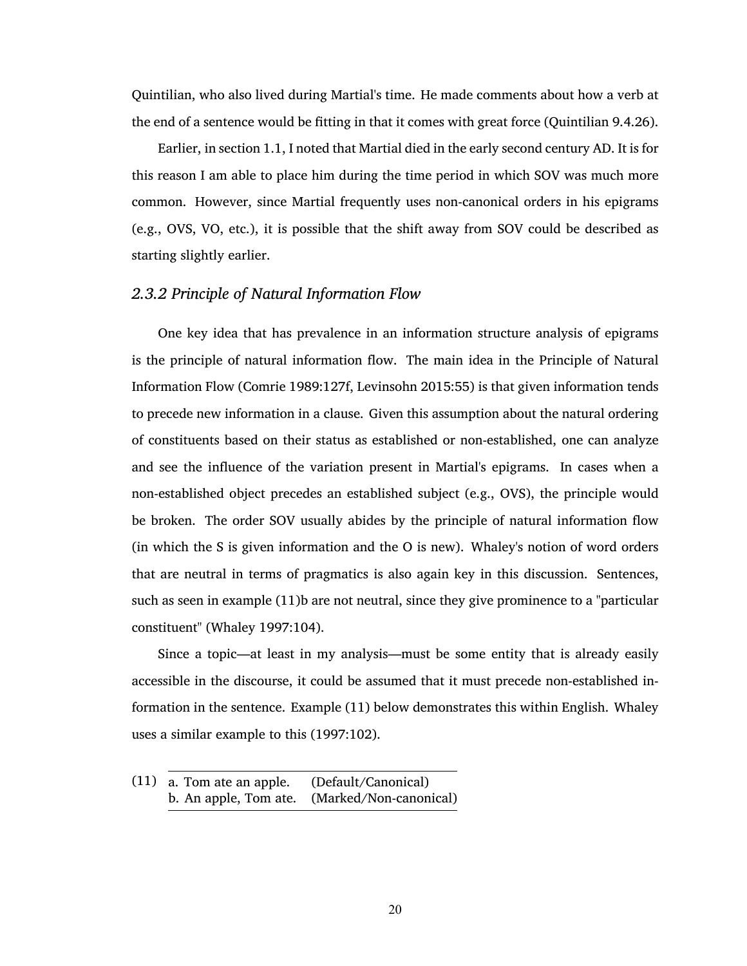Quintilian, who also lived during Martial's time. He made comments about how a verb at the end of a sentence would be fitting in that it comes with great force (Quintilian 9.4.26).

Earlier, in section [1.1](#page-15-0), I noted that Martial died in the early second century AD. It is for this reason I am able to place him during the time period in which SOV was much more common. However, since Martial frequently uses non-canonical orders in his epigrams (e.g., OVS, VO, etc.), it is possible that the shift away from SOV could be described as starting slightly earlier.

## <span id="page-33-0"></span>*2.3.2 Principle of Natural Information Flow*

One key idea that has prevalence in an information structure analysis of epigrams is the principle of natural information flow. The main idea in the Principle of Natural Information Flow [\(Comrie 1989:127f,](#page-77-10) [Levinsohn 2015:55\)](#page-77-2) is that given information tends to precede new information in a clause. Given this assumption about the natural ordering of constituents based on their status as established or non-established, one can analyze and see the influence of the variation present in Martial's epigrams. In cases when a non-established object precedes an established subject (e.g., OVS), the principle would be broken. The order SOV usually abides by the principle of natural information flow (in which the S is given information and the O is new). Whaley's notion of word orders that are neutral in terms of pragmatics is also again key in this discussion. Sentences, such as seen in example [\(11\)](#page-33-1)b are not neutral, since they give prominence to a "particular constituent" [\(Whaley 1997:104\)](#page-78-2).

Since a topic—at least in my analysis—must be some entity that is already easily accessible in the discourse, it could be assumed that it must precede non-established information in the sentence. Example [\(11\)](#page-33-1) below demonstrates this within English. Whaley uses a similar example to this [\(1997:102\)](#page-78-2).

<span id="page-33-1"></span>(11) a. Tom ate an apple. (Default/Canonical) b. An apple, Tom ate. (Marked/Non-canonical)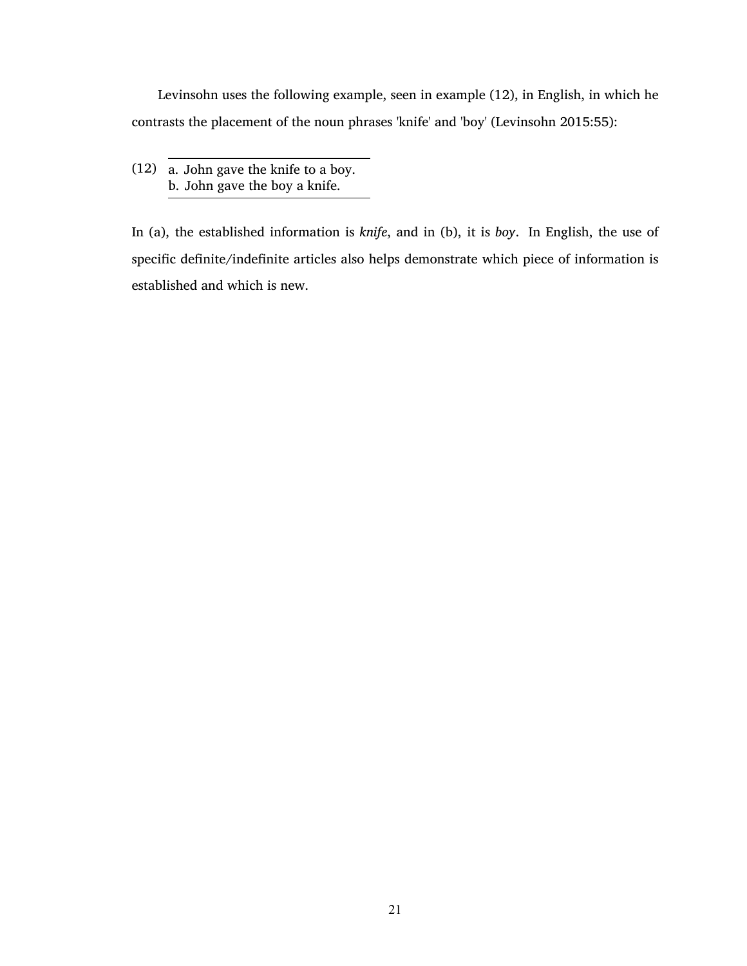Levinsohn uses the following example, seen in example [\(12\),](#page-34-0) in English, in which he contrasts the placement of the noun phrases 'knife' and 'boy' [\(Levinsohn 2015:55\)](#page-77-2):

<span id="page-34-0"></span>(12) a. John gave the knife to a boy. b. John gave the boy a knife.

In (a), the established information is *knife*, and in (b), it is *boy*. In English, the use of specific definite/indefinite articles also helps demonstrate which piece of information is established and which is new.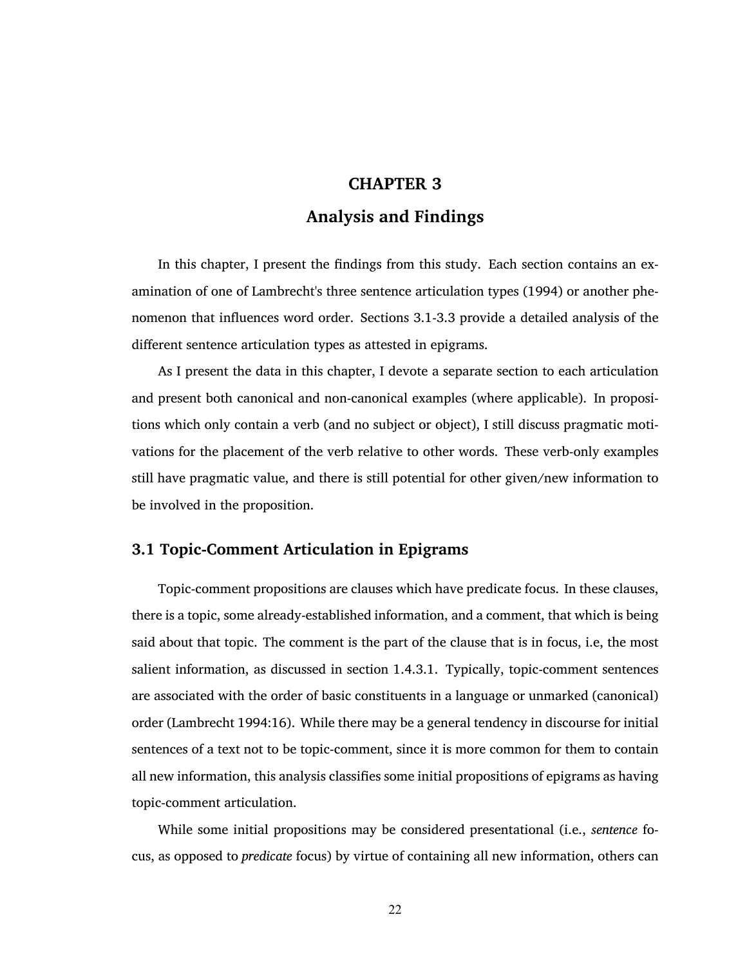## <span id="page-35-0"></span>**CHAPTER 3**

# **Analysis and Findings**

In this chapter, I present the findings from this study. Each section contains an examination of one of Lambrecht's three sentence articulation types [\(1994\)](#page-77-1) or another phenomenon that influences word order. Sections [3.1](#page-35-1)-[3.3](#page-57-0) provide a detailed analysis of the different sentence articulation types as attested in epigrams.

As I present the data in this chapter, I devote a separate section to each articulation and present both canonical and non-canonical examples (where applicable). In propositions which only contain a verb (and no subject or object), I still discuss pragmatic motivations for the placement of the verb relative to other words. These verb-only examples still have pragmatic value, and there is still potential for other given/new information to be involved in the proposition.

## <span id="page-35-1"></span>**3.1 Topic-Comment Articulation in Epigrams**

Topic-comment propositions are clauses which have predicate focus. In these clauses, there is a topic, some already-established information, and a comment, that which is being said about that topic. The comment is the part of the clause that is in focus, i.e, the most salient information, as discussed in section [1.4.3.1](#page-23-0). Typically, topic-comment sentences are associated with the order of basic constituents in a language or unmarked (canonical) order [\(Lambrecht 1994:16\)](#page-77-1). While there may be a general tendency in discourse for initial sentences of a text not to be topic-comment, since it is more common for them to contain all new information, this analysis classifies some initial propositions of epigrams as having topic-comment articulation.

While some initial propositions may be considered presentational (i.e., *sentence* focus, as opposed to *predicate* focus) by virtue of containing all new information, others can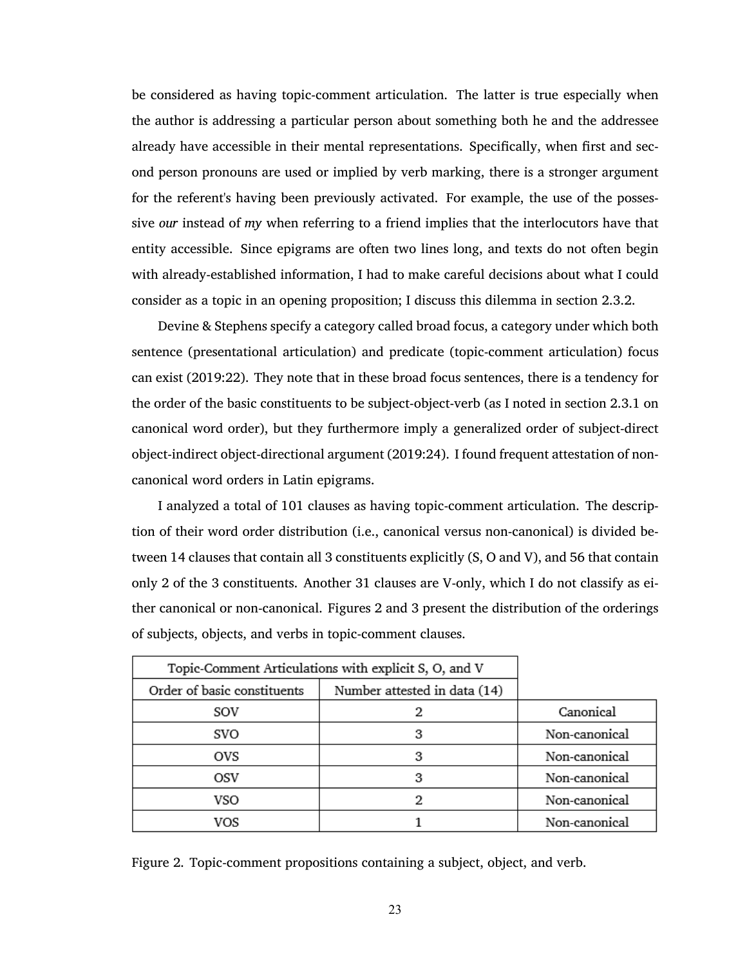be considered as having topic-comment articulation. The latter is true especially when the author is addressing a particular person about something both he and the addressee already have accessible in their mental representations. Specifically, when first and second person pronouns are used or implied by verb marking, there is a stronger argument for the referent's having been previously activated. For example, the use of the possessive *our* instead of *my* when referring to a friend implies that the interlocutors have that entity accessible. Since epigrams are often two lines long, and texts do not often begin with already-established information, I had to make careful decisions about what I could consider as a topic in an opening proposition; I discuss this dilemma in section [2.3.2](#page-33-0).

Devine & Stephens specify a category called broad focus, a category under which both sentence (presentational articulation) and predicate (topic-comment articulation) focus can exist [\(2019:22\)](#page-77-0). They note that in these broad focus sentences, there is a tendency for the order of the basic constituents to be subject-object-verb (as I noted in section [2.3.1](#page-32-0) on canonical word order), but they furthermore imply a generalized order of subject-direct object-indirect object-directional argument [\(2019:24\).](#page-77-0) I found frequent attestation of noncanonical word orders in Latin epigrams.

I analyzed a total of 101 clauses as having topic-comment articulation. The description of their word order distribution (i.e., canonical versus non-canonical) is divided between 14 clauses that contain all 3 constituents explicitly (S, O and V), and 56 that contain only 2 of the 3 constituents. Another 31 clauses are V-only, which I do not classify as either canonical or non-canonical. Figures [2](#page-36-0) and [3](#page-37-0) present the distribution of the orderings of subjects, objects, and verbs in topic-comment clauses.

| Topic-Comment Articulations with explicit S, O, and V |                              |               |
|-------------------------------------------------------|------------------------------|---------------|
| Order of basic constituents                           | Number attested in data (14) |               |
| SOV                                                   |                              | Canonical     |
| svo                                                   | з                            | Non-canonical |
| ovs                                                   |                              | Non-canonical |
| OSV                                                   | з                            | Non-canonical |
| VSO                                                   |                              | Non-canonical |
| vos                                                   |                              | Non-canonical |

<span id="page-36-0"></span>Figure 2. Topic-comment propositions containing a subject, object, and verb.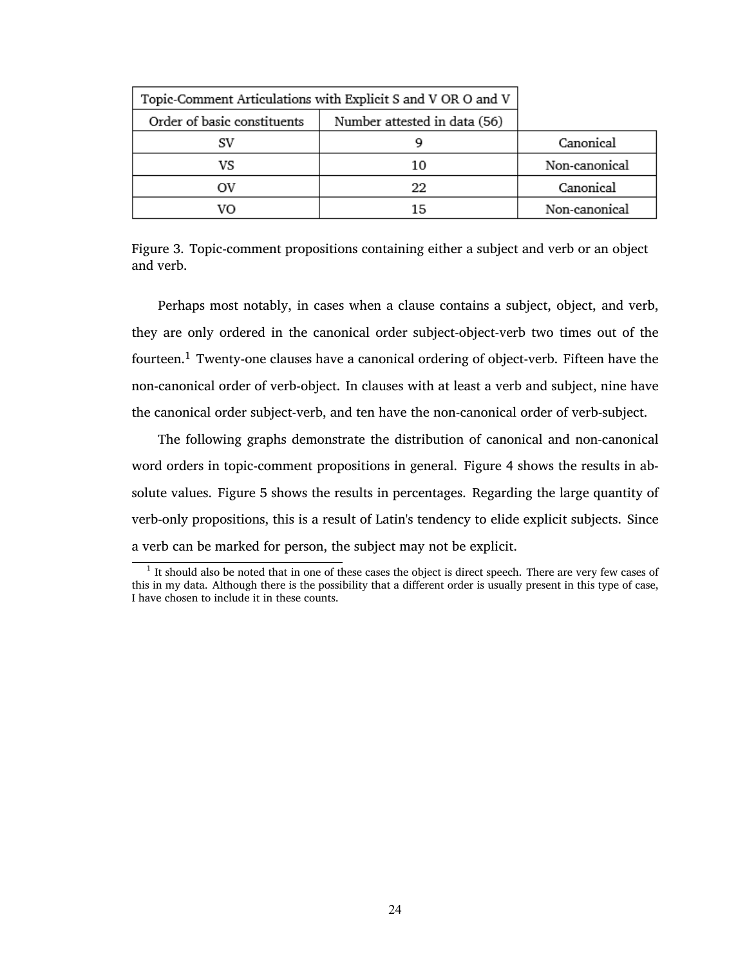| Topic-Comment Articulations with Explicit S and V OR O and V |                              |               |
|--------------------------------------------------------------|------------------------------|---------------|
| Order of basic constituents                                  | Number attested in data (56) |               |
|                                                              |                              | Canonical     |
| VS                                                           | 10                           | Non-canonical |
|                                                              | 22                           | Canonical     |
|                                                              | 15                           | Non-canonical |

<span id="page-37-0"></span>Figure 3. Topic-comment propositions containing either a subject and verb or an object and verb.

Perhaps most notably, in cases when a clause contains a subject, object, and verb, they are only ordered in the canonical order subject-object-verb two times out of the fourteen.<sup>1</sup> Twenty-one clauses have a canonical ordering of object-verb. Fifteen have the non-canonical order of verb-object. In clauses with at least a verb and subject, nine have the canonical order subject-verb, and ten have the non-canonical order of verb-subject.

The following graphs demonstrate the distribution of canonical and non-canonical word orders in topic-comment propositions in general. Figure [4](#page-38-0) shows the results in absolute values. Figure [5](#page-38-1) shows the results in percentages. Regarding the large quantity of verb-only propositions, this is a result of Latin's tendency to elide explicit subjects. Since a verb can be marked for person, the subject may not be explicit.

<sup>&</sup>lt;sup>1</sup> It should also be noted that in one of these cases the object is direct speech. There are very few cases of this in my data. Although there is the possibility that a different order is usually present in this type of case, I have chosen to include it in these counts.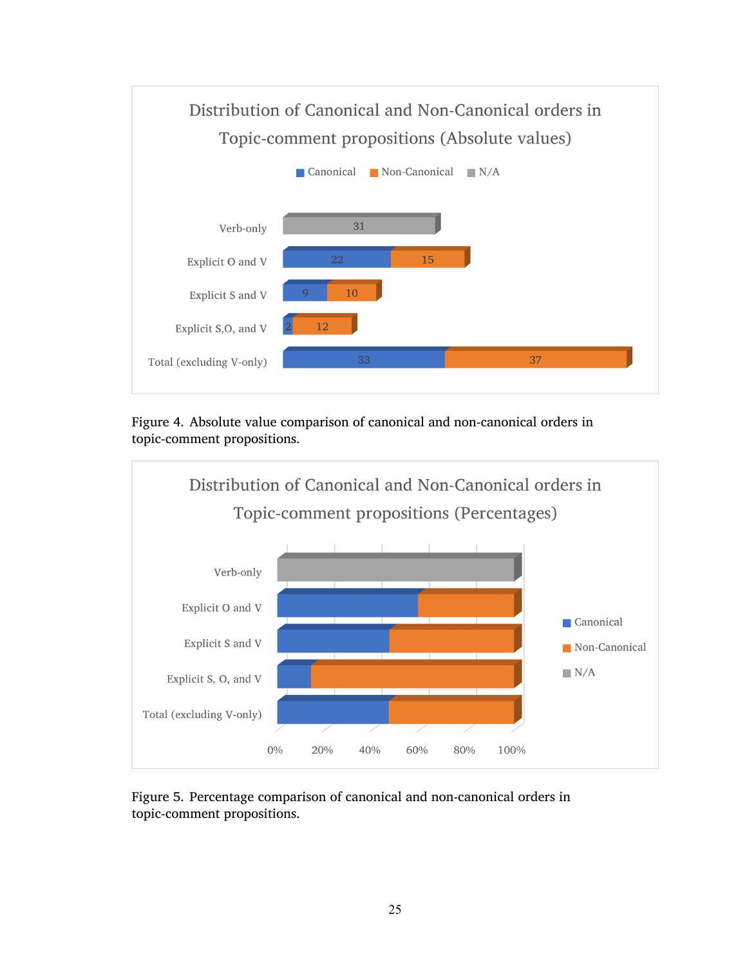

<span id="page-38-0"></span>Figure 4. Absolute value comparison of canonical and non-canonical orders in topic-comment propositions.



<span id="page-38-1"></span>Figure 5. Percentage comparison of canonical and non-canonical orders in topic-comment propositions.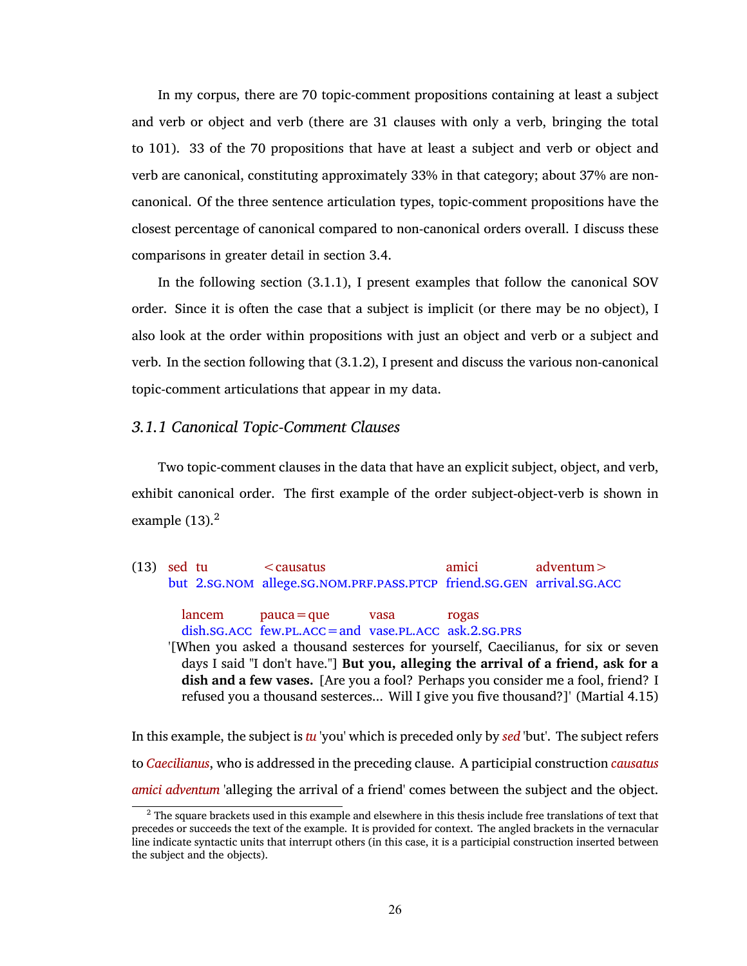In my corpus, there are 70 topic-comment propositions containing at least a subject and verb or object and verb (there are 31 clauses with only a verb, bringing the total to 101). 33 of the 70 propositions that have at least a subject and verb or object and verb are canonical, constituting approximately 33% in that category; about 37% are noncanonical. Of the three sentence articulation types, topic-comment propositions have the closest percentage of canonical compared to non-canonical orders overall. I discuss these comparisons in greater detail in section [3.4](#page-67-0).

In the following section [\(3.1.1\)](#page-39-0), I present examples that follow the canonical SOV order. Since it is often the case that a subject is implicit (or there may be no object), I also look at the order within propositions with just an object and verb or a subject and verb. In the section following that([3.1.2\)](#page-42-0), I present and discuss the various non-canonical topic-comment articulations that appear in my data.

### <span id="page-39-0"></span>*3.1.1 Canonical Topic-Comment Clauses*

Two topic-comment clauses in the data that have an explicit subject, object, and verb, exhibit canonical order. The first example of the order subject-object-verb is shown in example  $(13).<sup>2</sup>$  $(13).<sup>2</sup>$ 

<span id="page-39-1"></span>(13) sed tu but [2](#page-10-0).SG.NOM allege.SG.NOM.PRF.PASS.PTCP friend.SG.GEN arrival.SG.ACC  $\leq$ causatus amici adventum>

lancem dish.[sg](#page-11-0).[acc](#page-10-6) few.[pl](#page-10-7).[acc](#page-10-6)=and vase.[pl](#page-10-7).[acc](#page-10-6) ask.[2](#page-10-0).[sg](#page-11-0).[prs](#page-10-8)  $pauca = que$ vasa rogas

'[When you asked a thousand sesterces for yourself, Caecilianus, for six or seven days I said "I don't have."] **But you, alleging the arrival of a friend, ask for a dish and a few vases.** [Are you a fool? Perhaps you consider me a fool, friend? I refused you a thousand sesterces... Will I give you five thousand?]' (Martial 4.15)

In this example, the subject is *tu* 'you' which is preceded only by *sed* 'but'. The subject refers to *Caecilianus*, who is addressed in the preceding clause. A participial construction *causatus amici adventum* 'alleging the arrival of a friend' comes between the subject and the object.

 $<sup>2</sup>$  The square brackets used in this example and elsewhere in this thesis include free translations of text that</sup> precedes or succeeds the text of the example. It is provided for context. The angled brackets in the vernacular line indicate syntactic units that interrupt others (in this case, it is a participial construction inserted between the subject and the objects).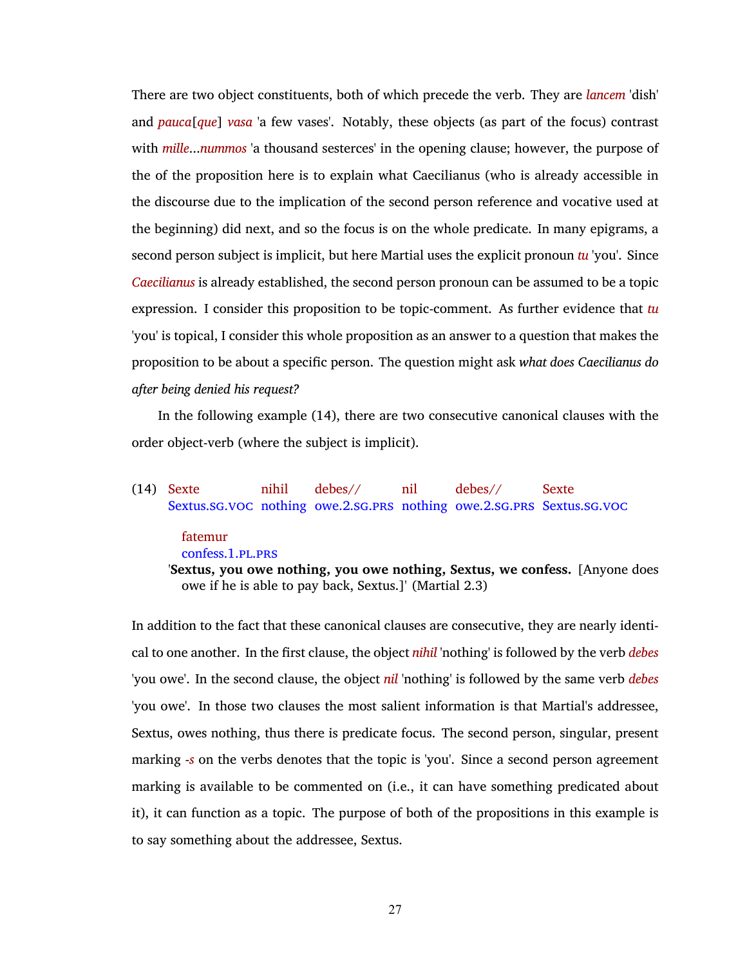There are two object constituents, both of which precede the verb. They are *lancem* 'dish' and *pauca*[*que*] *vasa* 'a few vases'. Notably, these objects (as part of the focus) contrast with *mille*...*nummos* 'a thousand sesterces' in the opening clause; however, the purpose of the of the proposition here is to explain what Caecilianus (who is already accessible in the discourse due to the implication of the second person reference and vocative used at the beginning) did next, and so the focus is on the whole predicate. In many epigrams, a second person subject is implicit, but here Martial uses the explicit pronoun *tu* 'you'. Since *Caecilianus* is already established, the second person pronoun can be assumed to be a topic expression. I consider this proposition to be topic-comment. As further evidence that *tu* 'you' is topical, I consider this whole proposition as an answer to a question that makes the proposition to be about a specific person. The question might ask *what does Caecilianus do after being denied his request?*

In the following example [\(14\),](#page-40-0) there are two consecutive canonical clauses with the order object-verb (where the subject is implicit).

#### <span id="page-40-0"></span>(14) Sexte Sextus.[sg](#page-11-0).[voc](#page-11-1) nothing owe.[2](#page-10-0).[sg](#page-11-0).[prs](#page-10-8) nothing owe.[2](#page-10-0).[sg](#page-11-0).[prs](#page-10-8) Sextus.[sg](#page-11-0).[voc](#page-11-1) nihil debes// nil debes// Sexte

### fatemur

confess.[1](#page-10-9).[pl](#page-10-7).[prs](#page-10-8)

'**Sextus, you owe nothing, you owe nothing, Sextus, we confess.** [Anyone does owe if he is able to pay back, Sextus.]' (Martial 2.3)

In addition to the fact that these canonical clauses are consecutive, they are nearly identical to one another. In the first clause, the object *nihil* 'nothing' is followed by the verb *debes* 'you owe'. In the second clause, the object *nil* 'nothing' is followed by the same verb *debes* 'you owe'. In those two clauses the most salient information is that Martial's addressee, Sextus, owes nothing, thus there is predicate focus. The second person, singular, present marking -*s* on the verbs denotes that the topic is 'you'. Since a second person agreement marking is available to be commented on (i.e., it can have something predicated about it), it can function as a topic. The purpose of both of the propositions in this example is to say something about the addressee, Sextus.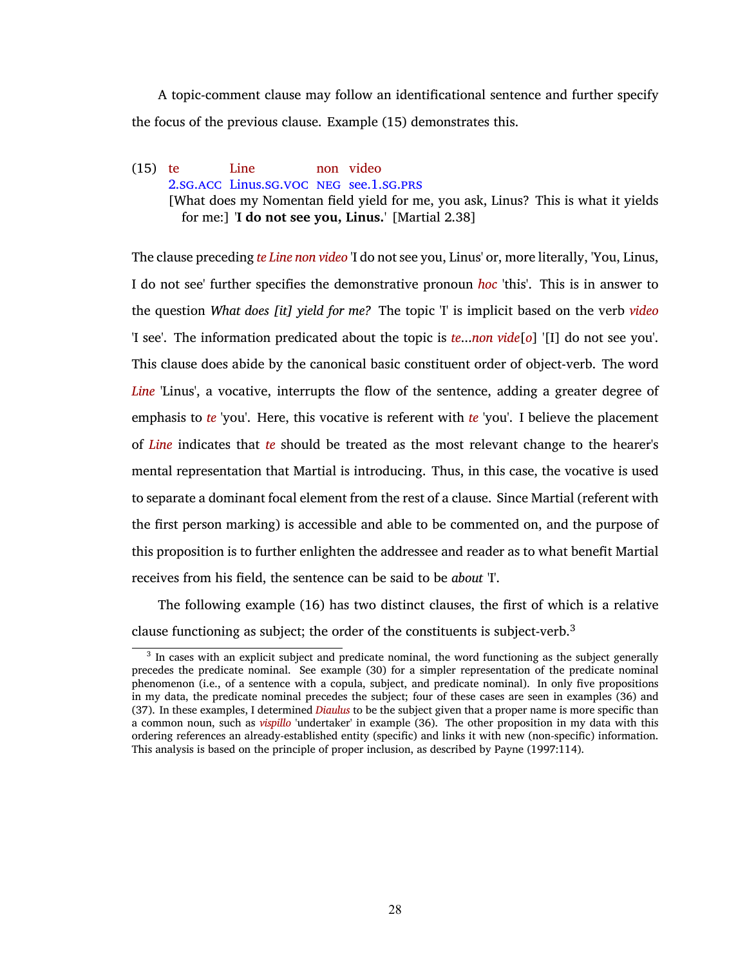A topic-comment clause may follow an identificational sentence and further specify the focus of the previous clause. Example [\(15\)](#page-41-0) demonstrates this.

### <span id="page-41-0"></span>(15) te [2](#page-10-0).[sg](#page-11-0).[acc](#page-10-6) Linus.[sg](#page-11-0).[voc](#page-11-1) [neg](#page-10-10) see.[1](#page-10-9).[sg](#page-11-0).[prs](#page-10-8) Line non video [What does my Nomentan field yield for me, you ask, Linus? This is what it yields for me:] '**I do not see you, Linus.**' [Martial 2.38]

The clause preceding *te Line non video* 'I do not see you, Linus' or, more literally, 'You, Linus, I do not see' further specifies the demonstrative pronoun *hoc* 'this'. This is in answer to the question *What does [it] yield for me?* The topic 'I' is implicit based on the verb *video* 'I see'. The information predicated about the topic is *te*...*non vide*[*o*] '[I] do not see you'. This clause does abide by the canonical basic constituent order of object-verb. The word *Line* 'Linus', a vocative, interrupts the flow of the sentence, adding a greater degree of emphasis to *te* 'you'. Here, this vocative is referent with *te* 'you'. I believe the placement of *Line* indicates that *te* should be treated as the most relevant change to the hearer's mental representation that Martial is introducing. Thus, in this case, the vocative is used to separate a dominant focal element from the rest of a clause. Since Martial (referent with the first person marking) is accessible and able to be commented on, and the purpose of this proposition is to further enlighten the addressee and reader as to what benefit Martial receives from his field, the sentence can be said to be *about* 'I'.

The following example [\(16\)](#page-42-1) has two distinct clauses, the first of which is a relative clause functioning as subject; the order of the constituents is subject-verb.<sup>3</sup>

<sup>&</sup>lt;sup>3</sup> In cases with an explicit subject and predicate nominal, the word functioning as the subject generally precedes the predicate nominal. See example [\(30\)](#page-54-0) for a simpler representation of the predicate nominal phenomenon (i.e., of a sentence with a copula, subject, and predicate nominal). In only five propositions in my data, the predicate nominal precedes the subject; four of these cases are seen in examples [\(36\)](#page-61-0) and [\(37\).](#page-62-0) In these examples, I determined *Diaulus* to be the subject given that a proper name is more specific than a common noun, such as *vispillo* 'undertaker' in example [\(36\).](#page-61-0) The other proposition in my data with this ordering references an already-established entity (specific) and links it with new (non-specific) information. This analysis is based on the principle of proper inclusion, as described by [Payne \(1997:114\).](#page-77-1)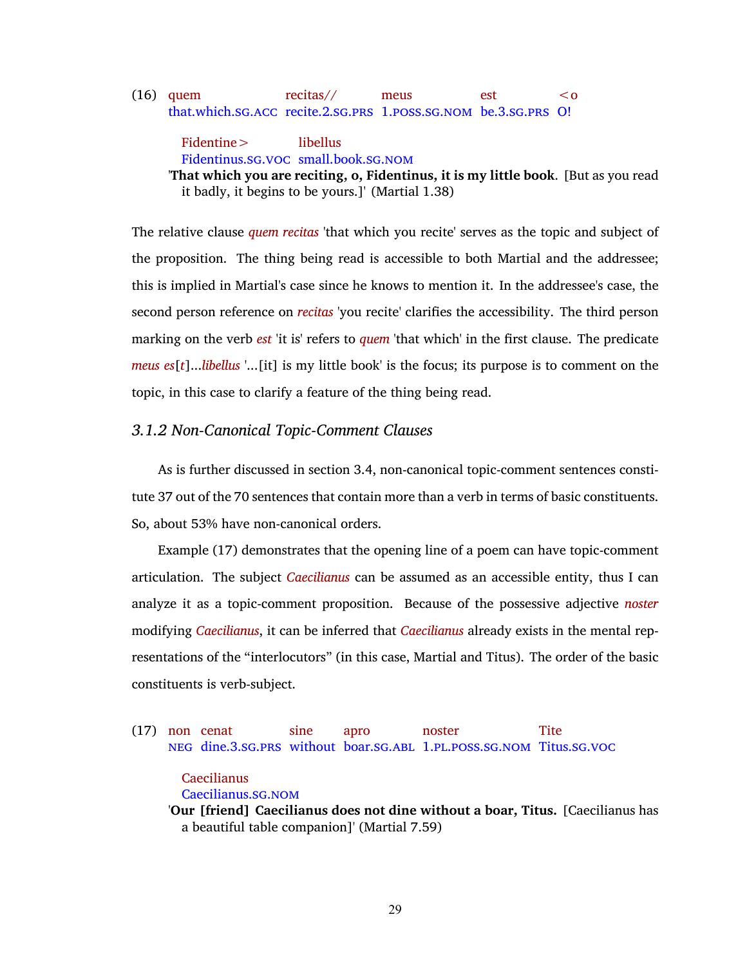#### <span id="page-42-1"></span>(16) quem that.which.[sg](#page-11-0).[acc](#page-10-6) recite.[2](#page-10-0).[sg](#page-11-0).[prs](#page-10-8) [1](#page-10-9).[poss](#page-10-11).[sg](#page-11-0).[nom](#page-10-1) be.[3](#page-10-12).[sg](#page-11-0).[prs](#page-10-8) O! recitas// meus est  $\leq$  0

Fidentine> Fidentinus.[sg](#page-11-0).[voc](#page-11-1) small.book.[sg](#page-11-0).[nom](#page-10-1) libellus '**That which you are reciting, o, Fidentinus, it is my little book**. [But as you read it badly, it begins to be yours.]' (Martial 1.38)

The relative clause *quem recitas* 'that which you recite' serves as the topic and subject of the proposition. The thing being read is accessible to both Martial and the addressee; this is implied in Martial's case since he knows to mention it. In the addressee's case, the second person reference on *recitas* 'you recite' clarifies the accessibility. The third person marking on the verb *est* 'it is' refers to *quem* 'that which' in the first clause. The predicate *meus es*[*t*]...*libellus* '...[it] is my little book' is the focus; its purpose is to comment on the topic, in this case to clarify a feature of the thing being read.

## <span id="page-42-0"></span>*3.1.2 Non-Canonical Topic-Comment Clauses*

As is further discussed in section [3.4](#page-67-0), non-canonical topic-comment sentences constitute 37 out of the 70 sentences that contain more than a verb in terms of basic constituents. So, about 53% have non-canonical orders.

Example [\(17\)](#page-42-2) demonstrates that the opening line of a poem can have topic-comment articulation. The subject *Caecilianus* can be assumed as an accessible entity, thus I can analyze it as a topic-comment proposition. Because of the possessive adjective *noster* modifying *Caecilianus*, it can be inferred that *Caecilianus* already exists in the mental representations of the "interlocutors" (in this case, Martial and Titus). The order of the basic constituents is verb-subject.

<span id="page-42-2"></span>(17) non cenat [neg](#page-10-10) dine.[3](#page-10-12).[sg](#page-11-0).[prs](#page-10-8) without boar.[sg](#page-11-0).[abl](#page-10-13) [1](#page-10-9).[pl](#page-10-7).[poss](#page-10-11).[sg](#page-11-0).[nom](#page-10-1) Titus.[sg](#page-11-0).[voc](#page-11-1) sine apro noster **Tite** 

## Caecilianus

Caecilianus.[sg](#page-11-0).[nom](#page-10-1)

'**Our [friend] Caecilianus does not dine without a boar, Titus.** [Caecilianus has a beautiful table companion]' (Martial 7.59)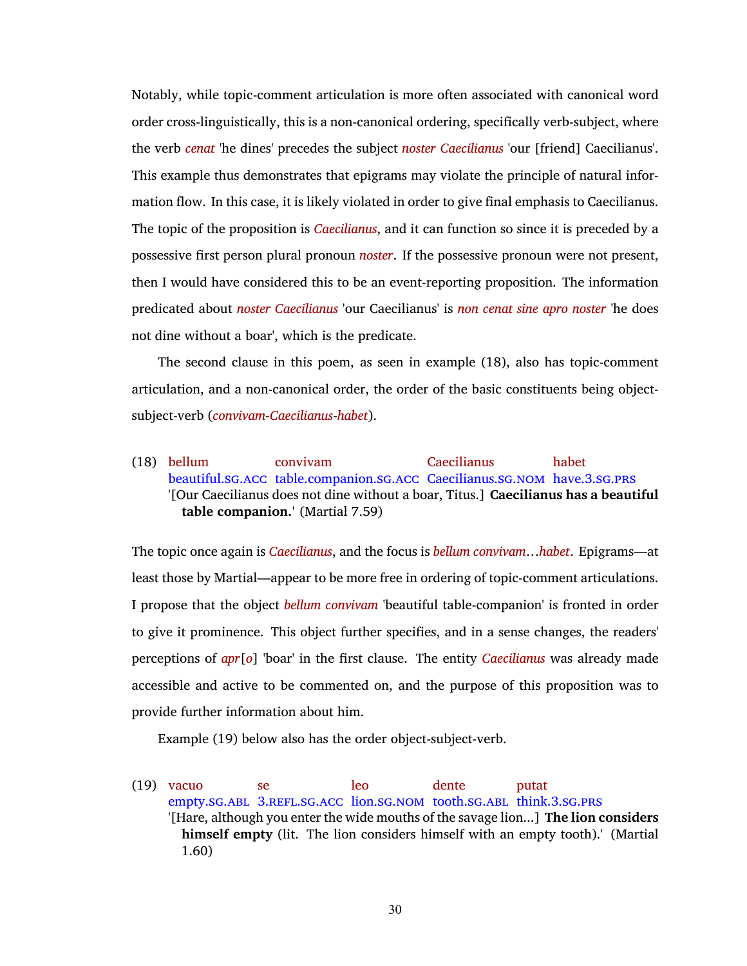Notably, while topic-comment articulation is more often associated with canonical word order cross-linguistically, this is a non-canonical ordering, specifically verb-subject, where the verb *cenat* 'he dines' precedes the subject *noster Caecilianus* 'our [friend] Caecilianus'. This example thus demonstrates that epigrams may violate the principle of natural information flow. In this case, it is likely violated in order to give final emphasis to Caecilianus. The topic of the proposition is *Caecilianus*, and it can function so since it is preceded by a possessive first person plural pronoun *noster*. If the possessive pronoun were not present, then I would have considered this to be an event-reporting proposition. The information predicated about *noster Caecilianus* 'our Caecilianus' is *non cenat sine apro noster* 'he does not dine without a boar', which is the predicate.

The second clause in this poem, as seen in example [\(18\)](#page-43-0), also has topic-comment articulation, and a non-canonical order, the order of the basic constituents being objectsubject-verb (*convivam*-*Caecilianus*-*habet*).

<span id="page-43-0"></span>(18) bellum beautiful.[sg](#page-11-0).[acc](#page-10-6) table.companion.[sg](#page-11-0).[acc](#page-10-6) Caecilianus.[sg](#page-11-0).[nom](#page-10-1) have.[3](#page-10-12).[sg](#page-11-0).[prs](#page-10-8) convivam Caecilianus habet '[Our Caecilianus does not dine without a boar, Titus.] **Caecilianus has a beautiful table companion.**' (Martial 7.59)

The topic once again is *Caecilianus*, and the focus is *bellum convivam*…*habet*. Epigrams—at least those by Martial—appear to be more free in ordering of topic-comment articulations. I propose that the object *bellum convivam* 'beautiful table-companion' is fronted in order to give it prominence. This object further specifies, and in a sense changes, the readers' perceptions of *apr*[*o*] 'boar' in the first clause. The entity *Caecilianus* was already made accessible and active to be commented on, and the purpose of this proposition was to provide further information about him.

Example [\(19\)](#page-43-1) below also has the order object-subject-verb.

<span id="page-43-1"></span>(19) vacuo empty.[sg](#page-11-0).[abl](#page-10-13) [3](#page-10-12).[refl](#page-10-14).[sg](#page-11-0).[acc](#page-10-6) lion.[sg](#page-11-0).[nom](#page-10-1) tooth.[sg](#page-11-0).[abl](#page-10-13) think.[3](#page-10-12).[sg](#page-11-0).[prs](#page-10-8) se leo dente putat '[Hare, although you enter the wide mouths of the savage lion...] **The lion considers himself empty** (lit. The lion considers himself with an empty tooth).' (Martial 1.60)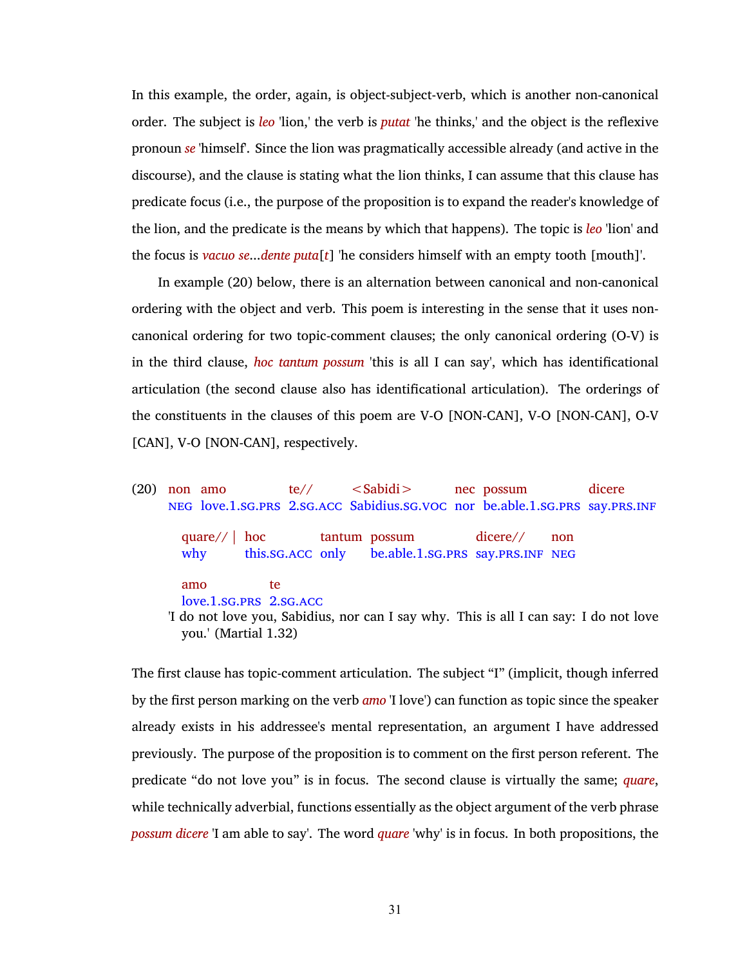In this example, the order, again, is object-subject-verb, which is another non-canonical order. The subject is *leo* 'lion,' the verb is *putat* 'he thinks,' and the object is the reflexive pronoun *se* 'himself'. Since the lion was pragmatically accessible already (and active in the discourse), and the clause is stating what the lion thinks, I can assume that this clause has predicate focus (i.e., the purpose of the proposition is to expand the reader's knowledge of the lion, and the predicate is the means by which that happens). The topic is *leo* 'lion' and the focus is *vacuo se*...*dente puta*[*t*] 'he considers himself with an empty tooth [mouth]'.

In example [\(20\)](#page-44-0) below, there is an alternation between canonical and non-canonical ordering with the object and verb. This poem is interesting in the sense that it uses noncanonical ordering for two topic-comment clauses; the only canonical ordering (O-V) is in the third clause, *hoc tantum possum* 'this is all I can say', which has identificational articulation (the second clause also has identificational articulation). The orderings of the constituents in the clauses of this poem are V-O [NON-CAN], V-O [NON-CAN], O-V [CAN], V-O [NON-CAN], respectively.

<span id="page-44-0"></span>(20) non amo [neg](#page-10-10) love.[1](#page-10-9).[sg](#page-11-0).[prs](#page-10-8) [2](#page-10-0).sg.[acc](#page-10-6) Sabidius.sg.[voc](#page-11-1) nor be.able.1.sg.prs say.prs.[inf](#page-10-15) te//  $<$ Sabidi $>$ nec possum dicere quare// | why hoc this.[sg](#page-11-0).[acc](#page-10-6) only tantum possum be.able.[1](#page-10-9).[sg](#page-11-0).[prs](#page-10-8) say.[prs](#page-10-8).[inf](#page-10-15) [neg](#page-10-10) dicere// non amo love.[1](#page-10-9).[sg](#page-11-0).[prs](#page-10-8) [2](#page-10-0).[sg](#page-11-0).[acc](#page-10-6) te 'I do not love you, Sabidius, nor can I say why. This is all I can say: I do not love you.' (Martial 1.32)

The first clause has topic-comment articulation. The subject "I" (implicit, though inferred by the first person marking on the verb *amo* 'I love') can function as topic since the speaker already exists in his addressee's mental representation, an argument I have addressed previously. The purpose of the proposition is to comment on the first person referent. The predicate "do not love you" is in focus. The second clause is virtually the same; *quare*, while technically adverbial, functions essentially as the object argument of the verb phrase *possum dicere* 'I am able to say'. The word *quare* 'why' is in focus. In both propositions, the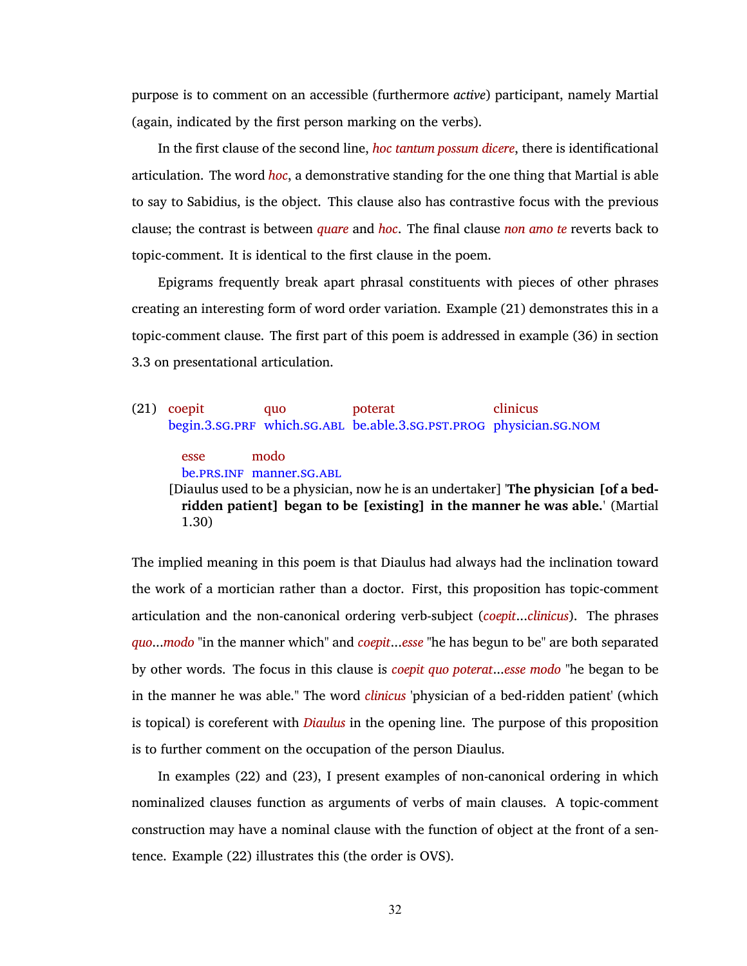purpose is to comment on an accessible (furthermore *active*) participant, namely Martial (again, indicated by the first person marking on the verbs).

In the first clause of the second line, *hoc tantum possum dicere*, there is identificational articulation. The word *hoc*, a demonstrative standing for the one thing that Martial is able to say to Sabidius, is the object. This clause also has contrastive focus with the previous clause; the contrast is between *quare* and *hoc*. The final clause *non amo te* reverts back to topic-comment. It is identical to the first clause in the poem.

Epigrams frequently break apart phrasal constituents with pieces of other phrases creating an interesting form of word order variation. Example [\(21\)](#page-45-0) demonstrates this in a topic-comment clause. The first part of this poem is addressed in example [\(36\)](#page-61-0) in section [3.3](#page-57-0) on presentational articulation.

<span id="page-45-0"></span>(21) coepit begin.[3](#page-10-12).sG.PRF which.sG.ABL be.[abl](#page-10-13)e.3.sG.PST.PROG physician.sG.NOM quo poterat clinicus

> esse modo

be.[prs](#page-10-8).[inf](#page-10-15) manner.[sg](#page-11-0).[abl](#page-10-13)

[Diaulus used to be a physician, now he is an undertaker] '**The physician [of a bedridden patient] began to be [existing] in the manner he was able.**' (Martial 1.30)

The implied meaning in this poem is that Diaulus had always had the inclination toward the work of a mortician rather than a doctor. First, this proposition has topic-comment articulation and the non-canonical ordering verb-subject (*coepit*...*clinicus*). The phrases *quo*...*modo* "in the manner which" and *coepit*...*esse* "he has begun to be" are both separated by other words. The focus in this clause is *coepit quo poterat*...*esse modo* "he began to be in the manner he was able." The word *clinicus* 'physician of a bed-ridden patient' (which is topical) is coreferent with *Diaulus* in the opening line. The purpose of this proposition is to further comment on the occupation of the person Diaulus.

In examples [\(22\)](#page-46-0) and [\(23\)](#page-46-1), I present examples of non-canonical ordering in which nominalized clauses function as arguments of verbs of main clauses. A topic-comment construction may have a nominal clause with the function of object at the front of a sentence. Example [\(22\)](#page-46-0) illustrates this (the order is OVS).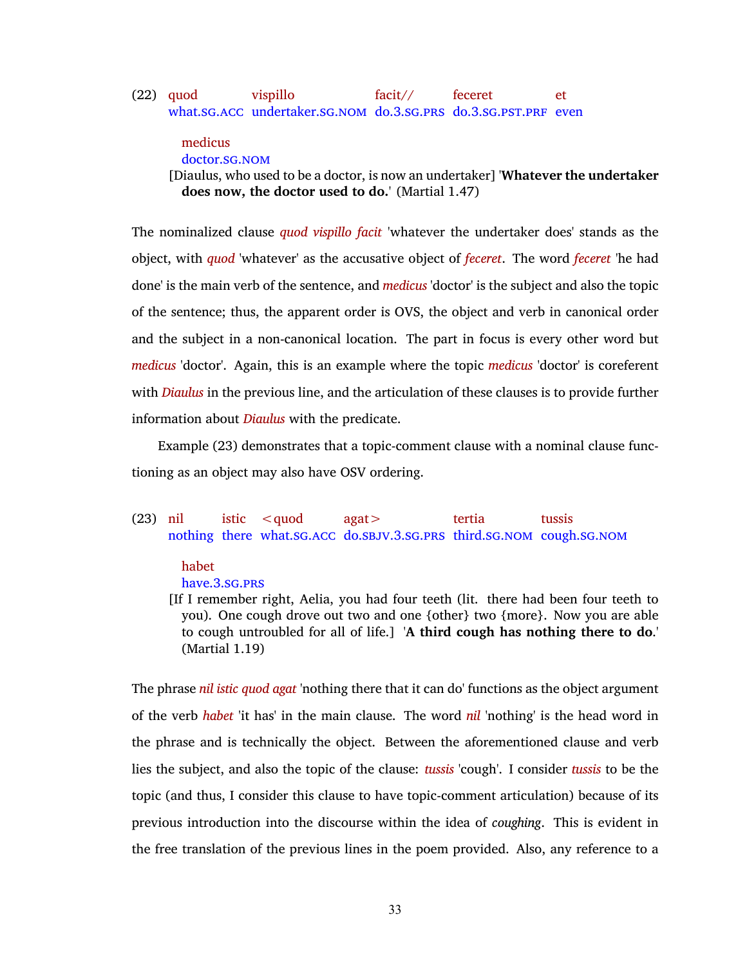#### <span id="page-46-0"></span>(22) quod what.SG.ACC undertaker.SG.NOM do.[3](#page-10-12).SG.PRS do.3.SG.PST.PRF even vispillo facit// feceret et

### medicus doctor.[sg](#page-11-0).[nom](#page-10-1)

[Diaulus, who used to be a doctor, is now an undertaker] '**Whatever the undertaker does now, the doctor used to do.**' (Martial 1.47)

The nominalized clause *quod vispillo facit* 'whatever the undertaker does' stands as the object, with *quod* 'whatever' as the accusative object of *feceret*. The word *feceret* 'he had done' is the main verb of the sentence, and *medicus* 'doctor' is the subject and also the topic of the sentence; thus, the apparent order is OVS, the object and verb in canonical order and the subject in a non-canonical location. The part in focus is every other word but *medicus* 'doctor'. Again, this is an example where the topic *medicus* 'doctor' is coreferent with *Diaulus* in the previous line, and the articulation of these clauses is to provide further information about *Diaulus* with the predicate.

Example [\(23\)](#page-46-1) demonstrates that a topic-comment clause with a nominal clause functioning as an object may also have OSV ordering.

<span id="page-46-1"></span>(23) nil nothing there what.[sg](#page-11-0).[acc](#page-10-6) do.[sbjv](#page-11-2).[3](#page-10-12).[sg](#page-11-0).[prs](#page-10-8) third.[sg](#page-11-0).[nom](#page-10-1) cough.[sg](#page-11-0).[nom](#page-10-1) istic  $<$  auod agat> tertia tussis

### habet

have.[3](#page-10-12).[sg](#page-11-0).[prs](#page-10-8)

[If I remember right, Aelia, you had four teeth (lit. there had been four teeth to you). One cough drove out two and one {other} two {more}. Now you are able to cough untroubled for all of life.] '**A third cough has nothing there to do**.' (Martial 1.19)

The phrase *nil istic quod agat* 'nothing there that it can do' functions as the object argument of the verb *habet* 'it has' in the main clause. The word *nil* 'nothing' is the head word in the phrase and is technically the object. Between the aforementioned clause and verb lies the subject, and also the topic of the clause: *tussis* 'cough'. I consider *tussis* to be the topic (and thus, I consider this clause to have topic-comment articulation) because of its previous introduction into the discourse within the idea of *coughing*. This is evident in the free translation of the previous lines in the poem provided. Also, any reference to a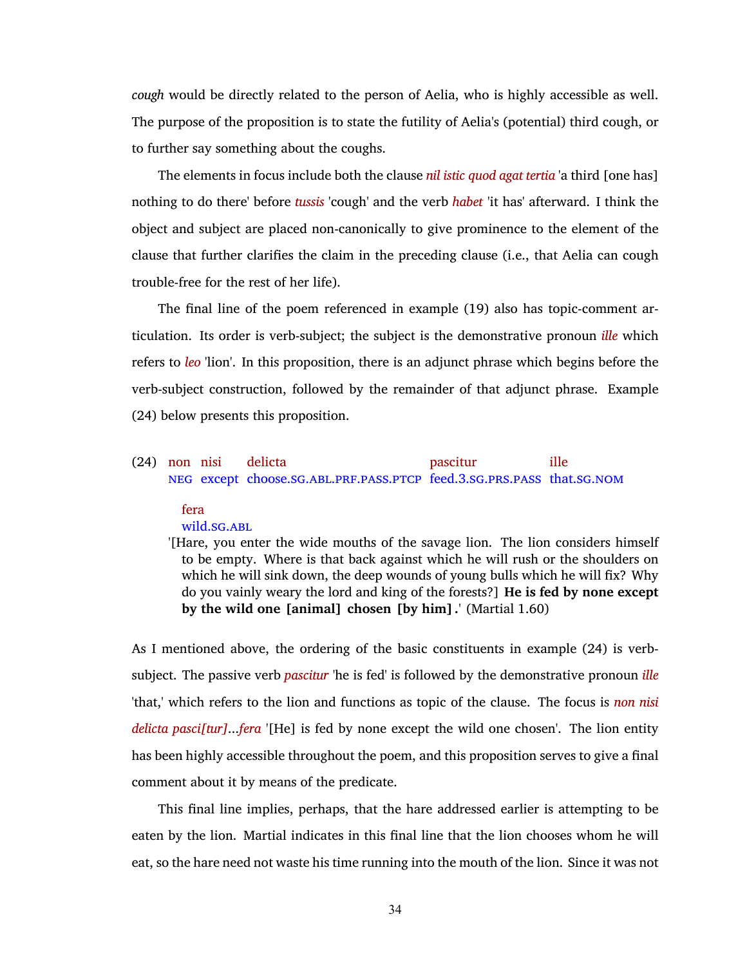*cough* would be directly related to the person of Aelia, who is highly accessible as well. The purpose of the proposition is to state the futility of Aelia's (potential) third cough, or to further say something about the coughs.

The elements in focus include both the clause *nil istic quod agat tertia* 'a third [one has] nothing to do there' before *tussis* 'cough' and the verb *habet* 'it has' afterward. I think the object and subject are placed non-canonically to give prominence to the element of the clause that further clarifies the claim in the preceding clause (i.e., that Aelia can cough trouble-free for the rest of her life).

The final line of the poem referenced in example [\(19\)](#page-43-1) also has topic-comment articulation. Its order is verb-subject; the subject is the demonstrative pronoun *ille* which refers to *leo* 'lion'. In this proposition, there is an adjunct phrase which begins before the verb-subject construction, followed by the remainder of that adjunct phrase. Example [\(24\)](#page-47-0) below presents this proposition.

#### <span id="page-47-0"></span>(24) non nisi [neg](#page-10-10) except choose.[sg](#page-11-0).[abl](#page-10-13).[prf](#page-10-2).[pass](#page-10-3).[ptcp](#page-10-4) feed.[3](#page-10-12).[sg](#page-11-0).[prs](#page-10-8).[pass](#page-10-3) that.[sg](#page-11-0).[nom](#page-10-1) delicta pascitur ille

### fera

### wild.SG.ABL

'[Hare, you enter the wide mouths of the savage lion. The lion considers himself to be empty. Where is that back against which he will rush or the shoulders on which he will sink down, the deep wounds of young bulls which he will fix? Why do you vainly weary the lord and king of the forests?] **He is fed by none except by the wild one [animal] chosen [by him].**' (Martial 1.60)

As I mentioned above, the ordering of the basic constituents in example [\(24\)](#page-47-0) is verbsubject. The passive verb *pascitur* 'he is fed' is followed by the demonstrative pronoun *ille* 'that,' which refers to the lion and functions as topic of the clause. The focus is *non nisi delicta pasci[tur]*...*fera* '[He] is fed by none except the wild one chosen'. The lion entity has been highly accessible throughout the poem, and this proposition serves to give a final comment about it by means of the predicate.

This final line implies, perhaps, that the hare addressed earlier is attempting to be eaten by the lion. Martial indicates in this final line that the lion chooses whom he will eat, so the hare need not waste his time running into the mouth of the lion. Since it was not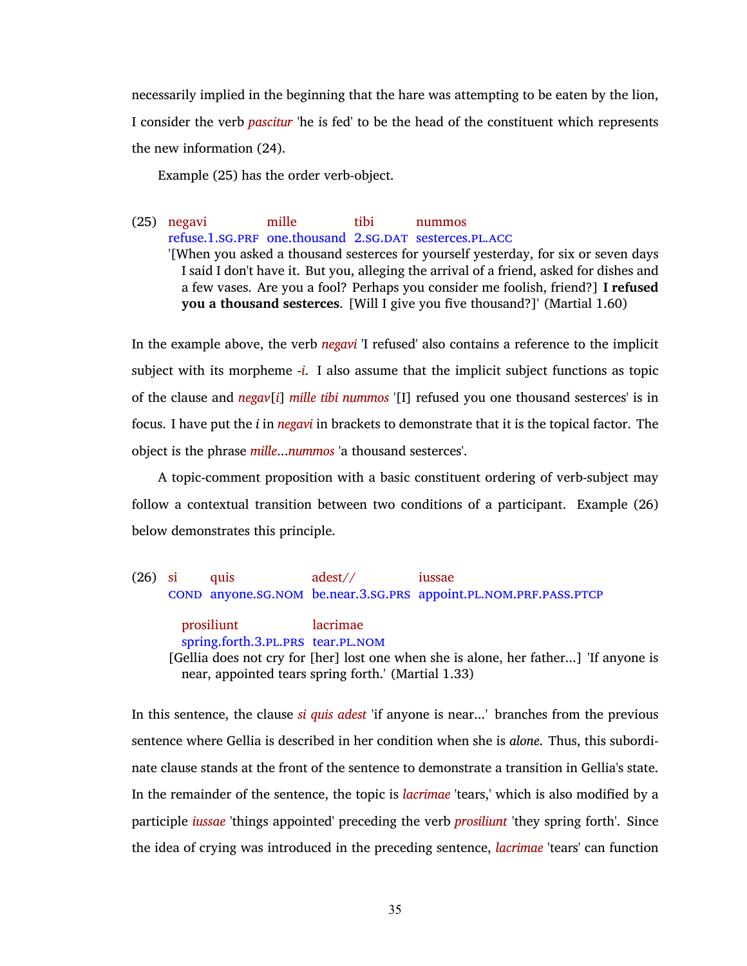necessarily implied in the beginning that the hare was attempting to be eaten by the lion, I consider the verb *pascitur* 'he is fed' to be the head of the constituent which represents the new information [\(24\)](#page-47-0).

Example [\(25\)](#page-48-0) has the order verb-object.

<span id="page-48-0"></span>(25) negavi refuse.[1](#page-10-9).[sg](#page-11-0).[prf](#page-10-2) one.thousand [2](#page-10-0).[sg](#page-11-0).[dat](#page-10-18) sesterces.[pl](#page-10-7).[acc](#page-10-6) mille tibi nummos '[When you asked a thousand sesterces for yourself yesterday, for six or seven days I said I don't have it. But you, alleging the arrival of a friend, asked for dishes and a few vases. Are you a fool? Perhaps you consider me foolish, friend?] **I refused you a thousand sesterces**. [Will I give you five thousand?]' (Martial 1.60)

In the example above, the verb *negavi* 'I refused' also contains a reference to the implicit subject with its morpheme -*i*. I also assume that the implicit subject functions as topic of the clause and *negav*[*i*] *mille tibi nummos* '[I] refused you one thousand sesterces' is in focus. I have put the *i* in *negavi* in brackets to demonstrate that it is the topical factor. The object is the phrase *mille*...*nummos* 'a thousand sesterces'.

A topic-comment proposition with a basic constituent ordering of verb-subject may follow a contextual transition between two conditions of a participant. Example [\(26\)](#page-48-1) below demonstrates this principle.

<span id="page-48-1"></span>(26) si [cond](#page-10-19) anyone.[sg](#page-11-0).[nom](#page-10-1) be.near.[3](#page-10-12).[sg](#page-11-0).[prs](#page-10-8) appoint.[pl](#page-10-7).[nom](#page-10-1).[prf](#page-10-2).[pass](#page-10-3).[ptcp](#page-10-4) quis adest// iussae

prosiliunt spring.forth.[3](#page-10-12).[pl](#page-10-7).[prs](#page-10-8) tear.[pl](#page-10-7).[nom](#page-10-1) lacrimae [Gellia does not cry for [her] lost one when she is alone, her father...] 'If anyone is near, appointed tears spring forth.' (Martial 1.33)

In this sentence, the clause *si quis adest* 'if anyone is near...' branches from the previous sentence where Gellia is described in her condition when she is *alone*. Thus, this subordinate clause stands at the front of the sentence to demonstrate a transition in Gellia's state. In the remainder of the sentence, the topic is *lacrimae* 'tears,' which is also modified by a participle *iussae* 'things appointed' preceding the verb *prosiliunt* 'they spring forth'. Since the idea of crying was introduced in the preceding sentence, *lacrimae* 'tears' can function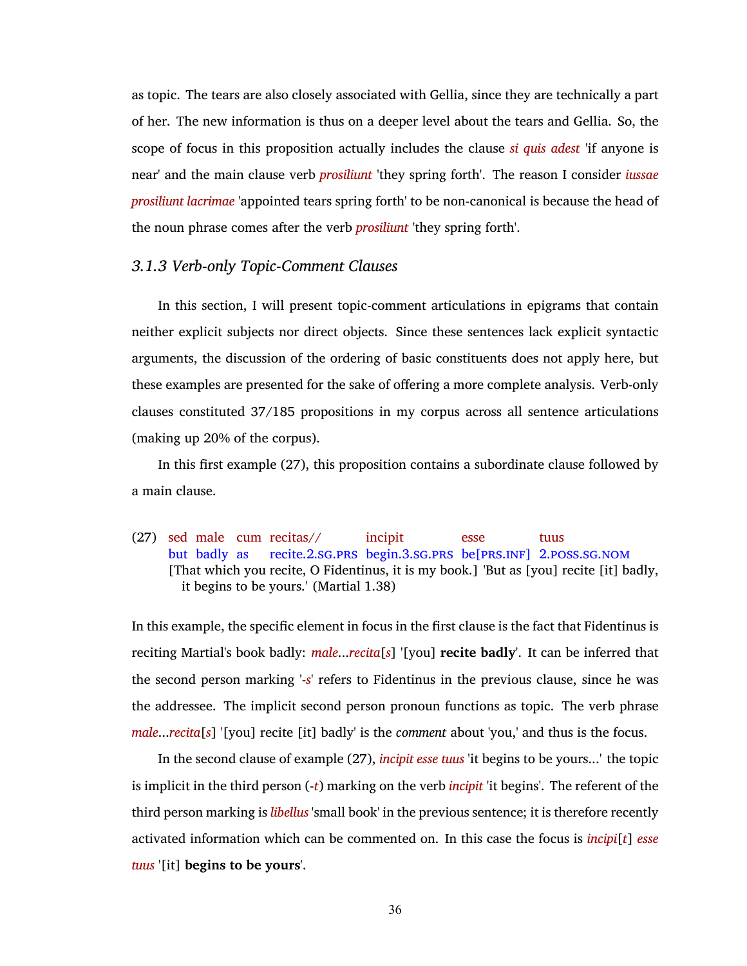as topic. The tears are also closely associated with Gellia, since they are technically a part of her. The new information is thus on a deeper level about the tears and Gellia. So, the scope of focus in this proposition actually includes the clause *si quis adest* 'if anyone is near' and the main clause verb *prosiliunt* 'they spring forth'. The reason I consider *iussae prosiliunt lacrimae* 'appointed tears spring forth' to be non-canonical is because the head of the noun phrase comes after the verb *prosiliunt* 'they spring forth'.

## *3.1.3 Verb-only Topic-Comment Clauses*

In this section, I will present topic-comment articulations in epigrams that contain neither explicit subjects nor direct objects. Since these sentences lack explicit syntactic arguments, the discussion of the ordering of basic constituents does not apply here, but these examples are presented for the sake of offering a more complete analysis. Verb-only clauses constituted 37/185 propositions in my corpus across all sentence articulations (making up 20% of the corpus).

In this first example [\(27\),](#page-49-0) this proposition contains a subordinate clause followed by a main clause.

<span id="page-49-0"></span>(27) sed male cum recitas// but badly as recite.[2](#page-10-0).[sg](#page-11-0).[prs](#page-10-8) begin.[3](#page-10-12).[sg](#page-11-0).[prs](#page-10-8) be[[prs](#page-10-8).[inf](#page-10-15)] [2](#page-10-0).[poss](#page-10-11).[sg](#page-11-0).[nom](#page-10-1) incipit esse tuus [That which you recite, O Fidentinus, it is my book.] 'But as [you] recite [it] badly, it begins to be yours.' (Martial 1.38)

In this example, the specific element in focus in the first clause is the fact that Fidentinus is reciting Martial's book badly: *male*...*recita*[*s*] '[you] **recite badly**'. It can be inferred that the second person marking '-*s*' refers to Fidentinus in the previous clause, since he was the addressee. The implicit second person pronoun functions as topic. The verb phrase *male*...*recita*[*s*] '[you] recite [it] badly' is the *comment* about 'you,' and thus is the focus.

In the second clause of example [\(27\)](#page-49-0), *incipit esse tuus* 'it begins to be yours...' the topic is implicit in the third person (-*t*) marking on the verb *incipit* 'it begins'. The referent of the third person marking is *libellus* 'small book' in the previous sentence; it is therefore recently activated information which can be commented on. In this case the focus is *incipi*[*t*] *esse tuus* '[it] **begins to be yours**'.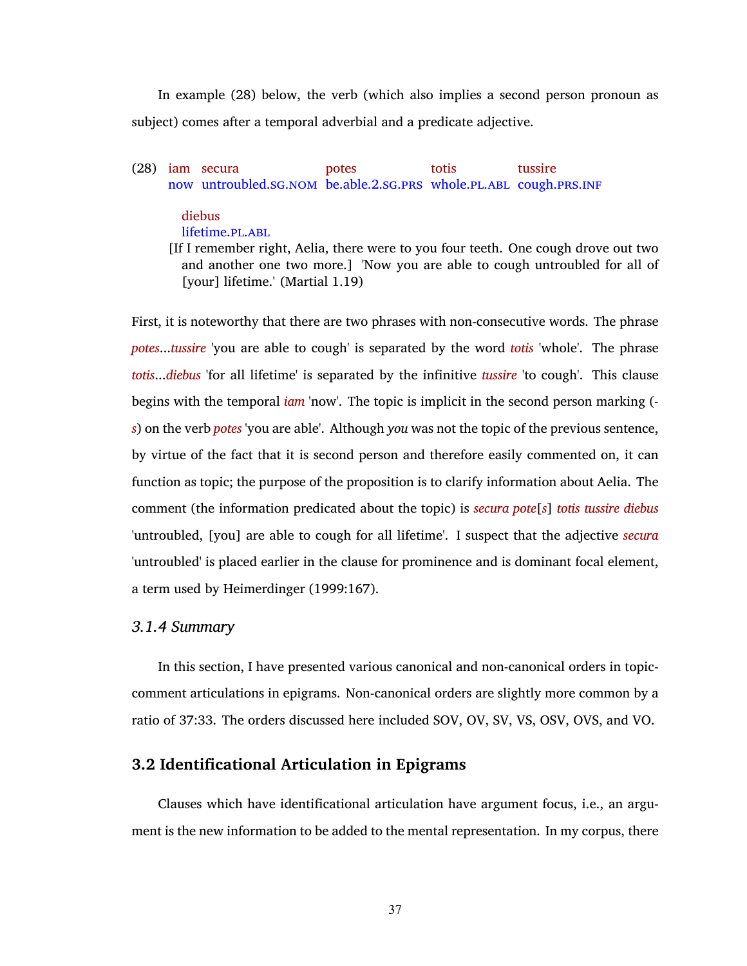In example [\(28\)](#page-50-0) below, the verb (which also implies a second person pronoun as subject) comes after a temporal adverbial and a predicate adjective.

<span id="page-50-0"></span>(28) iam secura now untroubled.[sg](#page-11-0).[nom](#page-10-1) be.able.[2](#page-10-0).[sg](#page-11-0).[prs](#page-10-8) whole.[pl](#page-10-7).[abl](#page-10-13) cough.[prs](#page-10-8).[inf](#page-10-15) potes totis tussire

# diebus

lifetime.[pl](#page-10-7).[abl](#page-10-13)

[If I remember right, Aelia, there were to you four teeth. One cough drove out two and another one two more.] 'Now you are able to cough untroubled for all of [your] lifetime.' (Martial 1.19)

First, it is noteworthy that there are two phrases with non-consecutive words. The phrase *potes*...*tussire* 'you are able to cough' is separated by the word *totis* 'whole'. The phrase *totis*...*diebus* 'for all lifetime' is separated by the infinitive *tussire* 'to cough'. This clause begins with the temporal *iam* 'now'. The topic is implicit in the second person marking ( *s*) on the verb *potes* 'you are able'. Although *you* was not the topic of the previous sentence, by virtue of the fact that it is second person and therefore easily commented on, it can function as topic; the purpose of the proposition is to clarify information about Aelia. The comment (the information predicated about the topic) is *secura pote*[*s*] *totis tussire diebus* 'untroubled, [you] are able to cough for all lifetime'. I suspect that the adjective *secura* 'untroubled' is placed earlier in the clause for prominence and is dominant focal element, a term used by [Heimerdinger \(1999:167\).](#page-77-2)

# *3.1.4 Summary*

In this section, I have presented various canonical and non-canonical orders in topiccomment articulations in epigrams. Non-canonical orders are slightly more common by a ratio of 37:33. The orders discussed here included SOV, OV, SV, VS, OSV, OVS, and VO.

# **3.2 Identificational Articulation in Epigrams**

Clauses which have identificational articulation have argument focus, i.e., an argument is the new information to be added to the mental representation. In my corpus, there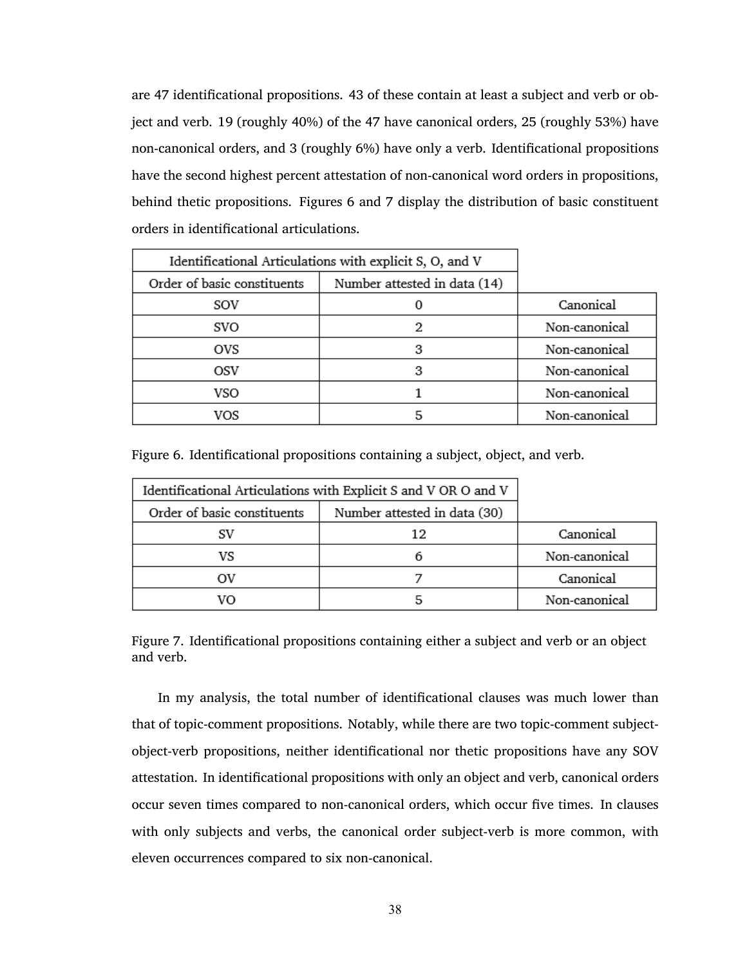are 47 identificational propositions. 43 of these contain at least a subject and verb or object and verb. 19 (roughly 40%) of the 47 have canonical orders, 25 (roughly 53%) have non-canonical orders, and 3 (roughly 6%) have only a verb. Identificational propositions have the second highest percent attestation of non-canonical word orders in propositions, behind thetic propositions. Figures [6](#page-51-0) and [7](#page-51-1) display the distribution of basic constituent orders in identificational articulations.

| Identificational Articulations with explicit S, O, and V |                              |               |
|----------------------------------------------------------|------------------------------|---------------|
| Order of basic constituents                              | Number attested in data (14) |               |
| sov                                                      |                              | Canonical     |
| svo                                                      | 2                            | Non-canonical |
| ovs                                                      | з                            | Non-canonical |
| OSV                                                      | з                            | Non-canonical |
| VSO                                                      |                              | Non-canonical |
| vos                                                      |                              | Non-canonical |

<span id="page-51-0"></span>Figure 6. Identificational propositions containing a subject, object, and verb.

| Identificational Articulations with Explicit S and V OR O and V |                              |               |
|-----------------------------------------------------------------|------------------------------|---------------|
| Order of basic constituents                                     | Number attested in data (30) |               |
| SV                                                              | 12                           | Canonical     |
| VS                                                              |                              | Non-canonical |
|                                                                 |                              | Canonical     |
| VΩ                                                              |                              | Non-canonical |

<span id="page-51-1"></span>Figure 7. Identificational propositions containing either a subject and verb or an object and verb.

In my analysis, the total number of identificational clauses was much lower than that of topic-comment propositions. Notably, while there are two topic-comment subjectobject-verb propositions, neither identificational nor thetic propositions have any SOV attestation. In identificational propositions with only an object and verb, canonical orders occur seven times compared to non-canonical orders, which occur five times. In clauses with only subjects and verbs, the canonical order subject-verb is more common, with eleven occurrences compared to six non-canonical.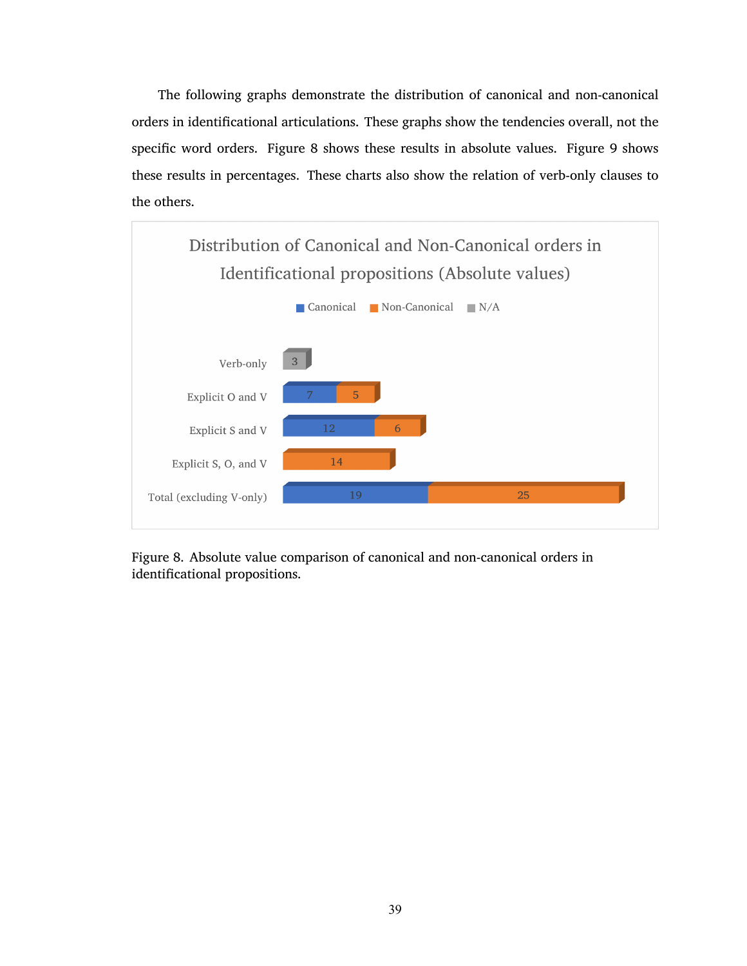The following graphs demonstrate the distribution of canonical and non-canonical orders in identificational articulations. These graphs show the tendencies overall, not the specific word orders. Figure [8](#page-52-0) shows these results in absolute values. Figure [9](#page-53-0) shows these results in percentages. These charts also show the relation of verb-only clauses to the others.



<span id="page-52-0"></span>Figure 8. Absolute value comparison of canonical and non-canonical orders in identificational propositions.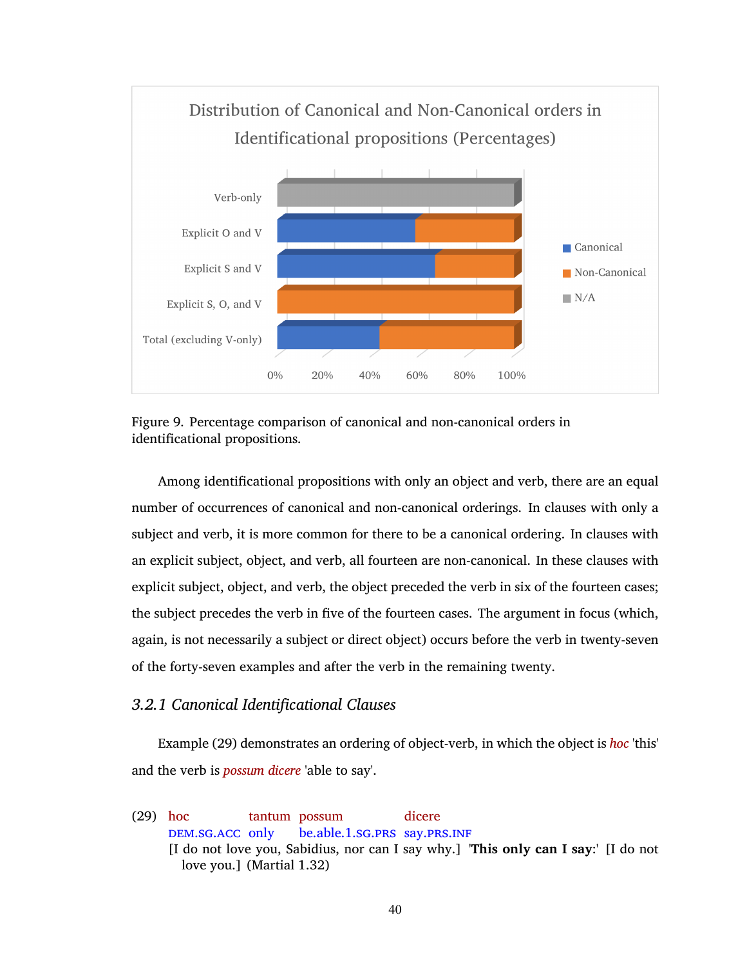

<span id="page-53-0"></span>Figure 9. Percentage comparison of canonical and non-canonical orders in identificational propositions.

Among identificational propositions with only an object and verb, there are an equal number of occurrences of canonical and non-canonical orderings. In clauses with only a subject and verb, it is more common for there to be a canonical ordering. In clauses with an explicit subject, object, and verb, all fourteen are non-canonical. In these clauses with explicit subject, object, and verb, the object preceded the verb in six of the fourteen cases; the subject precedes the verb in five of the fourteen cases. The argument in focus (which, again, is not necessarily a subject or direct object) occurs before the verb in twenty-seven of the forty-seven examples and after the verb in the remaining twenty.

# *3.2.1 Canonical Identificational Clauses*

Example [\(29\)](#page-53-1) demonstrates an ordering of object-verb, in which the object is *hoc* 'this' and the verb is *possum dicere* 'able to say'.

<span id="page-53-1"></span>(29) hoc DEM.SG.ACC only tantum possum be.able.[1](#page-10-9).[sg](#page-11-0).[prs](#page-10-8) say.[prs](#page-10-8).[inf](#page-10-15) dicere [I do not love you, Sabidius, nor can I say why.] '**This only can I say**:' [I do not love you.] (Martial 1.32)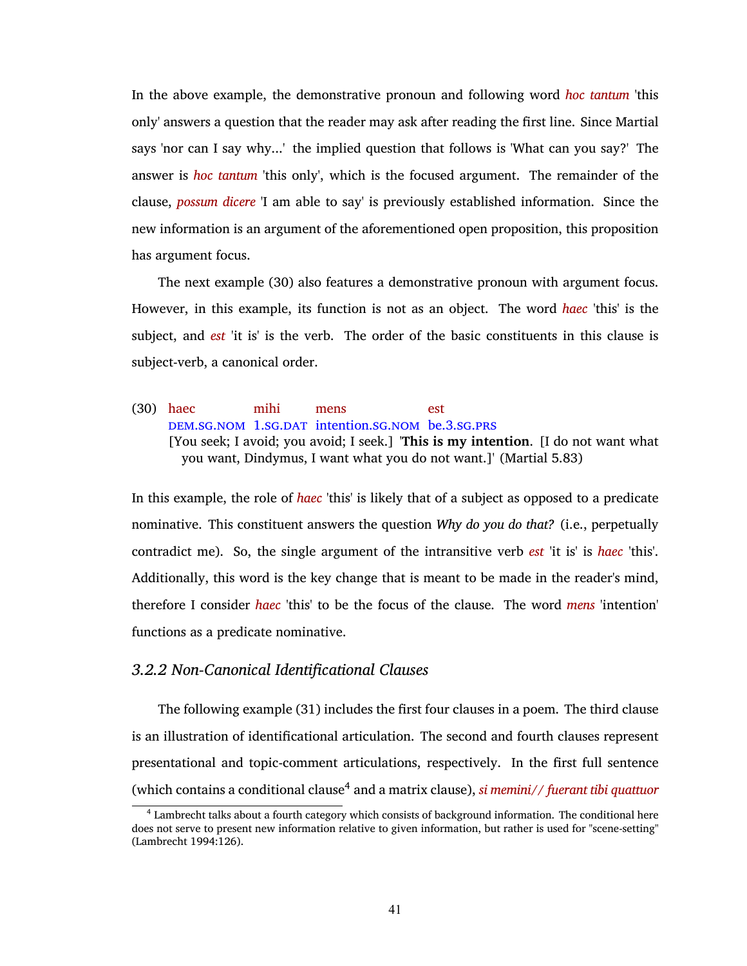In the above example, the demonstrative pronoun and following word *hoc tantum* 'this only' answers a question that the reader may ask after reading the first line. Since Martial says 'nor can I say why...' the implied question that follows is 'What can you say?' The answer is *hoc tantum* 'this only', which is the focused argument. The remainder of the clause, *possum dicere* 'I am able to say' is previously established information. Since the new information is an argument of the aforementioned open proposition, this proposition has argument focus.

The next example [\(30\)](#page-54-0) also features a demonstrative pronoun with argument focus. However, in this example, its function is not as an object. The word *haec* 'this' is the subject, and *est* 'it is' is the verb. The order of the basic constituents in this clause is subject-verb, a canonical order.

<span id="page-54-0"></span>(30) haec [dem](#page-10-20).[sg](#page-11-0).[nom](#page-10-1) [1](#page-10-9).sg.[dat](#page-10-18) intention.sg.nom be.[3](#page-10-12).sg.[prs](#page-10-8) mihi mens est [You seek; I avoid; you avoid; I seek.] '**This is my intention**. [I do not want what you want, Dindymus, I want what you do not want.]' (Martial 5.83)

In this example, the role of *haec* 'this' is likely that of a subject as opposed to a predicate nominative. This constituent answers the question *Why do you do that?* (i.e., perpetually contradict me). So, the single argument of the intransitive verb *est* 'it is' is *haec* 'this'. Additionally, this word is the key change that is meant to be made in the reader's mind, therefore I consider *haec* 'this' to be the focus of the clause. The word *mens* 'intention' functions as a predicate nominative.

## *3.2.2 Non-Canonical Identificational Clauses*

The following example [\(31\)](#page-55-0) includes the first four clauses in a poem. The third clause is an illustration of identificational articulation. The second and fourth clauses represent presentational and topic-comment articulations, respectively. In the first full sentence (which contains a conditional clause<sup>4</sup> and a matrix clause), *si memini// fuerant tibi quattuor* 

<sup>4</sup> Lambrecht talks about a fourth category which consists of background information. The conditional here does not serve to present new information relative to given information, but rather is used for "scene-setting" [\(Lambrecht 1994:126\)](#page-77-3).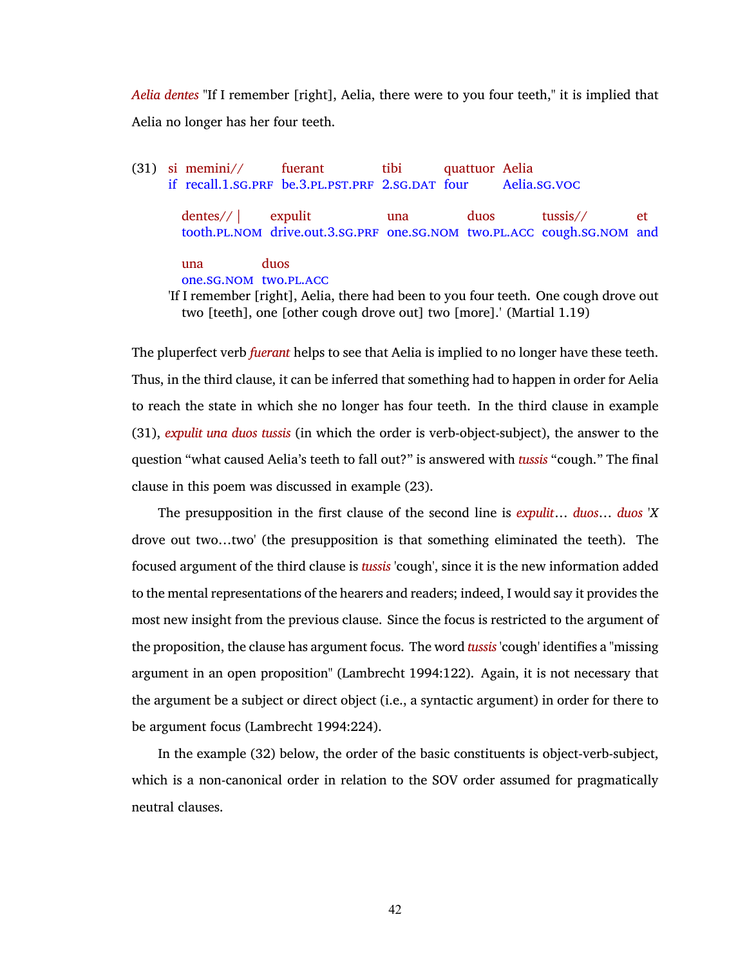*Aelia dentes* "If I remember [right], Aelia, there were to you four teeth," it is implied that Aelia no longer has her four teeth.

<span id="page-55-0"></span>(31) si memini// if recall.[1](#page-10-9).[sg](#page-11-0).[prf](#page-10-2) be.[3](#page-10-12).[pl](#page-10-7).[pst](#page-10-16).[prf](#page-10-2) [2](#page-10-0).[sg](#page-11-0).[dat](#page-10-18) four fuerant tibi quattuor Aelia Aelia.[sg](#page-11-0).[voc](#page-11-1) dentes// | tooth.[pl](#page-10-7).[nom](#page-10-1) drive.out.[3](#page-10-12).[sg](#page-11-0).[prf](#page-10-2) one.[sg](#page-11-0).[nom](#page-10-1) two.[pl](#page-10-7).[acc](#page-10-6) cough.[sg](#page-11-0).[nom](#page-10-1) and expulit una duos tussis// et una one.[sg](#page-11-0).[nom](#page-10-1) two.[pl](#page-10-7).[acc](#page-10-6) duos 'If I remember [right], Aelia, there had been to you four teeth. One cough drove out two [teeth], one [other cough drove out] two [more].' (Martial 1.19)

The pluperfect verb *fuerant* helps to see that Aelia is implied to no longer have these teeth. Thus, in the third clause, it can be inferred that something had to happen in order for Aelia to reach the state in which she no longer has four teeth. In the third clause in example [\(31\),](#page-55-0) *expulit una duos tussis* (in which the order is verb-object-subject), the answer to the question "what caused Aelia's teeth to fall out?" is answered with *tussis* "cough." The final clause in this poem was discussed in example [\(23\)](#page-46-1).

The presupposition in the first clause of the second line is *expulit*… *duos*… *duos* '*X* drove out two…two' (the presupposition is that something eliminated the teeth). The focused argument of the third clause is *tussis* 'cough', since it is the new information added to the mental representations of the hearers and readers; indeed, I would say it provides the most new insight from the previous clause. Since the focus is restricted to the argument of the proposition, the clause has argument focus. The word *tussis* 'cough' identifies a "missing argument in an open proposition" [\(Lambrecht 1994:122\).](#page-77-3) Again, it is not necessary that the argument be a subject or direct object (i.e., a syntactic argument) in order for there to be argument focus [\(Lambrecht 1994:224\)](#page-77-3).

In the example [\(32\)](#page-56-0) below, the order of the basic constituents is object-verb-subject, which is a non-canonical order in relation to the SOV order assumed for pragmatically neutral clauses.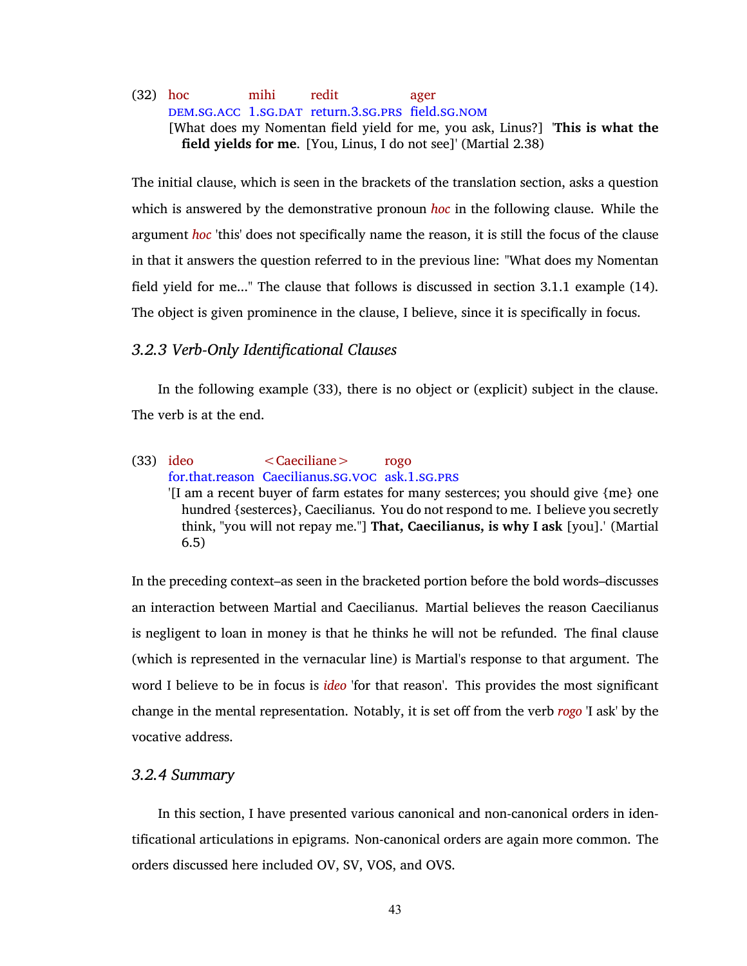### <span id="page-56-0"></span>(32) hoc [dem](#page-10-20).[sg](#page-11-0).[acc](#page-10-6) [1](#page-10-9).[sg](#page-11-0).[dat](#page-10-18) return.[3](#page-10-12).[sg](#page-11-0).[prs](#page-10-8) field.[sg](#page-11-0).[nom](#page-10-1) mihi redit ager [What does my Nomentan field yield for me, you ask, Linus?] '**This is what the field yields for me**. [You, Linus, I do not see]' (Martial 2.38)

The initial clause, which is seen in the brackets of the translation section, asks a question which is answered by the demonstrative pronoun *hoc* in the following clause. While the argument *hoc* 'this' does not specifically name the reason, it is still the focus of the clause in that it answers the question referred to in the previous line: "What does my Nomentan field yield for me..." The clause that follows is discussed in section [3.1.1](#page-39-0) example [\(14\).](#page-40-0) The object is given prominence in the clause, I believe, since it is specifically in focus.

# *3.2.3 Verb-Only Identificational Clauses*

In the following example [\(33\)](#page-56-1), there is no object or (explicit) subject in the clause. The verb is at the end.

### <span id="page-56-1"></span>(33) ideo for.that.reason Caecilianus.[sg](#page-11-0).[voc](#page-11-1) ask.[1](#page-10-9).[sg](#page-11-0).[prs](#page-10-8) <Caeciliane> rogo

'[I am a recent buyer of farm estates for many sesterces; you should give {me} one hundred {sesterces}, Caecilianus. You do not respond to me. I believe you secretly think, "you will not repay me."] **That, Caecilianus, is why I ask** [you].' (Martial 6.5)

In the preceding context–as seen in the bracketed portion before the bold words–discusses an interaction between Martial and Caecilianus. Martial believes the reason Caecilianus is negligent to loan in money is that he thinks he will not be refunded. The final clause (which is represented in the vernacular line) is Martial's response to that argument. The word I believe to be in focus is *ideo* 'for that reason'. This provides the most significant change in the mental representation. Notably, it is set off from the verb *rogo* 'I ask' by the vocative address.

### *3.2.4 Summary*

In this section, I have presented various canonical and non-canonical orders in identificational articulations in epigrams. Non-canonical orders are again more common. The orders discussed here included OV, SV, VOS, and OVS.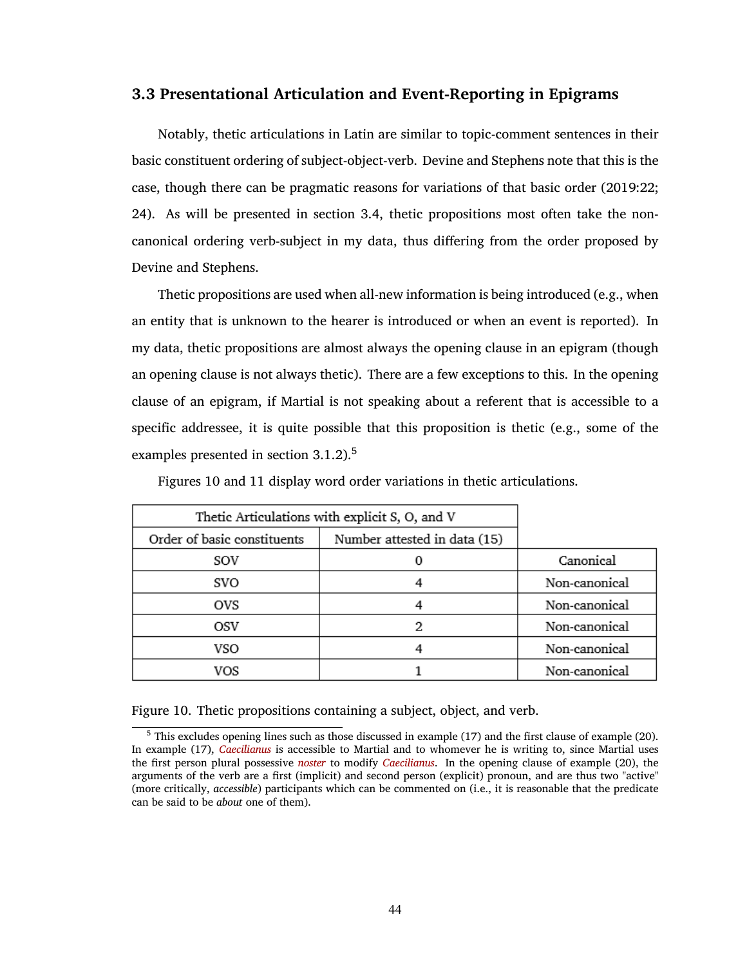## <span id="page-57-0"></span>**3.3 Presentational Articulation and Event-Reporting in Epigrams**

Notably, thetic articulations in Latin are similar to topic-comment sentences in their basic constituent ordering of subject-object-verb. Devine and Stephens note that this is the case, though there can be pragmatic reasons for variations of that basic order [\(2019:22;](#page-77-0) [24\)](#page-77-0). As will be presented in section [3.4](#page-67-0), thetic propositions most often take the noncanonical ordering verb-subject in my data, thus differing from the order proposed by Devine and Stephens.

Thetic propositions are used when all-new information is being introduced (e.g., when an entity that is unknown to the hearer is introduced or when an event is reported). In my data, thetic propositions are almost always the opening clause in an epigram (though an opening clause is not always thetic). There are a few exceptions to this. In the opening clause of an epigram, if Martial is not speaking about a referent that is accessible to a specific addressee, it is quite possible that this proposition is thetic (e.g., some of the examples presented in section [3.1.2](#page-42-0)).<sup>5</sup>

Figures [10](#page-57-1) and [11](#page-58-0) display word order variations in thetic articulations.

| Thetic Articulations with explicit S, O, and V |                              |               |
|------------------------------------------------|------------------------------|---------------|
| Order of basic constituents                    | Number attested in data (15) |               |
| sov                                            |                              | Canonical     |
| svo                                            |                              | Non-canonical |
| ovs                                            |                              | Non-canonical |
| OSV                                            | 2                            | Non-canonical |
| VSO                                            |                              | Non-canonical |
| VOS                                            |                              | Non-canonical |

<span id="page-57-1"></span>Figure 10. Thetic propositions containing a subject, object, and verb.

 $5$  This excludes opening lines such as those discussed in example [\(17\)](#page-42-2) and the first clause of example [\(20\)](#page-44-0). In example [\(17\)](#page-42-2), *Caecilianus* is accessible to Martial and to whomever he is writing to, since Martial uses the first person plural possessive *noster* to modify *Caecilianus*. In the opening clause of example [\(20\)](#page-44-0), the arguments of the verb are a first (implicit) and second person (explicit) pronoun, and are thus two "active" (more critically, *accessible*) participants which can be commented on (i.e., it is reasonable that the predicate can be said to be *about* one of them).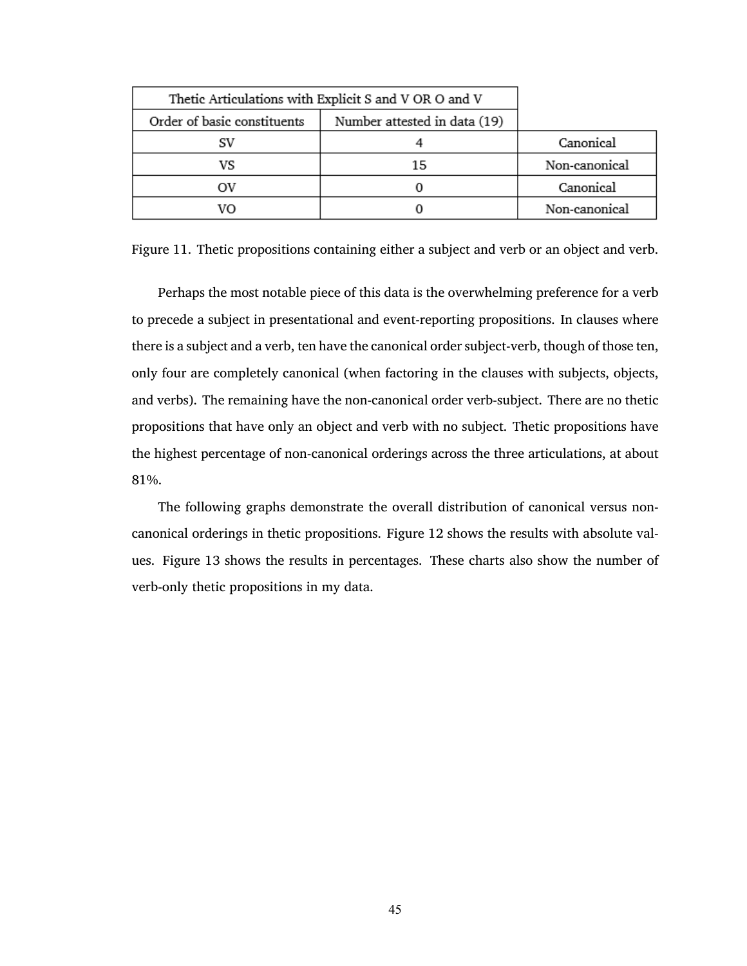|                             | Thetic Articulations with Explicit S and V OR O and V |               |
|-----------------------------|-------------------------------------------------------|---------------|
| Order of basic constituents | Number attested in data (19)                          |               |
|                             |                                                       | Canonical     |
| VS                          | 15                                                    | Non-canonical |
| ov                          |                                                       | Canonical     |
| vο                          |                                                       | Non-canonical |

<span id="page-58-0"></span>Figure 11. Thetic propositions containing either a subject and verb or an object and verb.

Perhaps the most notable piece of this data is the overwhelming preference for a verb to precede a subject in presentational and event-reporting propositions. In clauses where there is a subject and a verb, ten have the canonical order subject-verb, though of those ten, only four are completely canonical (when factoring in the clauses with subjects, objects, and verbs). The remaining have the non-canonical order verb-subject. There are no thetic propositions that have only an object and verb with no subject. Thetic propositions have the highest percentage of non-canonical orderings across the three articulations, at about 81%.

The following graphs demonstrate the overall distribution of canonical versus noncanonical orderings in thetic propositions. Figure [12](#page-59-0) shows the results with absolute values. Figure [13](#page-59-1) shows the results in percentages. These charts also show the number of verb-only thetic propositions in my data.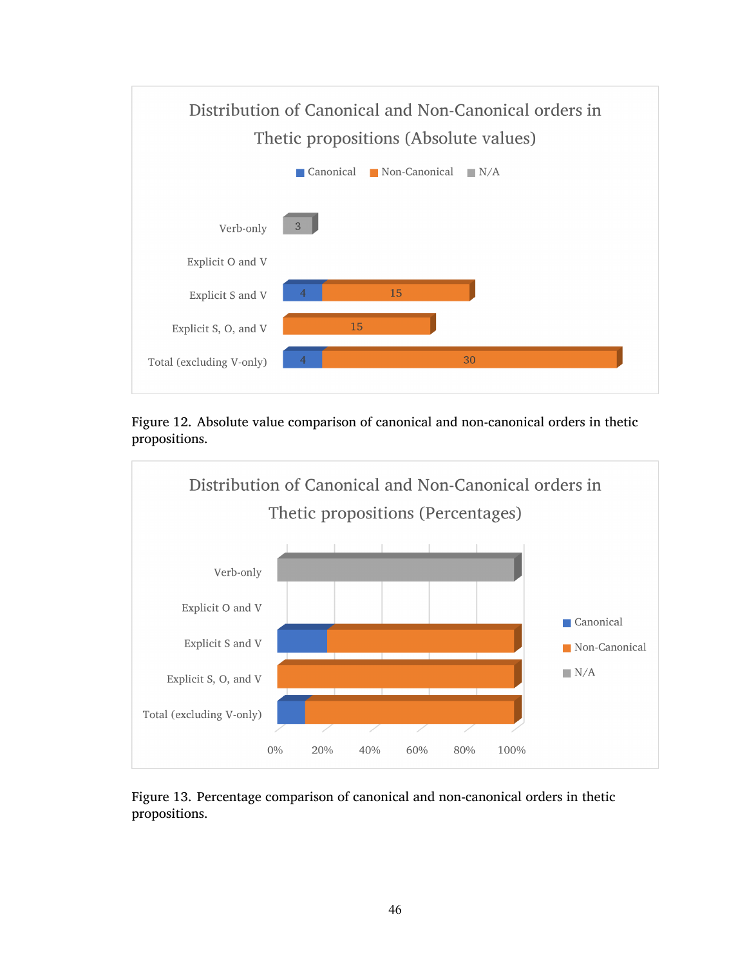

<span id="page-59-0"></span>Figure 12. Absolute value comparison of canonical and non-canonical orders in thetic propositions.



<span id="page-59-1"></span>Figure 13. Percentage comparison of canonical and non-canonical orders in thetic propositions.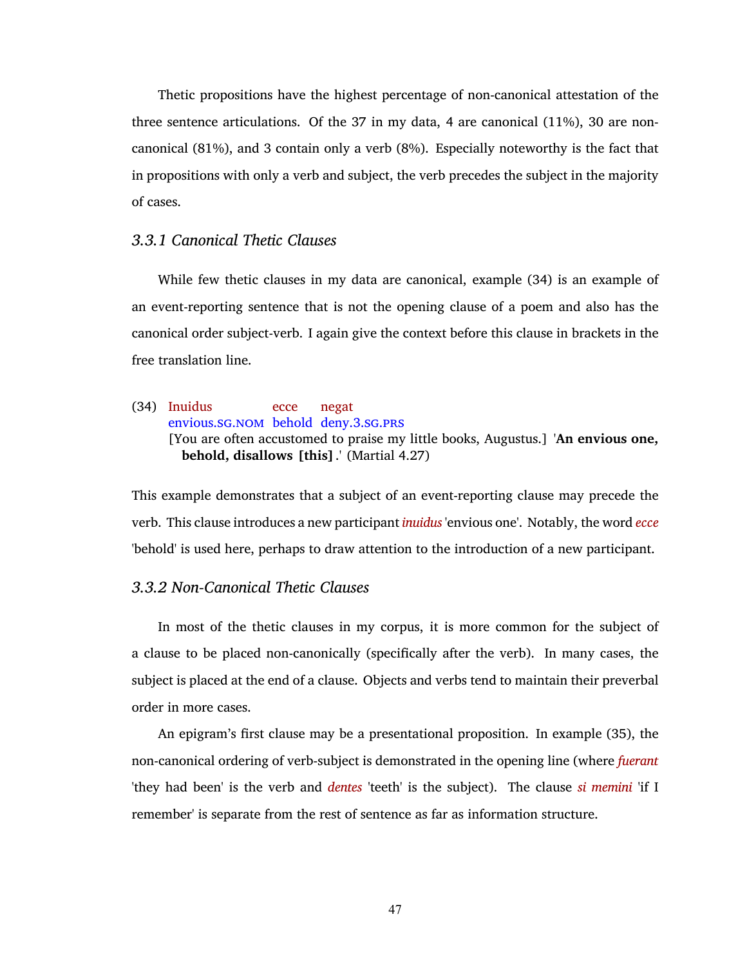Thetic propositions have the highest percentage of non-canonical attestation of the three sentence articulations. Of the 37 in my data, 4 are canonical (11%), 30 are noncanonical (81%), and 3 contain only a verb (8%). Especially noteworthy is the fact that in propositions with only a verb and subject, the verb precedes the subject in the majority of cases.

### *3.3.1 Canonical Thetic Clauses*

While few thetic clauses in my data are canonical, example [\(34\)](#page-60-0) is an example of an event-reporting sentence that is not the opening clause of a poem and also has the canonical order subject-verb. I again give the context before this clause in brackets in the free translation line.

### <span id="page-60-0"></span>(34) Inuidus envious.[sg](#page-11-0).[nom](#page-10-1) behold deny.[3](#page-10-12).[sg](#page-11-0).[prs](#page-10-8) ecce negat [You are often accustomed to praise my little books, Augustus.] '**An envious one, behold, disallows [this]**.' (Martial 4.27)

This example demonstrates that a subject of an event-reporting clause may precede the verb. This clause introduces a new participant *inuidus* 'envious one'. Notably, the word *ecce* 'behold' is used here, perhaps to draw attention to the introduction of a new participant.

### *3.3.2 Non-Canonical Thetic Clauses*

In most of the thetic clauses in my corpus, it is more common for the subject of a clause to be placed non-canonically (specifically after the verb). In many cases, the subject is placed at the end of a clause. Objects and verbs tend to maintain their preverbal order in more cases.

An epigram's first clause may be a presentational proposition. In example [\(35\),](#page-61-1) the non-canonical ordering of verb-subject is demonstrated in the opening line (where *fuerant* 'they had been' is the verb and *dentes* 'teeth' is the subject). The clause *si memini* 'if I remember' is separate from the rest of sentence as far as information structure.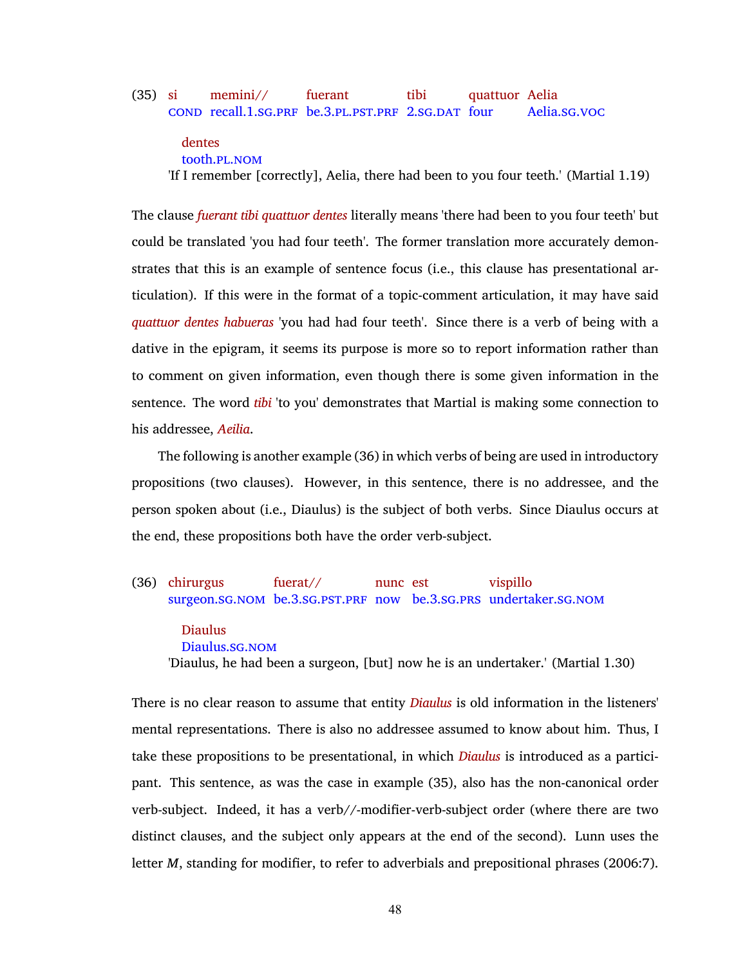#### <span id="page-61-1"></span>(35) si [cond](#page-10-19) recall.[1](#page-10-9).[sg](#page-11-0).[prf](#page-10-2) be.[3](#page-10-12).[pl](#page-10-7).[pst](#page-10-16).[prf](#page-10-2) [2](#page-10-0).[sg](#page-11-0).[dat](#page-10-18) four memini// fuerant tibi quattuor Aelia Aelia.[sg](#page-11-0).[voc](#page-11-1)

# dentes

tooth.[pl](#page-10-7).[nom](#page-10-1)

'If I remember [correctly], Aelia, there had been to you four teeth.' (Martial 1.19)

The clause *fuerant tibi quattuor dentes* literally means 'there had been to you four teeth' but could be translated 'you had four teeth'. The former translation more accurately demonstrates that this is an example of sentence focus (i.e., this clause has presentational articulation). If this were in the format of a topic-comment articulation, it may have said *quattuor dentes habueras* 'you had had four teeth'. Since there is a verb of being with a dative in the epigram, it seems its purpose is more so to report information rather than to comment on given information, even though there is some given information in the sentence. The word *tibi* 'to you' demonstrates that Martial is making some connection to his addressee, *Aeilia*.

The following is another example [\(36\)](#page-61-0) in which verbs of being are used in introductory propositions (two clauses). However, in this sentence, there is no addressee, and the person spoken about (i.e., Diaulus) is the subject of both verbs. Since Diaulus occurs at the end, these propositions both have the order verb-subject.

#### <span id="page-61-0"></span>(36) chirurgus surgeon.[sg](#page-11-0).[nom](#page-10-1) be.[3](#page-10-12).[sg](#page-11-0).[pst](#page-10-16).[prf](#page-10-2) now be.[3](#page-10-12).[sg](#page-11-0).[prs](#page-10-8) undertaker.[sg](#page-11-0).[nom](#page-10-1) fuerat// nunc est vispillo

Diaulus Diaulus.[sg](#page-11-0).[nom](#page-10-1) 'Diaulus, he had been a surgeon, [but] now he is an undertaker.' (Martial 1.30)

There is no clear reason to assume that entity *Diaulus* is old information in the listeners' mental representations. There is also no addressee assumed to know about him. Thus, I take these propositions to be presentational, in which *Diaulus* is introduced as a participant. This sentence, as was the case in example [\(35\),](#page-61-1) also has the non-canonical order verb-subject. Indeed, it has a verb//-modifier-verb-subject order (where there are two distinct clauses, and the subject only appears at the end of the second). Lunn uses the letter *M*, standing for modifier, to refer to adverbials and prepositional phrases [\(2006:7\).](#page-77-4)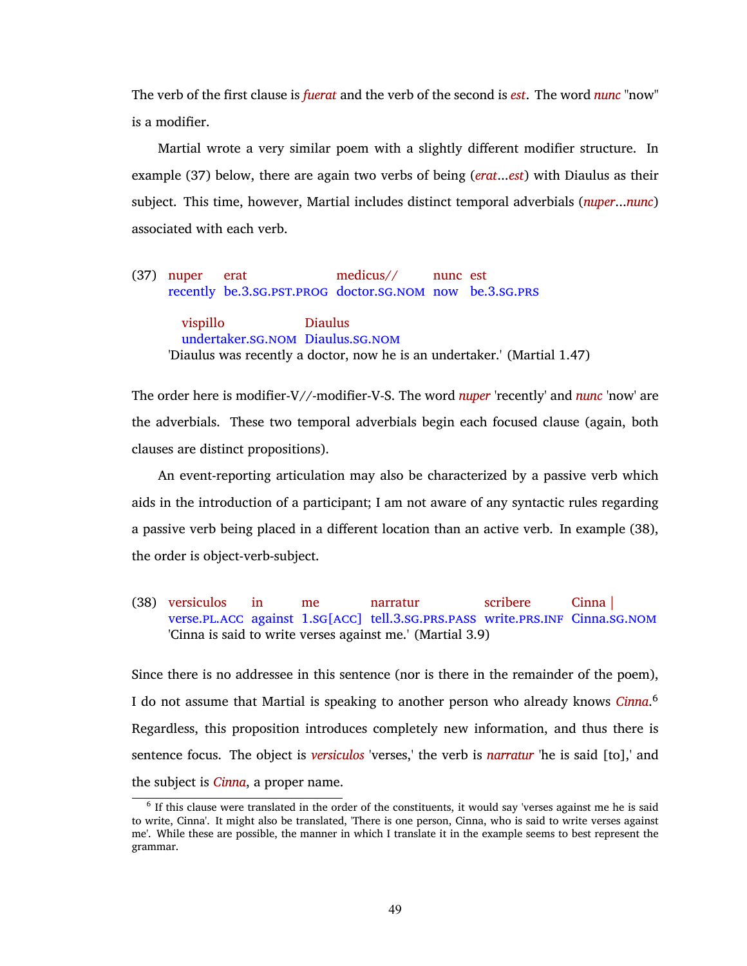The verb of the first clause is *fuerat* and the verb of the second is *est*. The word *nunc* "now" is a modifier.

Martial wrote a very similar poem with a slightly different modifier structure. In example [\(37\)](#page-62-0) below, there are again two verbs of being (*erat*...*est*) with Diaulus as their subject. This time, however, Martial includes distinct temporal adverbials (*nuper*...*nunc*) associated with each verb.

<span id="page-62-0"></span>(37) nuper recently be.[3](#page-10-12).[sg](#page-11-0).[pst](#page-10-16).[prog](#page-10-17) doctor.[sg](#page-11-0).[nom](#page-10-1) now be.[3](#page-10-12).[sg](#page-11-0).[prs](#page-10-8) erat medicus// nunc est vispillo undertaker.[sg](#page-11-0).[nom](#page-10-1) Diaulus.[sg](#page-11-0).[nom](#page-10-1) Diaulus 'Diaulus was recently a doctor, now he is an undertaker.' (Martial 1.47)

The order here is modifier-V//-modifier-V-S. The word *nuper* 'recently' and *nunc* 'now' are the adverbials. These two temporal adverbials begin each focused clause (again, both clauses are distinct propositions).

An event-reporting articulation may also be characterized by a passive verb which aids in the introduction of a participant; I am not aware of any syntactic rules regarding a passive verb being placed in a different location than an active verb. In example [\(38\),](#page-62-1) the order is object-verb-subject.

<span id="page-62-1"></span>(38) versiculos verse.PL.ACC against [1](#page-10-9).SG[ACC] tell.[3](#page-10-12).SG.PRS.PASS write.PRS.INF Cinna.SG.NOM in me narratur scribere Cinna | 'Cinna is said to write verses against me.' (Martial 3.9)

Since there is no addressee in this sentence (nor is there in the remainder of the poem), I do not assume that Martial is speaking to another person who already knows *Cinna*. 6 Regardless, this proposition introduces completely new information, and thus there is sentence focus. The object is *versiculos* 'verses,' the verb is *narratur* 'he is said [to],' and the subject is *Cinna*, a proper name.

 $<sup>6</sup>$  If this clause were translated in the order of the constituents, it would say 'verses against me he is said</sup> to write, Cinna'. It might also be translated, 'There is one person, Cinna, who is said to write verses against me'. While these are possible, the manner in which I translate it in the example seems to best represent the grammar.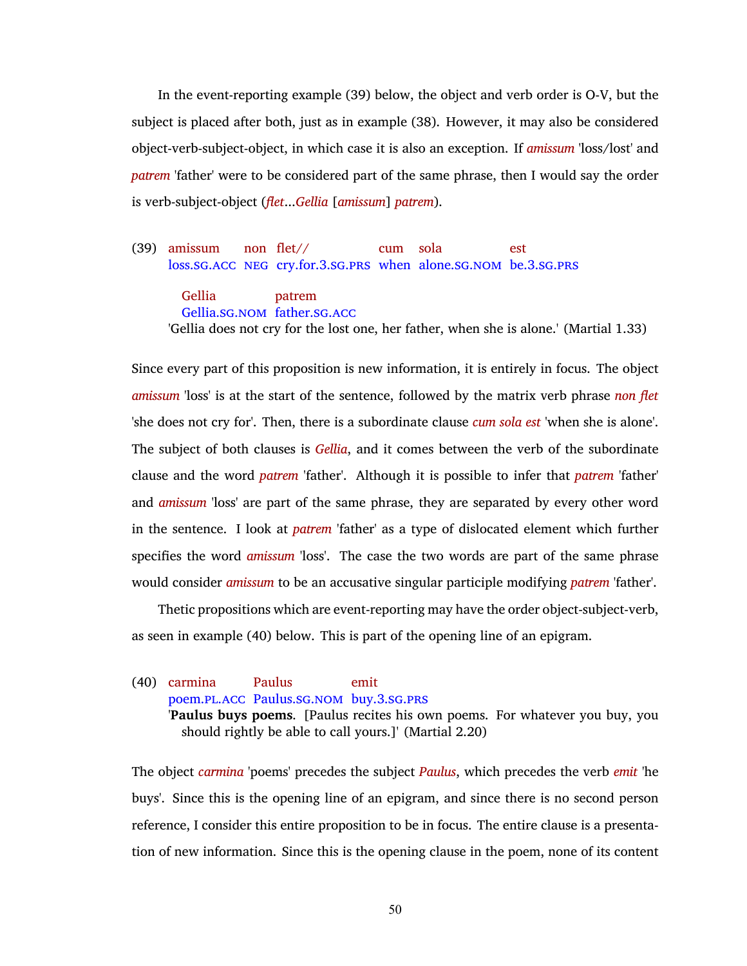In the event-reporting example [\(39\)](#page-63-0) below, the object and verb order is O-V, but the subject is placed after both, just as in example [\(38\).](#page-62-1) However, it may also be considered object-verb-subject-object, in which case it is also an exception. If *amissum* 'loss/lost' and *patrem* 'father' were to be considered part of the same phrase, then I would say the order is verb-subject-object (*flet*...*Gellia* [*amissum*] *patrem*).

<span id="page-63-0"></span>(39) amissum loss.[sg](#page-11-0).[acc](#page-10-6) [neg](#page-10-10) cry.for.[3](#page-10-12).[sg](#page-11-0).[prs](#page-10-8) when alone.[sg](#page-11-0).[nom](#page-10-1) be.[3](#page-10-12).[sg](#page-11-0).[prs](#page-10-8) non flet// cum sola est

Gellia Gellia.[sg](#page-11-0).[nom](#page-10-1) father.[sg](#page-11-0).[acc](#page-10-6) patrem 'Gellia does not cry for the lost one, her father, when she is alone.' (Martial 1.33)

Since every part of this proposition is new information, it is entirely in focus. The object *amissum* 'loss' is at the start of the sentence, followed by the matrix verb phrase *non flet* 'she does not cry for'. Then, there is a subordinate clause *cum sola est* 'when she is alone'. The subject of both clauses is *Gellia*, and it comes between the verb of the subordinate clause and the word *patrem* 'father'. Although it is possible to infer that *patrem* 'father' and *amissum* 'loss' are part of the same phrase, they are separated by every other word in the sentence. I look at *patrem* 'father' as a type of dislocated element which further specifies the word *amissum* 'loss'. The case the two words are part of the same phrase would consider *amissum* to be an accusative singular participle modifying *patrem* 'father'.

Thetic propositions which are event-reporting may have the order object-subject-verb, as seen in example [\(40\)](#page-63-1) below. This is part of the opening line of an epigram.

<span id="page-63-1"></span>(40) carmina poem.[pl](#page-10-7).[acc](#page-10-6) Paulus.[sg](#page-11-0).[nom](#page-10-1) buy.[3](#page-10-12).[sg](#page-11-0).[prs](#page-10-8) Paulus emit '**Paulus buys poems**. [Paulus recites his own poems. For whatever you buy, you should rightly be able to call yours.]' (Martial 2.20)

The object *carmina* 'poems' precedes the subject *Paulus*, which precedes the verb *emit* 'he buys'. Since this is the opening line of an epigram, and since there is no second person reference, I consider this entire proposition to be in focus. The entire clause is a presentation of new information. Since this is the opening clause in the poem, none of its content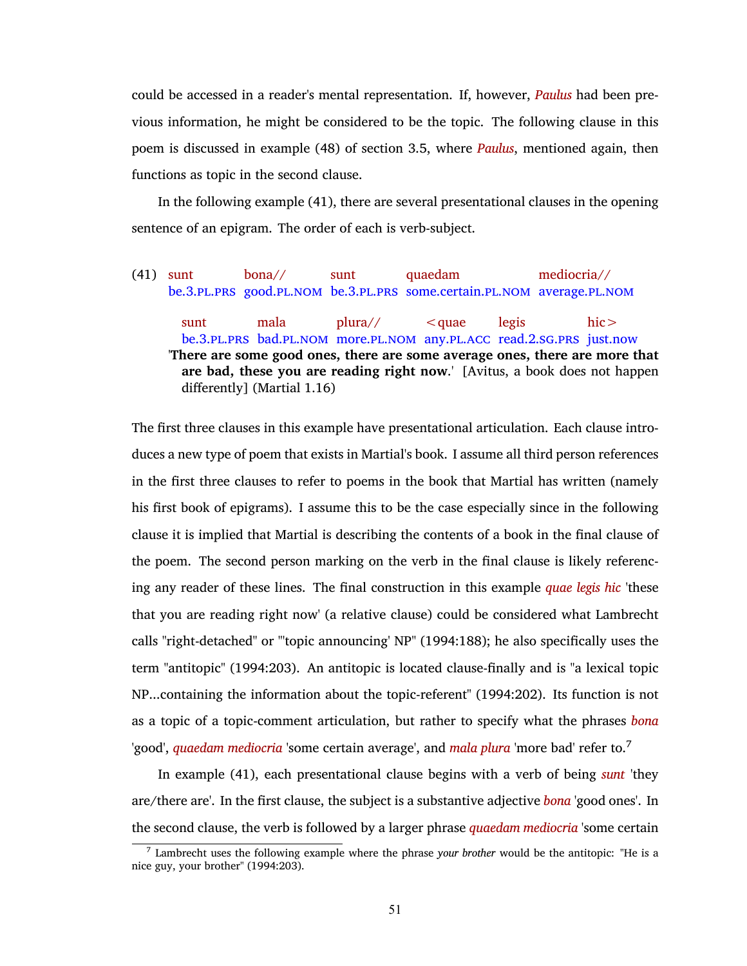could be accessed in a reader's mental representation. If, however, *Paulus* had been previous information, he might be considered to be the topic. The following clause in this poem is discussed in example [\(48\)](#page-72-0) of section [3.5](#page-69-0), where *Paulus*, mentioned again, then functions as topic in the second clause.

In the following example [\(41\)](#page-64-0), there are several presentational clauses in the opening sentence of an epigram. The order of each is verb-subject.

<span id="page-64-0"></span>(41) sunt be.[3](#page-10-12).PL.PRS good.PL.NOM be.3.PL.PRS some.certain.PL.NOM average.PL.NOM bona// sunt quaedam mediocria// sunt be.[3](#page-10-12).PL.PRS bad.PL.NOM more.PL.NOM any.PL.ACC read.[2](#page-10-0).SG.PRS just.now mala plura//  $\leq$ quae legis hic> '**There are some good ones, there are some average ones, there are more that are bad, these you are reading right now**.' [Avitus, a book does not happen differently] (Martial 1.16)

The first three clauses in this example have presentational articulation. Each clause introduces a new type of poem that exists in Martial's book. I assume all third person references in the first three clauses to refer to poems in the book that Martial has written (namely his first book of epigrams). I assume this to be the case especially since in the following clause it is implied that Martial is describing the contents of a book in the final clause of the poem. The second person marking on the verb in the final clause is likely referencing any reader of these lines. The final construction in this example *quae legis hic* 'these that you are reading right now' (a relative clause) could be considered what Lambrecht calls "right-detached" or "'topic announcing' NP" [\(1994:188\)](#page-77-3); he also specifically uses the term "antitopic" [\(1994:203\)](#page-77-3). An antitopic is located clause-finally and is "a lexical topic NP...containing the information about the topic-referent" [\(1994:202\).](#page-77-3) Its function is not as a topic of a topic-comment articulation, but rather to specify what the phrases *bona* 'good', *quaedam mediocria* 'some certain average', and *mala plura* 'more bad' refer to.<sup>7</sup>

In example [\(41\)](#page-64-0), each presentational clause begins with a verb of being *sunt* 'they are/there are'. In the first clause, the subject is a substantive adjective *bona* 'good ones'. In the second clause, the verb is followed by a larger phrase *quaedam mediocria* 'some certain

<sup>7</sup> Lambrecht uses the following example where the phrase *your brother* would be the antitopic: "He is a nice guy, your brother" [\(1994:203\)](#page-77-3).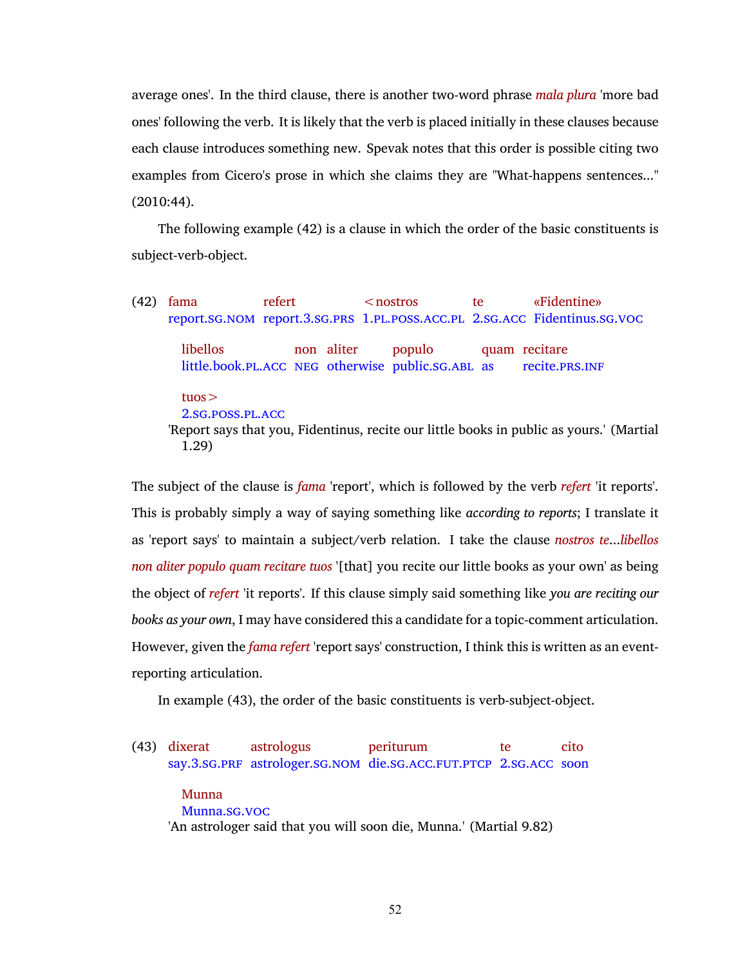average ones'. In the third clause, there is another two-word phrase *mala plura* 'more bad ones' following the verb. It is likely that the verb is placed initially in these clauses because each clause introduces something new. Spevak notes that this order is possible citing two examples from Cicero's prose in which she claims they are "What-happens sentences..." [\(2010:44\)](#page-78-0).

The following example [\(42\)](#page-65-0) is a clause in which the order of the basic constituents is subject-verb-object.

<span id="page-65-0"></span>(42) fama report.[sg](#page-11-0).[nom](#page-10-1) report.[3](#page-10-12).[sg](#page-11-0).[prs](#page-10-8) [1](#page-10-9).[pl](#page-10-7).[poss](#page-10-11).[acc](#page-10-6).[pl](#page-10-7) [2](#page-10-0).[sg](#page-11-0).[acc](#page-10-6) Fidentinus.[sg](#page-11-0).[voc](#page-11-1) refert  $<$ nostros te «Fidentine» libellos little.book.pL.ACC NEG otherwise public.SG.ABL as non aliter populo quam recitare recite.[prs](#page-10-8).[inf](#page-10-15) tuos> [2](#page-10-0).[sg](#page-11-0).[poss](#page-10-11).[pl](#page-10-7).[acc](#page-10-6) 'Report says that you, Fidentinus, recite our little books in public as yours.' (Martial 1.29)

The subject of the clause is *fama* 'report', which is followed by the verb *refert* 'it reports'. This is probably simply a way of saying something like *according to reports*; I translate it as 'report says' to maintain a subject/verb relation. I take the clause *nostros te*...*libellos non aliter populo quam recitare tuos* '[that] you recite our little books as your own' as being the object of *refert* 'it reports'. If this clause simply said something like *you are reciting our books as your own*, I may have considered this a candidate for a topic-comment articulation. However, given the *fama refert* 'report says' construction, I think this is written as an eventreporting articulation.

In example [\(43\)](#page-65-1), the order of the basic constituents is verb-subject-object.

<span id="page-65-1"></span>(43) dixerat say.[3](#page-10-12).[sg](#page-11-0).[prf](#page-10-2) astrologer.[sg](#page-11-0).[nom](#page-10-1) die.[sg](#page-11-0).[acc](#page-10-6).[fut](#page-10-21).[ptcp](#page-10-4) [2](#page-10-0).[sg](#page-11-0).[acc](#page-10-6) soon astrologus periturum te cito

# Munna Munna.[sg](#page-11-0).[voc](#page-11-1) 'An astrologer said that you will soon die, Munna.' (Martial 9.82)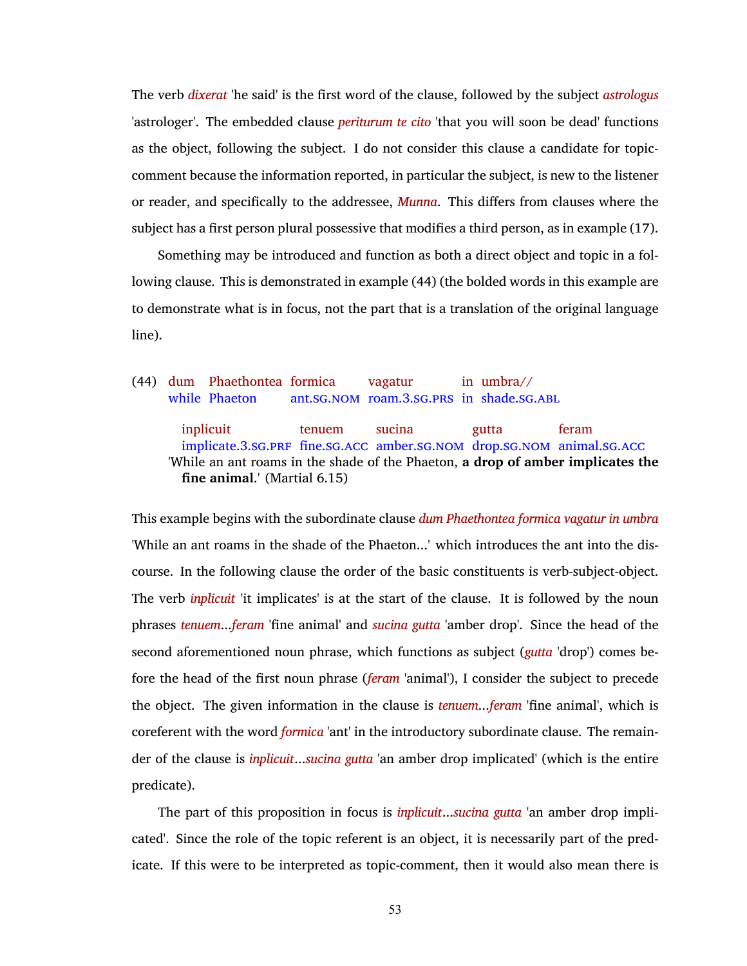The verb *dixerat* 'he said' is the first word of the clause, followed by the subject *astrologus* 'astrologer'. The embedded clause *periturum te cito* 'that you will soon be dead' functions as the object, following the subject. I do not consider this clause a candidate for topiccomment because the information reported, in particular the subject, is new to the listener or reader, and specifically to the addressee, *Munna*. This differs from clauses where the subject has a first person plural possessive that modifies a third person, as in example [\(17\).](#page-42-2)

Something may be introduced and function as both a direct object and topic in a following clause. This is demonstrated in example [\(44\)](#page-66-0) (the bolded words in this example are to demonstrate what is in focus, not the part that is a translation of the original language line).

<span id="page-66-0"></span>(44) dum Phaethontea formica while Phaeton ant.[sg](#page-11-0).[nom](#page-10-1) roam.[3](#page-10-12).[sg](#page-11-0).[prs](#page-10-8) in shade.[sg](#page-11-0).[abl](#page-10-13) vagatur in umbra// inplicuit implicate.[3](#page-10-12).sG.PRF fine.sG.ACC amber.sG.NOM drop.sG.NOM animal.sG.ACC tenuem sucina gutta feram 'While an ant roams in the shade of the Phaeton, **a drop of amber implicates the fine animal**.' (Martial 6.15)

This example begins with the subordinate clause *dum Phaethontea formica vagatur in umbra* 'While an ant roams in the shade of the Phaeton...' which introduces the ant into the discourse. In the following clause the order of the basic constituents is verb-subject-object. The verb *inplicuit* 'it implicates' is at the start of the clause. It is followed by the noun phrases *tenuem*...*feram* 'fine animal' and *sucina gutta* 'amber drop'. Since the head of the second aforementioned noun phrase, which functions as subject (*gutta* 'drop') comes before the head of the first noun phrase (*feram* 'animal'), I consider the subject to precede the object. The given information in the clause is *tenuem*...*feram* 'fine animal', which is coreferent with the word *formica* 'ant' in the introductory subordinate clause. The remainder of the clause is *inplicuit*...*sucina gutta* 'an amber drop implicated' (which is the entire predicate).

The part of this proposition in focus is *inplicuit*...*sucina gutta* 'an amber drop implicated'. Since the role of the topic referent is an object, it is necessarily part of the predicate. If this were to be interpreted as topic-comment, then it would also mean there is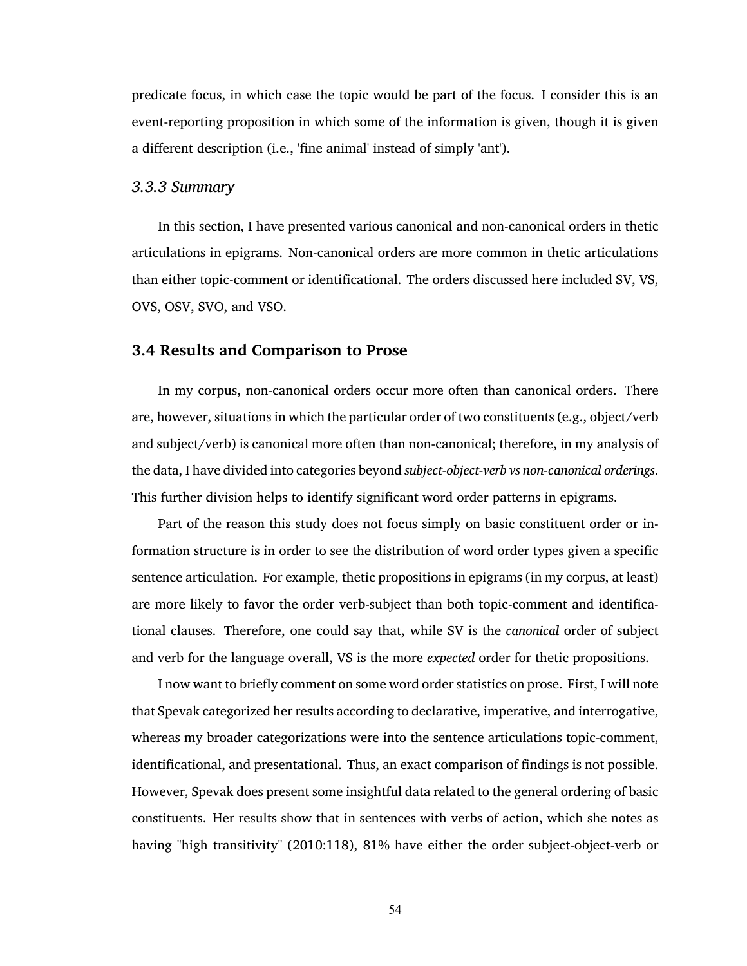predicate focus, in which case the topic would be part of the focus. I consider this is an event-reporting proposition in which some of the information is given, though it is given a different description (i.e., 'fine animal' instead of simply 'ant').

### *3.3.3 Summary*

In this section, I have presented various canonical and non-canonical orders in thetic articulations in epigrams. Non-canonical orders are more common in thetic articulations than either topic-comment or identificational. The orders discussed here included SV, VS, OVS, OSV, SVO, and VSO.

## <span id="page-67-0"></span>**3.4 Results and Comparison to Prose**

In my corpus, non-canonical orders occur more often than canonical orders. There are, however, situations in which the particular order of two constituents (e.g., object/verb and subject/verb) is canonical more often than non-canonical; therefore, in my analysis of the data, I have divided into categories beyond *subject-object-verb vs non-canonical orderings*. This further division helps to identify significant word order patterns in epigrams.

Part of the reason this study does not focus simply on basic constituent order or information structure is in order to see the distribution of word order types given a specific sentence articulation. For example, thetic propositions in epigrams (in my corpus, at least) are more likely to favor the order verb-subject than both topic-comment and identificational clauses. Therefore, one could say that, while SV is the *canonical* order of subject and verb for the language overall, VS is the more *expected* order for thetic propositions.

I now want to briefly comment on some word order statistics on prose. First, I will note that Spevak categorized her results according to declarative, imperative, and interrogative, whereas my broader categorizations were into the sentence articulations topic-comment, identificational, and presentational. Thus, an exact comparison of findings is not possible. However, Spevak does present some insightful data related to the general ordering of basic constituents. Her results show that in sentences with verbs of action, which she notes as having "high transitivity" [\(2010:118\)](#page-78-0), 81% have either the order subject-object-verb or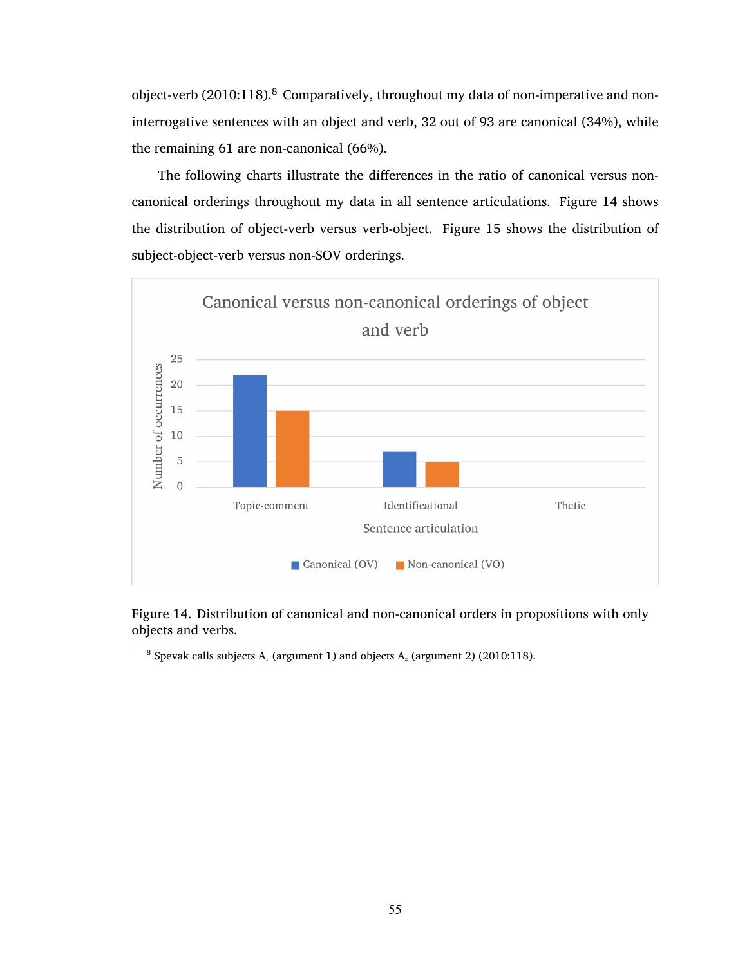object-verb [\(2010:118\).](#page-78-0) $^8$  Comparatively, throughout my data of non-imperative and noninterrogative sentences with an object and verb, 32 out of 93 are canonical (34%), while the remaining 61 are non-canonical (66%).

The following charts illustrate the differences in the ratio of canonical versus noncanonical orderings throughout my data in all sentence articulations. Figure [14](#page-68-0) shows the distribution of object-verb versus verb-object. Figure [15](#page-69-1) shows the distribution of subject-object-verb versus non-SOV orderings.



<span id="page-68-0"></span>Figure 14. Distribution of canonical and non-canonical orders in propositions with only objects and verbs.

<sup>8</sup> Spevak calls subjects  $A_1$  (argument 1) and objects  $A_2$  (argument 2) [\(2010:118\).](#page-78-0)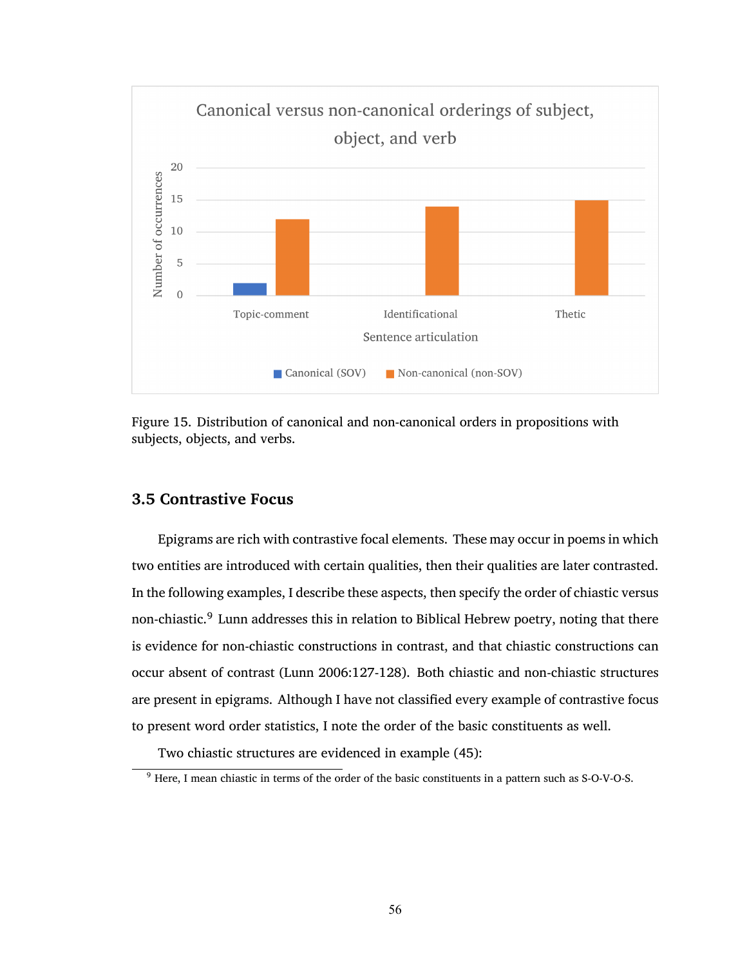

<span id="page-69-1"></span>Figure 15. Distribution of canonical and non-canonical orders in propositions with subjects, objects, and verbs.

# <span id="page-69-0"></span>**3.5 Contrastive Focus**

Epigrams are rich with contrastive focal elements. These may occur in poems in which two entities are introduced with certain qualities, then their qualities are later contrasted. In the following examples, I describe these aspects, then specify the order of chiastic versus non-chiastic.<sup>9</sup> Lunn addresses this in relation to Biblical Hebrew poetry, noting that there is evidence for non-chiastic constructions in contrast, and that chiastic constructions can occur absent of contrast [\(Lunn 2006:127-128\)](#page-77-4). Both chiastic and non-chiastic structures are present in epigrams. Although I have not classified every example of contrastive focus to present word order statistics, I note the order of the basic constituents as well.

Two chiastic structures are evidenced in example [\(45\):](#page-70-0)

<sup>&</sup>lt;sup>9</sup> Here, I mean chiastic in terms of the order of the basic constituents in a pattern such as S-O-V-O-S.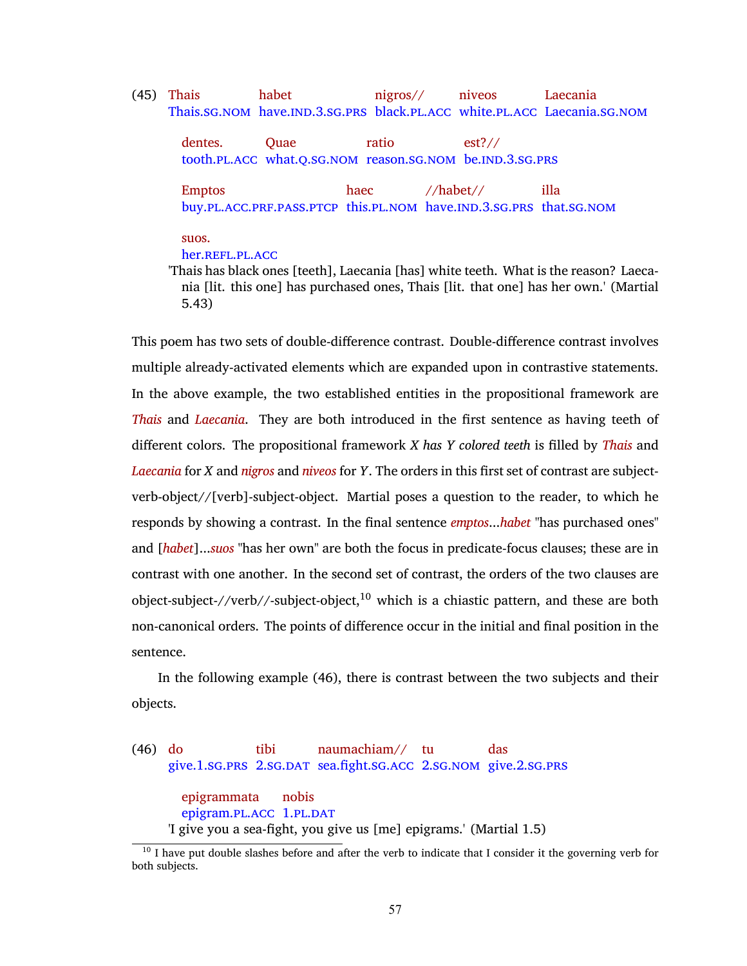<span id="page-70-0"></span>(45) Thais Thais.sG.[nom](#page-10-1) have.[ind](#page-10-22).[3](#page-10-12).sG.[prs](#page-10-8) black.[pl](#page-10-7).[acc](#page-10-6) white.pl.acc Laecania.sG.nom habet nigros// niveos Laecania

dentes. tooth.[pl](#page-10-7).[acc](#page-10-6) what.[q](#page-10-23).[sg](#page-11-0).[nom](#page-10-1) reason.[sg](#page-11-0).[nom](#page-10-1) be.[ind](#page-10-22).[3](#page-10-12).[sg](#page-11-0).[prs](#page-10-8) **Ouae** ratio est?//

Emptos buy.[pl](#page-10-7).[acc](#page-10-6).[prf](#page-10-2).[pass](#page-10-3).[ptcp](#page-10-4) this.[pl](#page-10-7).[nom](#page-10-1) have.[ind](#page-10-22).[3](#page-10-12).[sg](#page-11-0).[prs](#page-10-8) that.[sg](#page-11-0).[nom](#page-10-1) haec //habet// illa

suos.

### her.REFL.PL.ACC

'Thais has black ones [teeth], Laecania [has] white teeth. What is the reason? Laecania [lit. this one] has purchased ones, Thais [lit. that one] has her own.' (Martial 5.43)

This poem has two sets of double-difference contrast. Double-difference contrast involves multiple already-activated elements which are expanded upon in contrastive statements. In the above example, the two established entities in the propositional framework are *Thais* and *Laecania*. They are both introduced in the first sentence as having teeth of different colors. The propositional framework *X has Y colored teeth* is filled by *Thais* and *Laecania* for *X* and *nigros* and *niveos* for *Y*. The orders in this first set of contrast are subjectverb-object//[verb]-subject-object. Martial poses a question to the reader, to which he responds by showing a contrast. In the final sentence *emptos*...*habet* "has purchased ones" and [*habet*]...*suos* "has her own" are both the focus in predicate-focus clauses; these are in contrast with one another. In the second set of contrast, the orders of the two clauses are object-subject-//verb//-subject-object, $10$  which is a chiastic pattern, and these are both non-canonical orders. The points of difference occur in the initial and final position in the sentence.

In the following example [\(46\)](#page-70-1), there is contrast between the two subjects and their objects.

<span id="page-70-1"></span>(46) do give.[1](#page-10-9).sG.PRS [2](#page-10-0).SG.DAT sea.fight.sG.ACC 2.SG.NOM give.2.SG.PRS tibi naumachiam// tu das epigrammata epigram.PL.ACC [1](#page-10-9).PL.DAT nobis 'I give you a sea-fight, you give us [me] epigrams.' (Martial 1.5)

<sup>&</sup>lt;sup>10</sup> I have put double slashes before and after the verb to indicate that I consider it the governing verb for both subjects.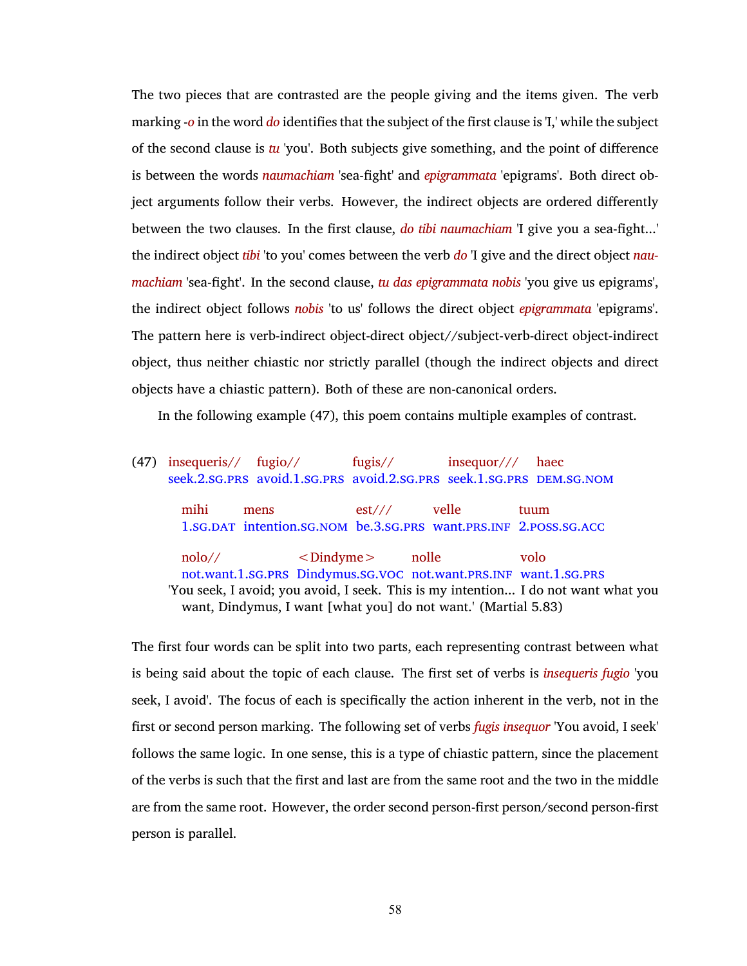The two pieces that are contrasted are the people giving and the items given. The verb marking -*o* in the word *do* identifies that the subject of the first clause is 'I,' while the subject of the second clause is *tu* 'you'. Both subjects give something, and the point of difference is between the words *naumachiam* 'sea-fight' and *epigrammata* 'epigrams'. Both direct object arguments follow their verbs. However, the indirect objects are ordered differently between the two clauses. In the first clause, *do tibi naumachiam* 'I give you a sea-fight...' the indirect object *tibi* 'to you' comes between the verb *do* 'I give and the direct object *naumachiam* 'sea-fight'. In the second clause, *tu das epigrammata nobis* 'you give us epigrams', the indirect object follows *nobis* 'to us' follows the direct object *epigrammata* 'epigrams'. The pattern here is verb-indirect object-direct object//subject-verb-direct object-indirect object, thus neither chiastic nor strictly parallel (though the indirect objects and direct objects have a chiastic pattern). Both of these are non-canonical orders.

In the following example [\(47\),](#page-71-0) this poem contains multiple examples of contrast.

<span id="page-71-0"></span>(47) insequeris// seek.[2](#page-10-0).[sg](#page-11-0).[prs](#page-10-8) avoid.[1](#page-10-9).[sg](#page-11-0).[prs](#page-10-8) avoid.[2](#page-10-0).[sg](#page-11-0).[prs](#page-10-8) seek.[1](#page-10-9).[sg](#page-11-0).[prs](#page-10-8) [dem](#page-10-20).[sg](#page-11-0).[nom](#page-10-1) fugio// fugis// insequor/// haec mihi [1](#page-10-9).[sg](#page-11-0).[dat](#page-10-18) intention.[sg](#page-11-0).[nom](#page-10-1) be.[3](#page-10-12).[sg](#page-11-0).[prs](#page-10-8) want.[prs](#page-10-8).[inf](#page-10-15) [2](#page-10-0).[poss](#page-10-11).[sg](#page-11-0).[acc](#page-10-6) mens est/// velle tuum nolo// not.want.[1](#page-10-9).sG.PRS Dindymus.sG.vOC not.want.PRS.INF want.1.sG.PRS  $<$ Dindyme $>$ nolle volo 'You seek, I avoid; you avoid, I seek. This is my intention... I do not want what you want, Dindymus, I want [what you] do not want.' (Martial 5.83)

The first four words can be split into two parts, each representing contrast between what is being said about the topic of each clause. The first set of verbs is *insequeris fugio* 'you seek, I avoid'. The focus of each is specifically the action inherent in the verb, not in the first or second person marking. The following set of verbs *fugis insequor* 'You avoid, I seek' follows the same logic. In one sense, this is a type of chiastic pattern, since the placement of the verbs is such that the first and last are from the same root and the two in the middle are from the same root. However, the order second person-first person/second person-first person is parallel.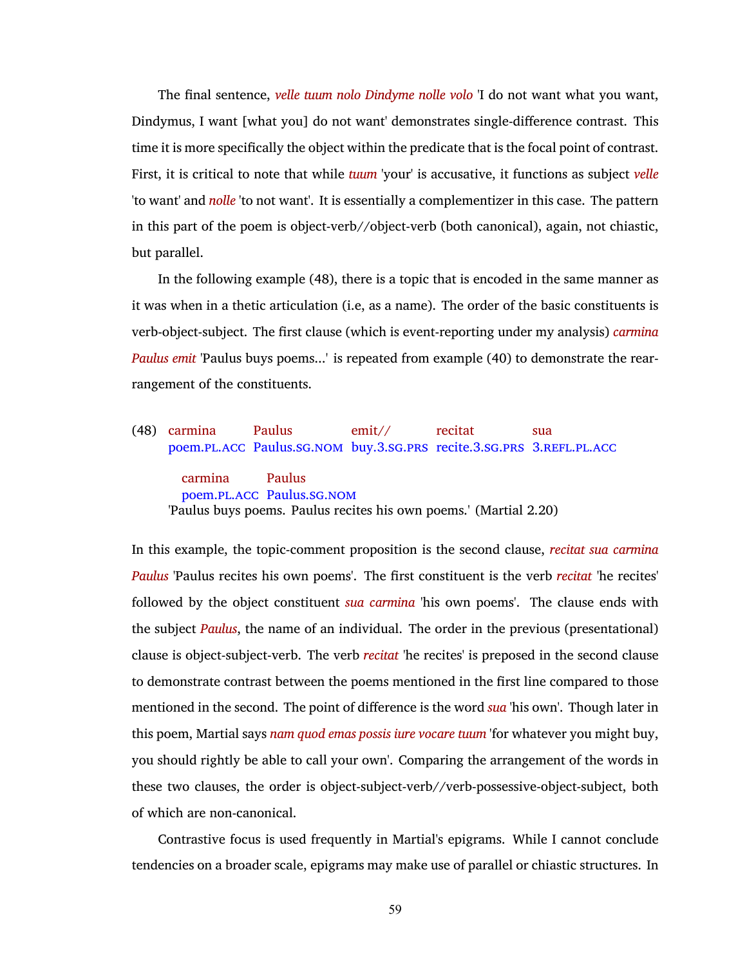The final sentence, *velle tuum nolo Dindyme nolle volo* 'I do not want what you want, Dindymus, I want [what you] do not want' demonstrates single-difference contrast. This time it is more specifically the object within the predicate that is the focal point of contrast. First, it is critical to note that while *tuum* 'your' is accusative, it functions as subject *velle* 'to want' and *nolle* 'to not want'. It is essentially a complementizer in this case. The pattern in this part of the poem is object-verb//object-verb (both canonical), again, not chiastic, but parallel.

In the following example [\(48\)](#page-72-0), there is a topic that is encoded in the same manner as it was when in a thetic articulation (i.e, as a name). The order of the basic constituents is verb-object-subject. The first clause (which is event-reporting under my analysis) *carmina Paulus emit* 'Paulus buys poems...' is repeated from example [\(40\)](#page-63-0) to demonstrate the rearrangement of the constituents.

<span id="page-72-0"></span>(48) carmina poem.[pl](#page-10-0).[acc](#page-10-1) Paulus.[sg](#page-11-0).[nom](#page-10-2) buy.[3](#page-10-3).[sg](#page-11-0).[prs](#page-10-4) recite.[3](#page-10-3).[sg](#page-11-0).[prs](#page-10-4) [3](#page-10-3).[refl](#page-10-5).[pl](#page-10-0).[acc](#page-10-1) Paulus emit// recitat sua carmina poem.[pl](#page-10-0).[acc](#page-10-1) Paulus.[sg](#page-11-0).[nom](#page-10-2) Paulus 'Paulus buys poems. Paulus recites his own poems.' (Martial 2.20)

In this example, the topic-comment proposition is the second clause, *recitat sua carmina Paulus* 'Paulus recites his own poems'. The first constituent is the verb *recitat* 'he recites' followed by the object constituent *sua carmina* 'his own poems'. The clause ends with the subject *Paulus*, the name of an individual. The order in the previous (presentational) clause is object-subject-verb. The verb *recitat* 'he recites' is preposed in the second clause to demonstrate contrast between the poems mentioned in the first line compared to those mentioned in the second. The point of difference is the word *sua* 'his own'. Though later in this poem, Martial says *nam quod emas possis iure vocare tuum* 'for whatever you might buy, you should rightly be able to call your own'. Comparing the arrangement of the words in these two clauses, the order is object-subject-verb//verb-possessive-object-subject, both of which are non-canonical.

Contrastive focus is used frequently in Martial's epigrams. While I cannot conclude tendencies on a broader scale, epigrams may make use of parallel or chiastic structures. In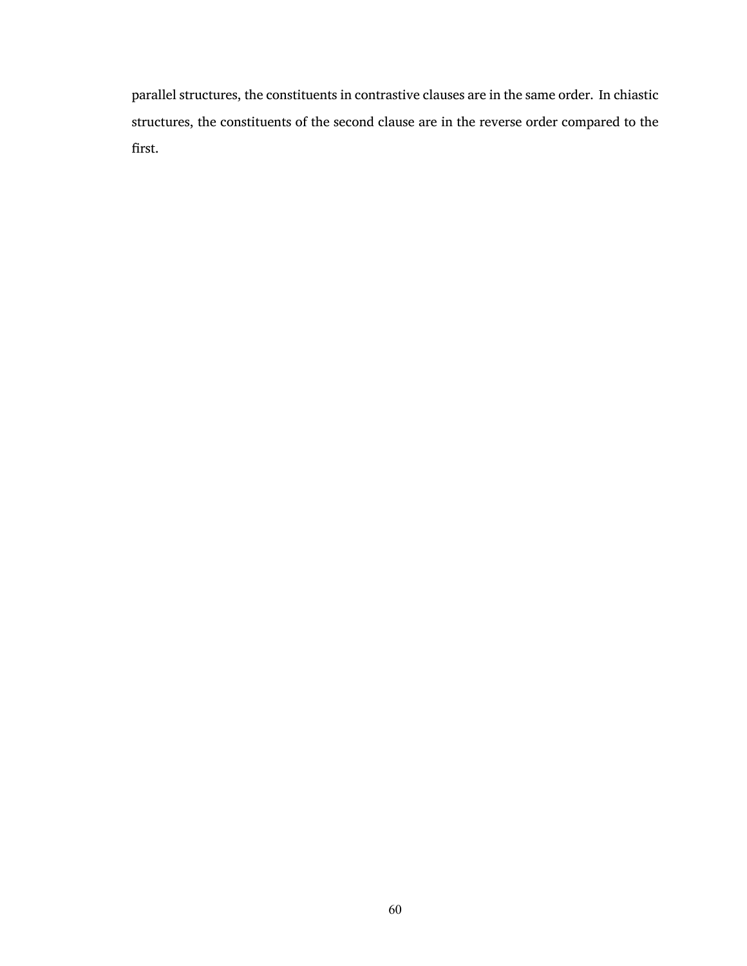parallel structures, the constituents in contrastive clauses are in the same order. In chiastic structures, the constituents of the second clause are in the reverse order compared to the first.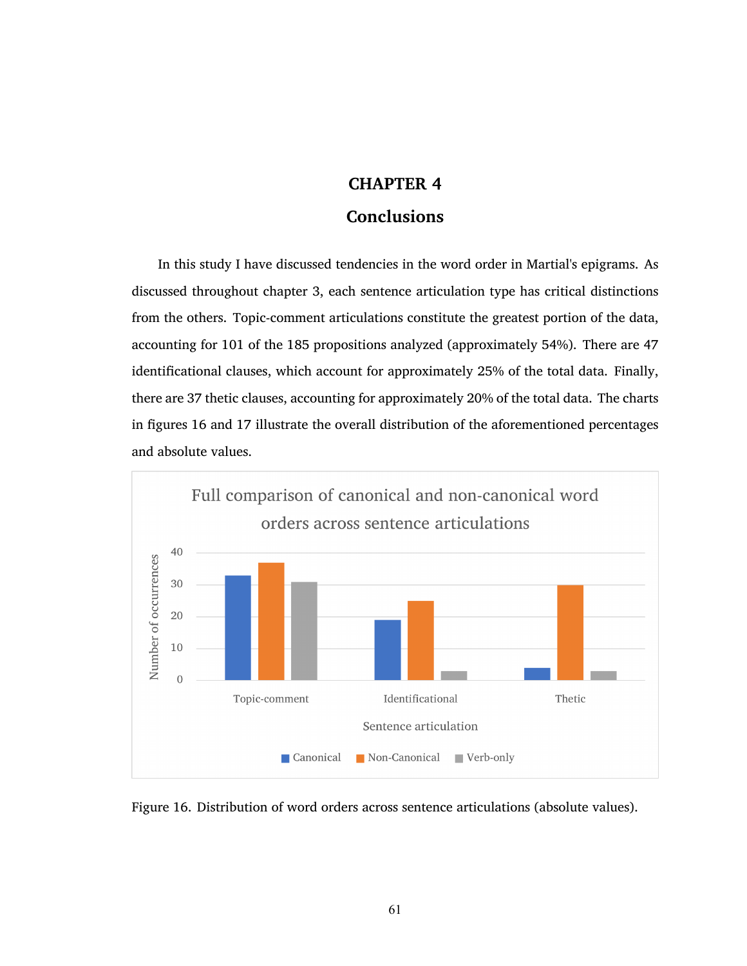## **CHAPTER 4**

## **Conclusions**

In this study I have discussed tendencies in the word order in Martial's epigrams. As discussed throughout chapter [3](#page-35-0), each sentence articulation type has critical distinctions from the others. Topic-comment articulations constitute the greatest portion of the data, accounting for 101 of the 185 propositions analyzed (approximately 54%). There are 47 identificational clauses, which account for approximately 25% of the total data. Finally, there are 37 thetic clauses, accounting for approximately 20% of the total data. The charts in figures [16](#page-74-0) and [17](#page-75-0) illustrate the overall distribution of the aforementioned percentages and absolute values.



<span id="page-74-0"></span>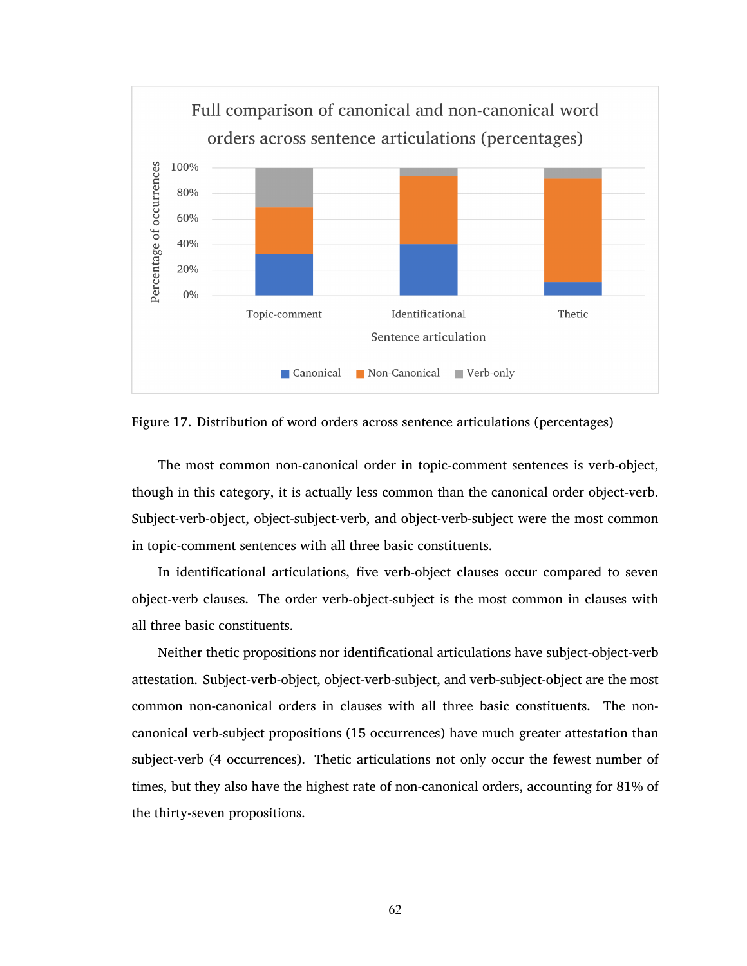

<span id="page-75-0"></span>

The most common non-canonical order in topic-comment sentences is verb-object, though in this category, it is actually less common than the canonical order object-verb. Subject-verb-object, object-subject-verb, and object-verb-subject were the most common in topic-comment sentences with all three basic constituents.

In identificational articulations, five verb-object clauses occur compared to seven object-verb clauses. The order verb-object-subject is the most common in clauses with all three basic constituents.

Neither thetic propositions nor identificational articulations have subject-object-verb attestation. Subject-verb-object, object-verb-subject, and verb-subject-object are the most common non-canonical orders in clauses with all three basic constituents. The noncanonical verb-subject propositions (15 occurrences) have much greater attestation than subject-verb (4 occurrences). Thetic articulations not only occur the fewest number of times, but they also have the highest rate of non-canonical orders, accounting for 81% of the thirty-seven propositions.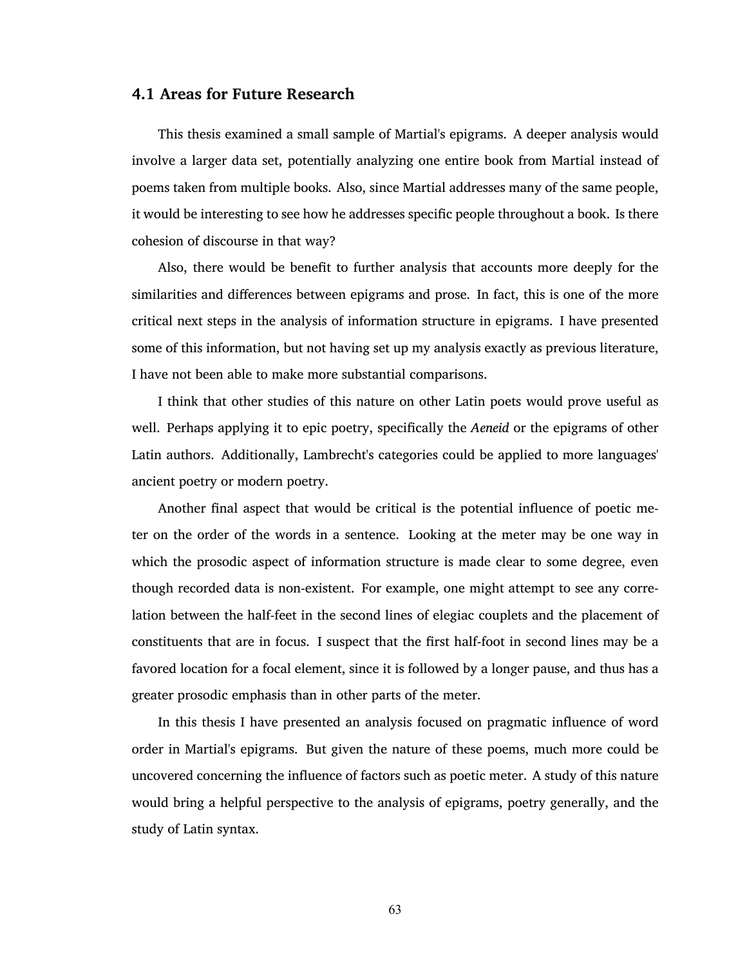## **4.1 Areas for Future Research**

This thesis examined a small sample of Martial's epigrams. A deeper analysis would involve a larger data set, potentially analyzing one entire book from Martial instead of poems taken from multiple books. Also, since Martial addresses many of the same people, it would be interesting to see how he addresses specific people throughout a book. Is there cohesion of discourse in that way?

Also, there would be benefit to further analysis that accounts more deeply for the similarities and differences between epigrams and prose. In fact, this is one of the more critical next steps in the analysis of information structure in epigrams. I have presented some of this information, but not having set up my analysis exactly as previous literature, I have not been able to make more substantial comparisons.

I think that other studies of this nature on other Latin poets would prove useful as well. Perhaps applying it to epic poetry, specifically the *Aeneid* or the epigrams of other Latin authors. Additionally, Lambrecht's categories could be applied to more languages' ancient poetry or modern poetry.

Another final aspect that would be critical is the potential influence of poetic meter on the order of the words in a sentence. Looking at the meter may be one way in which the prosodic aspect of information structure is made clear to some degree, even though recorded data is non-existent. For example, one might attempt to see any correlation between the half-feet in the second lines of elegiac couplets and the placement of constituents that are in focus. I suspect that the first half-foot in second lines may be a favored location for a focal element, since it is followed by a longer pause, and thus has a greater prosodic emphasis than in other parts of the meter.

In this thesis I have presented an analysis focused on pragmatic influence of word order in Martial's epigrams. But given the nature of these poems, much more could be uncovered concerning the influence of factors such as poetic meter. A study of this nature would bring a helpful perspective to the analysis of epigrams, poetry generally, and the study of Latin syntax.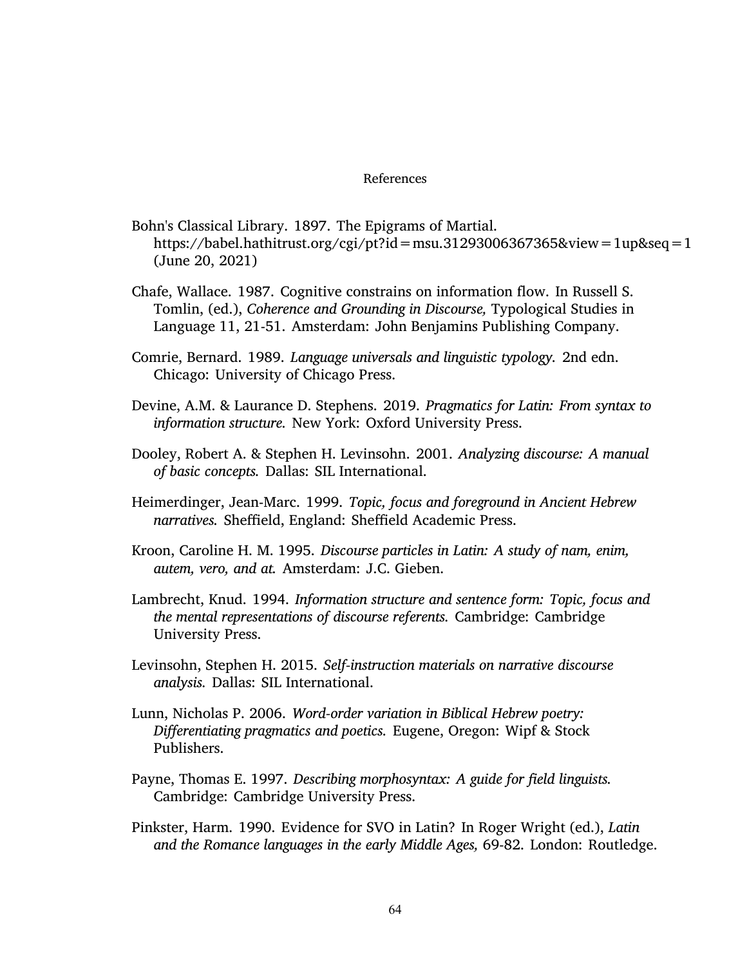## References

- Bohn's Classical Library. 1897. The Epigrams of Martial. <https://babel.hathitrust.org/cgi/pt?id=msu.31293006367365&view=1up&seq=1> (June 20, 2021)
- Chafe, Wallace. 1987. Cognitive constrains on information flow. In Russell S. Tomlin, (ed.), *Coherence and Grounding in Discourse,* Typological Studies in Language 11, 21-51. Amsterdam: John Benjamins Publishing Company.
- Comrie, Bernard. 1989. *Language universals and linguistic typology.* 2nd edn. Chicago: University of Chicago Press.
- Devine, A.M. & Laurance D. Stephens. 2019. *Pragmatics for Latin: From syntax to information structure.* New York: Oxford University Press.
- Dooley, Robert A. & Stephen H. Levinsohn. 2001. *Analyzing discourse: A manual of basic concepts.* Dallas: SIL International.
- Heimerdinger, Jean-Marc. 1999. *Topic, focus and foreground in Ancient Hebrew narratives.* Sheffield, England: Sheffield Academic Press.
- Kroon, Caroline H. M. 1995. *Discourse particles in Latin: A study of nam, enim, autem, vero, and at.* Amsterdam: J.C. Gieben.
- Lambrecht, Knud. 1994. *Information structure and sentence form: Topic, focus and the mental representations of discourse referents.* Cambridge: Cambridge University Press.
- Levinsohn, Stephen H. 2015. *Self-instruction materials on narrative discourse analysis.* Dallas: SIL International.
- Lunn, Nicholas P. 2006. *Word-order variation in Biblical Hebrew poetry: Differentiating pragmatics and poetics.* Eugene, Oregon: Wipf & Stock Publishers.
- Payne, Thomas E. 1997. *Describing morphosyntax: A guide for field linguists.* Cambridge: Cambridge University Press.
- Pinkster, Harm. 1990. Evidence for SVO in Latin? In Roger Wright (ed.), *Latin and the Romance languages in the early Middle Ages,* 69-82. London: Routledge.